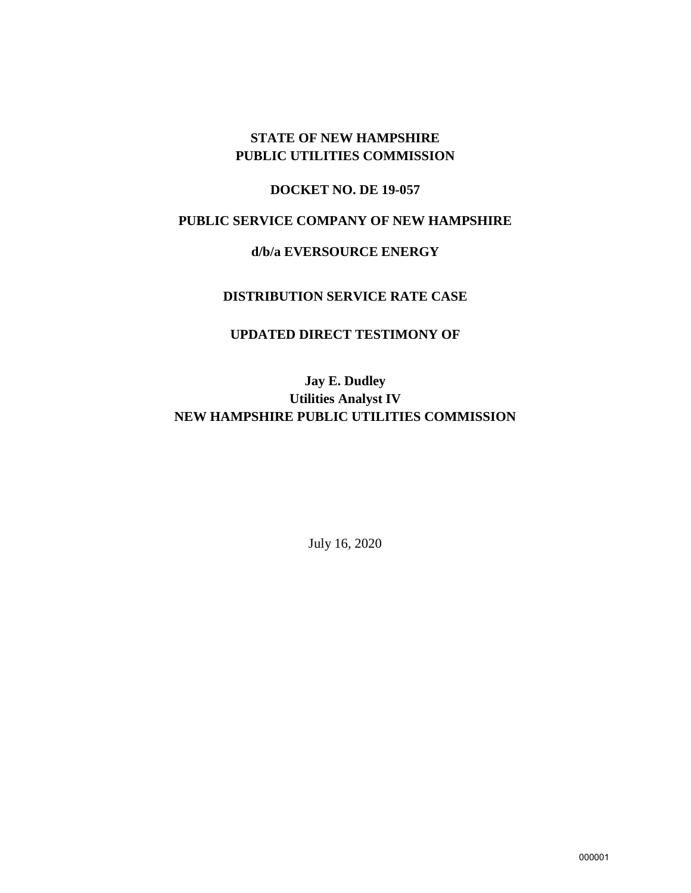## **STATE OF NEW HAMPSHIRE PUBLIC UTILITIES COMMISSION**

## **DOCKET NO. DE 19-057**

## **PUBLIC SERVICE COMPANY OF NEW HAMPSHIRE**

### **d/b/a EVERSOURCE ENERGY**

### **DISTRIBUTION SERVICE RATE CASE**

## **UPDATED DIRECT TESTIMONY OF**

# **Jay E. Dudley Utilities Analyst IV NEW HAMPSHIRE PUBLIC UTILITIES COMMISSION**

July 16, 2020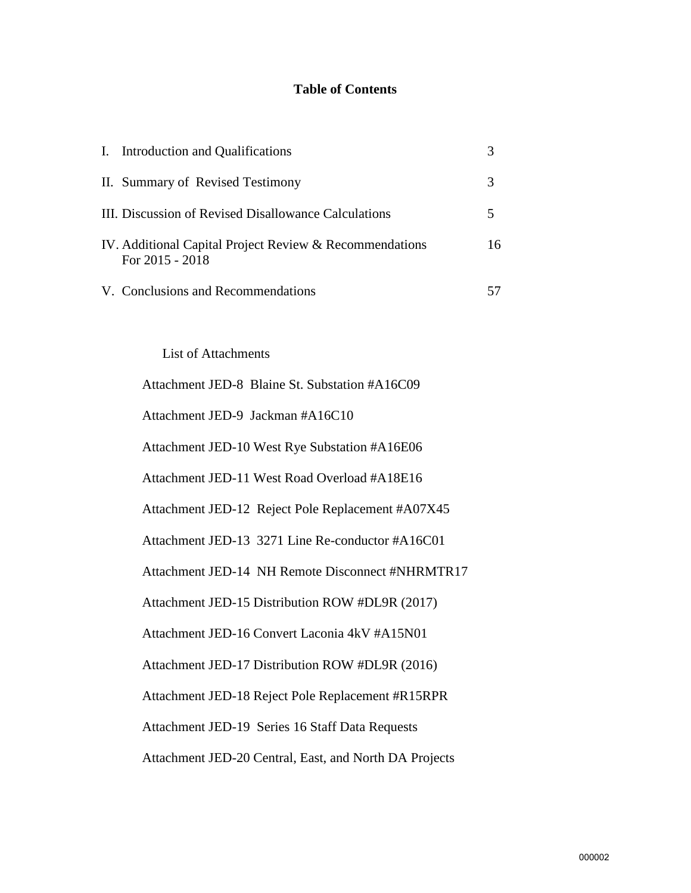# **Table of Contents**

| I. Introduction and Qualifications                                           |    |
|------------------------------------------------------------------------------|----|
| II. Summary of Revised Testimony                                             | 3  |
| III. Discussion of Revised Disallowance Calculations                         |    |
| IV. Additional Capital Project Review & Recommendations<br>For $2015 - 2018$ | 16 |
| V. Conclusions and Recommendations                                           |    |

List of Attachments

| Attachment JED-8 Blaine St. Substation #A16C09         |
|--------------------------------------------------------|
| Attachment JED-9 Jackman #A16C10                       |
| Attachment JED-10 West Rye Substation #A16E06          |
| Attachment JED-11 West Road Overload #A18E16           |
| Attachment JED-12 Reject Pole Replacement #A07X45      |
| Attachment JED-13 3271 Line Re-conductor #A16C01       |
| Attachment JED-14 NH Remote Disconnect #NHRMTR17       |
| Attachment JED-15 Distribution ROW #DL9R (2017)        |
| Attachment JED-16 Convert Laconia 4kV #A15N01          |
| Attachment JED-17 Distribution ROW #DL9R (2016)        |
| Attachment JED-18 Reject Pole Replacement #R15RPR      |
| Attachment JED-19 Series 16 Staff Data Requests        |
| Attachment JED-20 Central, East, and North DA Projects |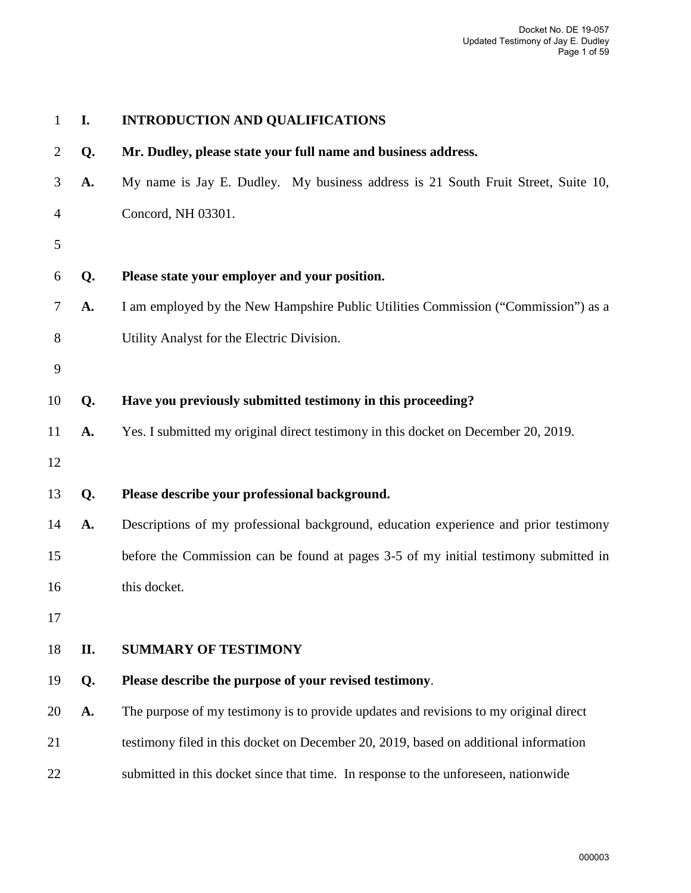| 1              | I. | <b>INTRODUCTION AND QUALIFICATIONS</b>                                                |
|----------------|----|---------------------------------------------------------------------------------------|
| $\overline{2}$ | Q. | Mr. Dudley, please state your full name and business address.                         |
| 3              | A. | My name is Jay E. Dudley. My business address is 21 South Fruit Street, Suite 10,     |
| 4              |    | Concord, NH 03301.                                                                    |
| 5              |    |                                                                                       |
| 6              | Q. | Please state your employer and your position.                                         |
| $\tau$         | A. | I am employed by the New Hampshire Public Utilities Commission ("Commission") as a    |
| 8              |    | Utility Analyst for the Electric Division.                                            |
| 9              |    |                                                                                       |
| 10             | Q. | Have you previously submitted testimony in this proceeding?                           |
| 11             | A. | Yes. I submitted my original direct testimony in this docket on December 20, 2019.    |
| 12             |    |                                                                                       |
| 13             | Q. | Please describe your professional background.                                         |
| 14             | A. | Descriptions of my professional background, education experience and prior testimony  |
| 15             |    | before the Commission can be found at pages 3-5 of my initial testimony submitted in  |
| 16             |    | this docket.                                                                          |
| 17             |    |                                                                                       |
| 18             | П. | <b>SUMMARY OF TESTIMONY</b>                                                           |
| 19             | Q. | Please describe the purpose of your revised testimony.                                |
| 20             | A. | The purpose of my testimony is to provide updates and revisions to my original direct |
| 21             |    | testimony filed in this docket on December 20, 2019, based on additional information  |
| 22             |    | submitted in this docket since that time. In response to the unforeseen, nationwide   |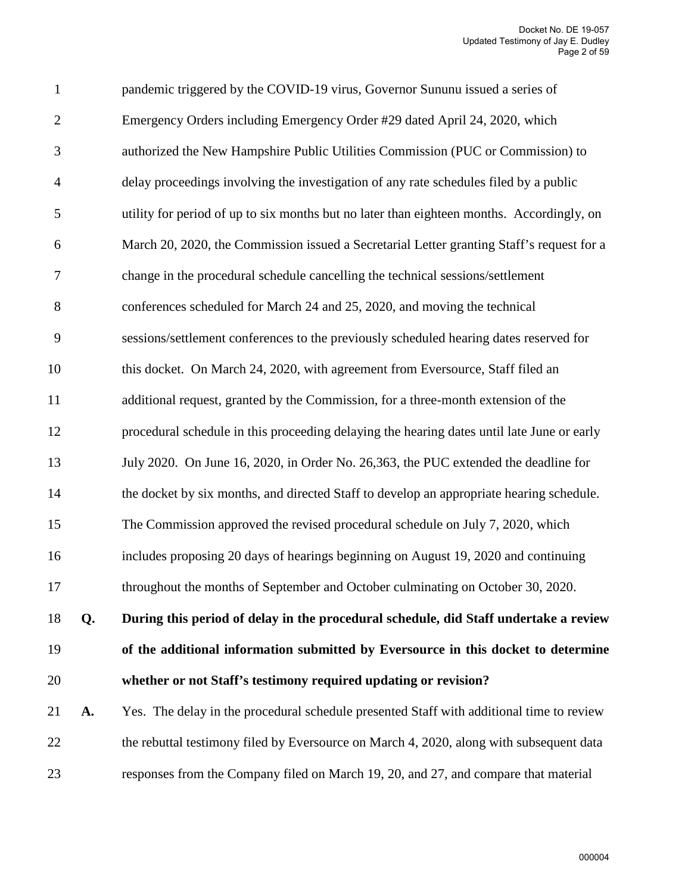| $\mathbf{1}$   |    | pandemic triggered by the COVID-19 virus, Governor Sununu issued a series of               |
|----------------|----|--------------------------------------------------------------------------------------------|
| $\overline{2}$ |    | Emergency Orders including Emergency Order #29 dated April 24, 2020, which                 |
| 3              |    | authorized the New Hampshire Public Utilities Commission (PUC or Commission) to            |
| $\overline{4}$ |    | delay proceedings involving the investigation of any rate schedules filed by a public      |
| 5              |    | utility for period of up to six months but no later than eighteen months. Accordingly, on  |
| 6              |    | March 20, 2020, the Commission issued a Secretarial Letter granting Staff's request for a  |
| $\tau$         |    | change in the procedural schedule cancelling the technical sessions/settlement             |
| 8              |    | conferences scheduled for March 24 and 25, 2020, and moving the technical                  |
| $\mathbf{9}$   |    | sessions/settlement conferences to the previously scheduled hearing dates reserved for     |
| 10             |    | this docket. On March 24, 2020, with agreement from Eversource, Staff filed an             |
| 11             |    | additional request, granted by the Commission, for a three-month extension of the          |
| 12             |    | procedural schedule in this proceeding delaying the hearing dates until late June or early |
| 13             |    | July 2020. On June 16, 2020, in Order No. 26,363, the PUC extended the deadline for        |
| 14             |    | the docket by six months, and directed Staff to develop an appropriate hearing schedule.   |
| 15             |    | The Commission approved the revised procedural schedule on July 7, 2020, which             |
| 16             |    | includes proposing 20 days of hearings beginning on August 19, 2020 and continuing         |
| 17             |    | throughout the months of September and October culminating on October 30, 2020.            |
| 18             | Q. | During this period of delay in the procedural schedule, did Staff undertake a review       |
| 19             |    | of the additional information submitted by Eversource in this docket to determine          |
| 20             |    | whether or not Staff's testimony required updating or revision?                            |
| 21             | A. | Yes. The delay in the procedural schedule presented Staff with additional time to review   |
| 22             |    | the rebuttal testimony filed by Eversource on March 4, 2020, along with subsequent data    |
| 23             |    | responses from the Company filed on March 19, 20, and 27, and compare that material        |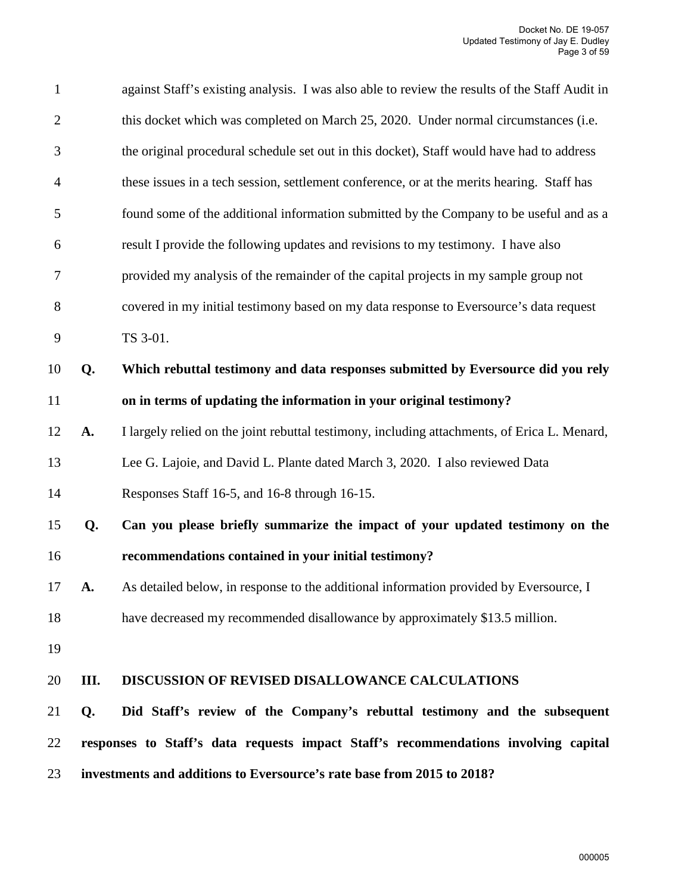| 23             |           | investments and additions to Eversource's rate base from 2015 to 2018?                         |
|----------------|-----------|------------------------------------------------------------------------------------------------|
| 22             |           | responses to Staff's data requests impact Staff's recommendations involving capital            |
| 21             | Q.        | Did Staff's review of the Company's rebuttal testimony and the subsequent                      |
| 20             | III.      | DISCUSSION OF REVISED DISALLOWANCE CALCULATIONS                                                |
| 19             |           |                                                                                                |
| 18             |           | have decreased my recommended disallowance by approximately \$13.5 million.                    |
| 17             | <b>A.</b> | As detailed below, in response to the additional information provided by Eversource, I         |
| 16             |           | recommendations contained in your initial testimony?                                           |
| 15             | Q.        | Can you please briefly summarize the impact of your updated testimony on the                   |
| 14             |           | Responses Staff 16-5, and 16-8 through 16-15.                                                  |
| 13             |           | Lee G. Lajoie, and David L. Plante dated March 3, 2020. I also reviewed Data                   |
| 12             | A.        | I largely relied on the joint rebuttal testimony, including attachments, of Erica L. Menard,   |
| 11             |           | on in terms of updating the information in your original testimony?                            |
| 10             | Q.        | Which rebuttal testimony and data responses submitted by Eversource did you rely               |
| 9              |           | TS 3-01.                                                                                       |
| $8\phantom{1}$ |           | covered in my initial testimony based on my data response to Eversource's data request         |
| $\overline{7}$ |           | provided my analysis of the remainder of the capital projects in my sample group not           |
| 6              |           | result I provide the following updates and revisions to my testimony. I have also              |
| 5              |           | found some of the additional information submitted by the Company to be useful and as a        |
| $\overline{4}$ |           | these issues in a tech session, settlement conference, or at the merits hearing. Staff has     |
| 3              |           | the original procedural schedule set out in this docket), Staff would have had to address      |
| $\overline{2}$ |           | this docket which was completed on March 25, 2020. Under normal circumstances (i.e.            |
| $\mathbf{1}$   |           | against Staff's existing analysis. I was also able to review the results of the Staff Audit in |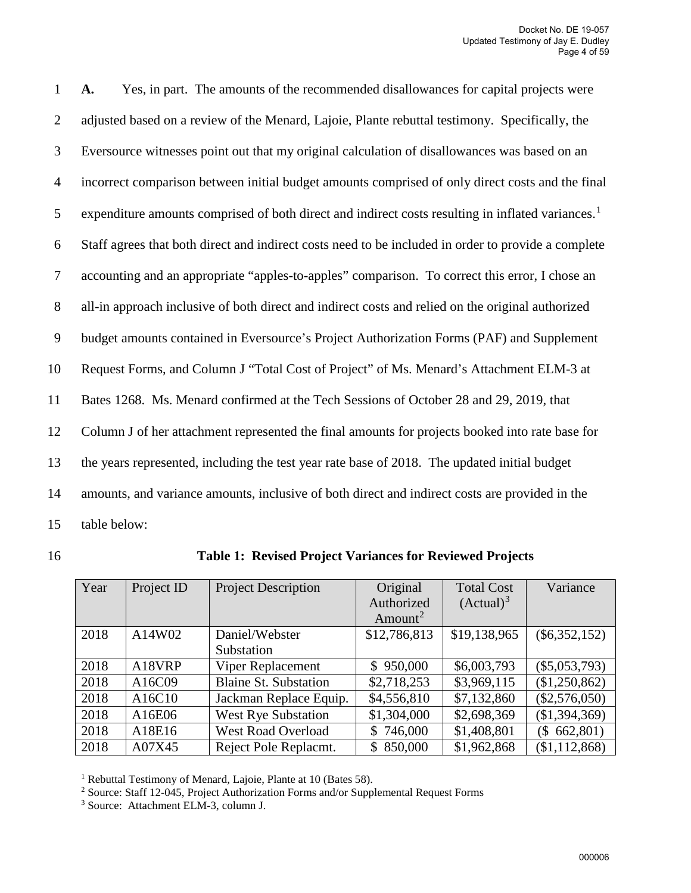1 **A.** Yes, in part. The amounts of the recommended disallowances for capital projects were 2 adjusted based on a review of the Menard, Lajoie, Plante rebuttal testimony. Specifically, the 3 Eversource witnesses point out that my original calculation of disallowances was based on an 4 incorrect comparison between initial budget amounts comprised of only direct costs and the final 5 expenditure amounts comprised of both direct and indirect costs resulting in inflated variances.<sup>[1](#page-5-0)</sup> 6 Staff agrees that both direct and indirect costs need to be included in order to provide a complete 7 accounting and an appropriate "apples-to-apples" comparison. To correct this error, I chose an 8 all-in approach inclusive of both direct and indirect costs and relied on the original authorized 9 budget amounts contained in Eversource's Project Authorization Forms (PAF) and Supplement 10 Request Forms, and Column J "Total Cost of Project" of Ms. Menard's Attachment ELM-3 at 11 Bates 1268. Ms. Menard confirmed at the Tech Sessions of October 28 and 29, 2019, that 12 Column J of her attachment represented the final amounts for projects booked into rate base for 13 the years represented, including the test year rate base of 2018. The updated initial budget 14 amounts, and variance amounts, inclusive of both direct and indirect costs are provided in the 15 table below:

| 16 | <b>Table 1: Revised Project Variances for Reviewed Projects</b> |  |
|----|-----------------------------------------------------------------|--|
|----|-----------------------------------------------------------------|--|

| Year | Project ID | <b>Project Description</b>   | Original            | <b>Total Cost</b>     | Variance        |
|------|------------|------------------------------|---------------------|-----------------------|-----------------|
|      |            |                              | Authorized          | (Actual) <sup>3</sup> |                 |
|      |            |                              | Amount <sup>2</sup> |                       |                 |
| 2018 | A14W02     | Daniel/Webster               | \$12,786,813        | \$19,138,965          | $(\$6,352,152)$ |
|      |            | Substation                   |                     |                       |                 |
| 2018 | A18VRP     | <b>Viper Replacement</b>     | \$950,000           | \$6,003,793           | $(\$5,053,793)$ |
| 2018 | A16C09     | <b>Blaine St. Substation</b> | \$2,718,253         | \$3,969,115           | (\$1,250,862)   |
| 2018 | A16C10     | Jackman Replace Equip.       | \$4,556,810         | \$7,132,860           | $(\$2,576,050)$ |
| 2018 | A16E06     | <b>West Rye Substation</b>   | \$1,304,000         | \$2,698,369           | (\$1,394,369)   |
| 2018 | A18E16     | <b>West Road Overload</b>    | \$746,000           | \$1,408,801           | (\$662,801)     |
| 2018 | A07X45     | Reject Pole Replacmt.        | 850,000<br>\$       | \$1,962,868           | (\$1,112,868)   |

<span id="page-5-0"></span><sup>&</sup>lt;sup>1</sup> Rebuttal Testimony of Menard, Lajoie, Plante at 10 (Bates 58).

<span id="page-5-1"></span><sup>2</sup> Source: Staff 12-045, Project Authorization Forms and/or Supplemental Request Forms

<span id="page-5-2"></span><sup>3</sup> Source: Attachment ELM-3, column J.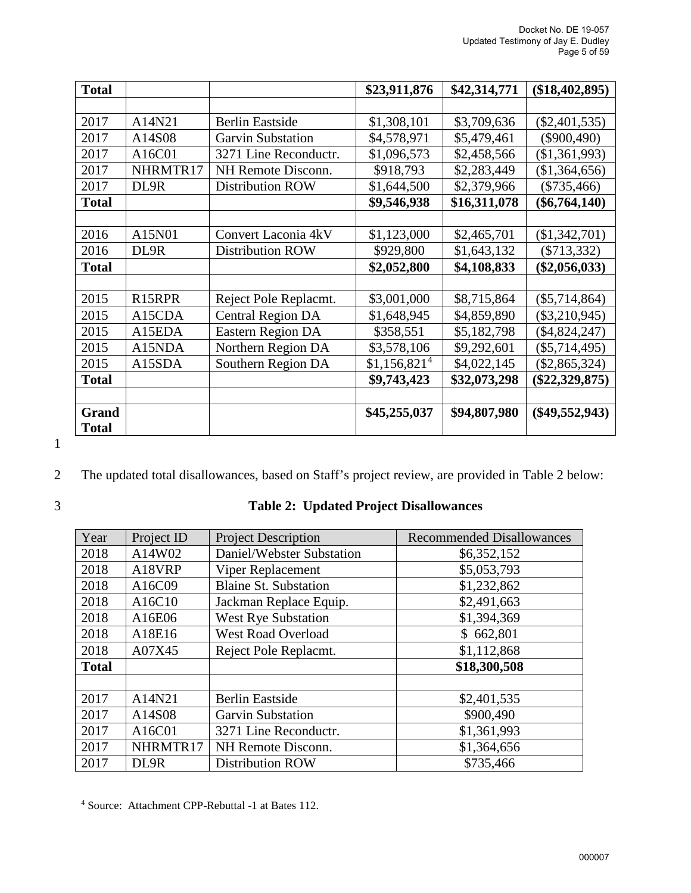| <b>Total</b> |                     |                          | \$23,911,876             | \$42,314,771 | (\$18,402,895)   |
|--------------|---------------------|--------------------------|--------------------------|--------------|------------------|
|              |                     |                          |                          |              |                  |
| 2017         | A14N21              | <b>Berlin Eastside</b>   | \$1,308,101              | \$3,709,636  | $(\$2,401,535)$  |
| 2017         | A14S08              | <b>Garvin Substation</b> | \$4,578,971              | \$5,479,461  | $(\$900,490)$    |
| 2017         | A16C01              | 3271 Line Reconductr.    | \$1,096,573              | \$2,458,566  | (\$1,361,993)    |
| 2017         | NHRMTR17            | NH Remote Disconn.       | \$918,793                | \$2,283,449  | (\$1,364,656)    |
| 2017         | DL9R                | <b>Distribution ROW</b>  | \$1,644,500              | \$2,379,966  | $(\$735,466)$    |
| <b>Total</b> |                     |                          | \$9,546,938              | \$16,311,078 | $(\$6,764,140)$  |
|              |                     |                          |                          |              |                  |
| 2016         | A15N01              | Convert Laconia 4kV      | \$1,123,000              | \$2,465,701  | (\$1,342,701)    |
| 2016         | DL9R                | <b>Distribution ROW</b>  | \$929,800                | \$1,643,132  | $(\$713,332)$    |
| <b>Total</b> |                     |                          | \$2,052,800              | \$4,108,833  | $(\$2,056,033)$  |
|              |                     |                          |                          |              |                  |
| 2015         | R <sub>15</sub> RPR | Reject Pole Replacmt.    | \$3,001,000              | \$8,715,864  | $(\$5,714,864)$  |
| 2015         | A15CDA              | <b>Central Region DA</b> | \$1,648,945              | \$4,859,890  | $(\$3,210,945)$  |
| 2015         | A15EDA              | <b>Eastern Region DA</b> | \$358,551                | \$5,182,798  | $(\$4,824,247)$  |
| 2015         | A15NDA              | Northern Region DA       | \$3,578,106              | \$9,292,601  | $(\$5,714,495)$  |
| 2015         | A15SDA              | Southern Region DA       | \$1,156,821 <sup>4</sup> | \$4,022,145  | $(\$2,865,324)$  |
| <b>Total</b> |                     |                          | \$9,743,423              | \$32,073,298 | $(\$22,329,875)$ |
|              |                     |                          |                          |              |                  |
| <b>Grand</b> |                     |                          | \$45,255,037             | \$94,807,980 | $(\$49,552,943)$ |
| <b>Total</b> |                     |                          |                          |              |                  |

# 2 The updated total disallowances, based on Staff's project review, are provided in Table 2 below:

# **Table 2: Updated Project Disallowances**

| Year         | Project ID | <b>Project Description</b>   | <b>Recommended Disallowances</b> |
|--------------|------------|------------------------------|----------------------------------|
| 2018         | A14W02     | Daniel/Webster Substation    | \$6,352,152                      |
| 2018         | A18VRP     | Viper Replacement            | \$5,053,793                      |
| 2018         | A16C09     | <b>Blaine St. Substation</b> | \$1,232,862                      |
| 2018         | A16C10     | Jackman Replace Equip.       | \$2,491,663                      |
| 2018         | A16E06     | <b>West Rye Substation</b>   | \$1,394,369                      |
| 2018         | A18E16     | <b>West Road Overload</b>    | \$662,801                        |
| 2018         | A07X45     | Reject Pole Replacmt.        | \$1,112,868                      |
| <b>Total</b> |            |                              | \$18,300,508                     |
|              |            |                              |                                  |
| 2017         | A14N21     | <b>Berlin Eastside</b>       | \$2,401,535                      |
| 2017         | A14S08     | <b>Garvin Substation</b>     | \$900,490                        |
| 2017         | A16C01     | 3271 Line Reconductr.        | \$1,361,993                      |
| 2017         | NHRMTR17   | NH Remote Disconn.           | \$1,364,656                      |
| 2017         | DL9R       | <b>Distribution ROW</b>      | \$735,466                        |

<span id="page-6-0"></span>Source: Attachment CPP-Rebuttal -1 at Bates 112.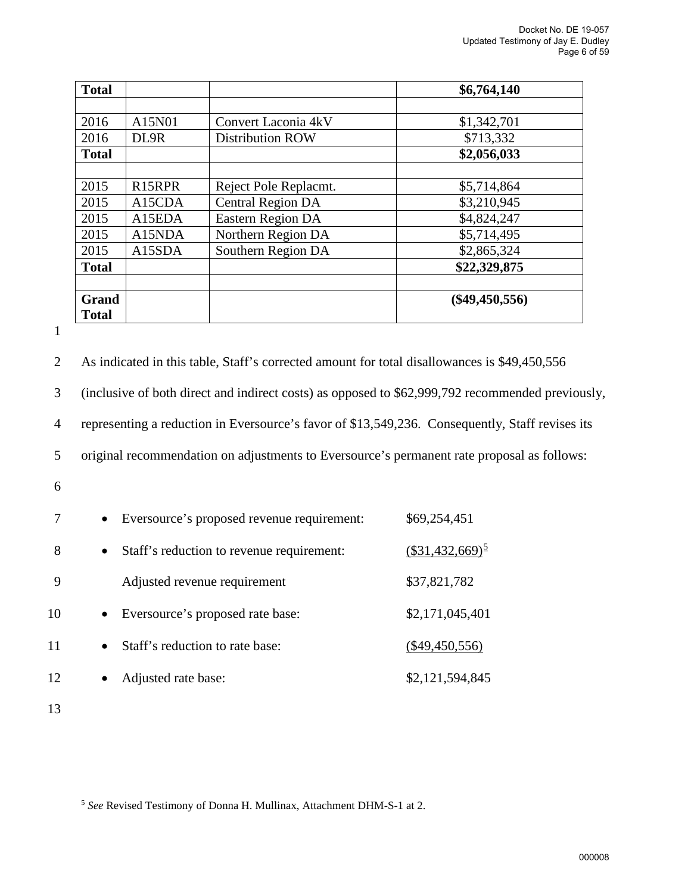| <b>Total</b> |                     |                          | \$6,764,140      |
|--------------|---------------------|--------------------------|------------------|
|              |                     |                          |                  |
| 2016         | A15N01              | Convert Laconia 4kV      | \$1,342,701      |
| 2016         | DL9R                | <b>Distribution ROW</b>  | \$713,332        |
| <b>Total</b> |                     |                          | \$2,056,033      |
|              |                     |                          |                  |
| 2015         | R <sub>15</sub> RPR | Reject Pole Replacmt.    | \$5,714,864      |
| 2015         | A15CDA              | <b>Central Region DA</b> | \$3,210,945      |
| 2015         | A15EDA              | <b>Eastern Region DA</b> | \$4,824,247      |
| 2015         | A15NDA              | Northern Region DA       | \$5,714,495      |
| 2015         | A15SDA              | Southern Region DA       | \$2,865,324      |
| <b>Total</b> |                     |                          | \$22,329,875     |
|              |                     |                          |                  |
| Grand        |                     |                          | $(\$49,450,556)$ |
| <b>Total</b> |                     |                          |                  |

1

| 2  | As indicated in this table, Staff's corrected amount for total disallowances is \$49,450,556     |                                                |  |  |  |  |
|----|--------------------------------------------------------------------------------------------------|------------------------------------------------|--|--|--|--|
| 3  | (inclusive of both direct and indirect costs) as opposed to \$62,999,792 recommended previously, |                                                |  |  |  |  |
| 4  | representing a reduction in Eversource's favor of \$13,549,236. Consequently, Staff revises its  |                                                |  |  |  |  |
| 5  | original recommendation on adjustments to Eversource's permanent rate proposal as follows:       |                                                |  |  |  |  |
| 6  |                                                                                                  |                                                |  |  |  |  |
| 7  | Eversource's proposed revenue requirement:                                                       | \$69,254,451                                   |  |  |  |  |
| 8  | Staff's reduction to revenue requirement:<br>$\bullet$                                           | $\frac{\textcolor{blue}{(\$31,432,669)^5}}{0}$ |  |  |  |  |
| 9  | Adjusted revenue requirement                                                                     | \$37,821,782                                   |  |  |  |  |
| 10 | Eversource's proposed rate base:                                                                 | \$2,171,045,401                                |  |  |  |  |
| 11 | Staff's reduction to rate base:                                                                  | $(\$49,450,556)$                               |  |  |  |  |
| 12 | Adjusted rate base:                                                                              | \$2,121,594,845                                |  |  |  |  |
| 13 |                                                                                                  |                                                |  |  |  |  |

<span id="page-7-0"></span><sup>5</sup> *See* Revised Testimony of Donna H. Mullinax, Attachment DHM-S-1 at 2.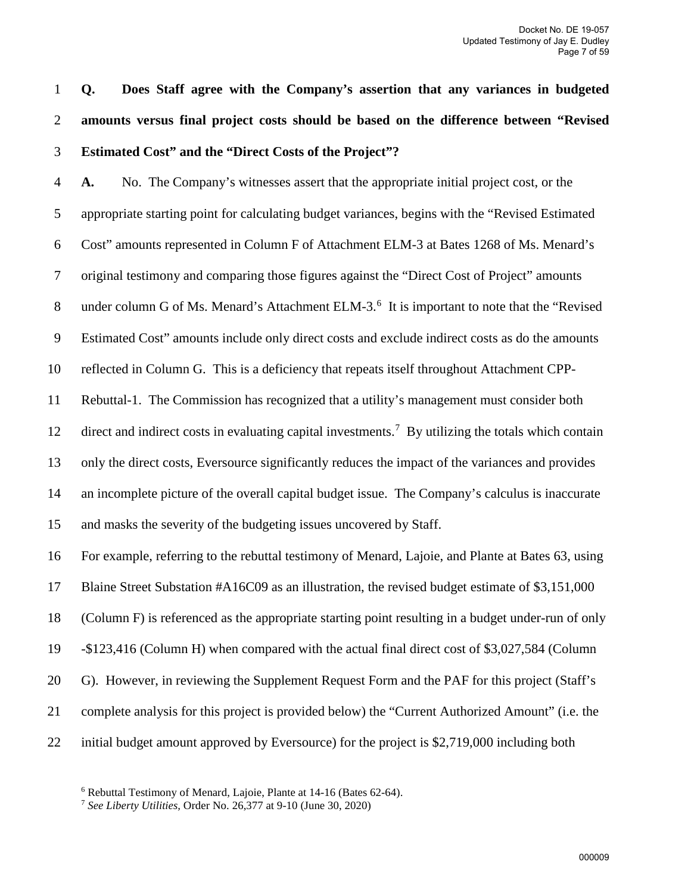1 **Q. Does Staff agree with the Company's assertion that any variances in budgeted**  2 **amounts versus final project costs should be based on the difference between "Revised**  3 **Estimated Cost" and the "Direct Costs of the Project"?**

4 **A.** No. The Company's witnesses assert that the appropriate initial project cost, or the 5 appropriate starting point for calculating budget variances, begins with the "Revised Estimated 6 Cost" amounts represented in Column F of Attachment ELM-3 at Bates 1268 of Ms. Menard's 7 original testimony and comparing those figures against the "Direct Cost of Project" amounts 8 under column G of Ms. Menard's Attachment ELM-3.<sup>[6](#page-8-0)</sup> It is important to note that the "Revised" 9 Estimated Cost" amounts include only direct costs and exclude indirect costs as do the amounts 10 reflected in Column G. This is a deficiency that repeats itself throughout Attachment CPP-11 Rebuttal-1. The Commission has recognized that a utility's management must consider both 12 direct and indirect costs in evaluating capital investments.<sup>[7](#page-8-1)</sup> By utilizing the totals which contain 13 only the direct costs, Eversource significantly reduces the impact of the variances and provides 14 an incomplete picture of the overall capital budget issue. The Company's calculus is inaccurate 15 and masks the severity of the budgeting issues uncovered by Staff. 16 For example, referring to the rebuttal testimony of Menard, Lajoie, and Plante at Bates 63, using 17 Blaine Street Substation #A16C09 as an illustration, the revised budget estimate of \$3,151,000 18 (Column F) is referenced as the appropriate starting point resulting in a budget under-run of only 19 -\$123,416 (Column H) when compared with the actual final direct cost of \$3,027,584 (Column 20 G). However, in reviewing the Supplement Request Form and the PAF for this project (Staff's 21 complete analysis for this project is provided below) the "Current Authorized Amount" (i.e. the

<span id="page-8-1"></span><span id="page-8-0"></span>22 initial budget amount approved by Eversource) for the project is \$2,719,000 including both

<sup>6</sup> Rebuttal Testimony of Menard, Lajoie, Plante at 14-16 (Bates 62-64).

<sup>7</sup> *See Liberty Utilities,* Order No. 26,377 at 9-10 (June 30, 2020)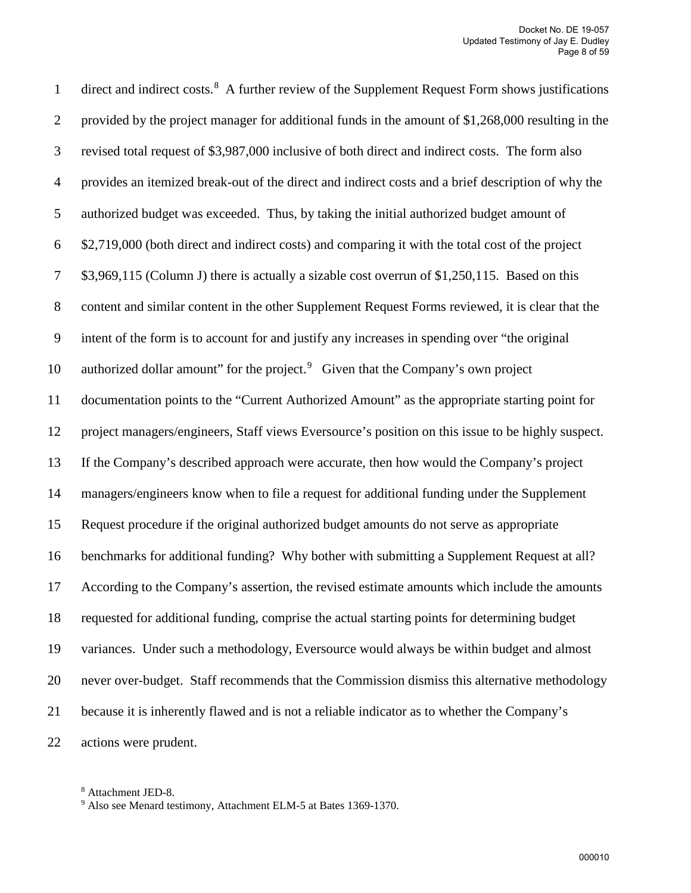1 direct and indirect costs.<sup>[8](#page-9-0)</sup> A further review of the Supplement Request Form shows justifications 2 provided by the project manager for additional funds in the amount of \$1,268,000 resulting in the 3 revised total request of \$3,987,000 inclusive of both direct and indirect costs. The form also 4 provides an itemized break-out of the direct and indirect costs and a brief description of why the 5 authorized budget was exceeded. Thus, by taking the initial authorized budget amount of 6 \$2,719,000 (both direct and indirect costs) and comparing it with the total cost of the project 7 \$3,969,115 (Column J) there is actually a sizable cost overrun of \$1,250,115. Based on this 8 content and similar content in the other Supplement Request Forms reviewed, it is clear that the 9 intent of the form is to account for and justify any increases in spending over "the original 10 authorized dollar amount" for the project. $9$  Given that the Company's own project 11 documentation points to the "Current Authorized Amount" as the appropriate starting point for 12 project managers/engineers, Staff views Eversource's position on this issue to be highly suspect. 13 If the Company's described approach were accurate, then how would the Company's project 14 managers/engineers know when to file a request for additional funding under the Supplement 15 Request procedure if the original authorized budget amounts do not serve as appropriate 16 benchmarks for additional funding? Why bother with submitting a Supplement Request at all? 17 According to the Company's assertion, the revised estimate amounts which include the amounts 18 requested for additional funding, comprise the actual starting points for determining budget 19 variances. Under such a methodology, Eversource would always be within budget and almost 20 never over-budget. Staff recommends that the Commission dismiss this alternative methodology 21 because it is inherently flawed and is not a reliable indicator as to whether the Company's 22 actions were prudent.

<span id="page-9-0"></span><sup>8</sup> Attachment JED-8.

<span id="page-9-1"></span><sup>9</sup> Also see Menard testimony, Attachment ELM-5 at Bates 1369-1370.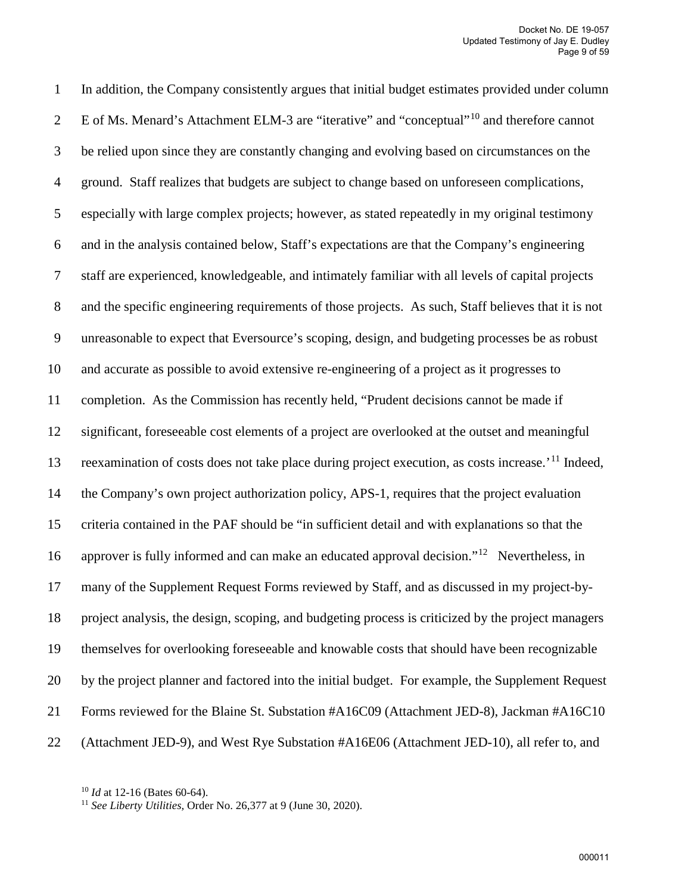1 In addition, the Company consistently argues that initial budget estimates provided under column 2 E of Ms. Menard's Attachment ELM-3 are "iterative" and "conceptual"<sup>[10](#page-10-0)</sup> and therefore cannot 3 be relied upon since they are constantly changing and evolving based on circumstances on the 4 ground. Staff realizes that budgets are subject to change based on unforeseen complications, 5 especially with large complex projects; however, as stated repeatedly in my original testimony 6 and in the analysis contained below, Staff's expectations are that the Company's engineering 7 staff are experienced, knowledgeable, and intimately familiar with all levels of capital projects 8 and the specific engineering requirements of those projects. As such, Staff believes that it is not 9 unreasonable to expect that Eversource's scoping, design, and budgeting processes be as robust 10 and accurate as possible to avoid extensive re-engineering of a project as it progresses to 11 completion. As the Commission has recently held, "Prudent decisions cannot be made if 12 significant, foreseeable cost elements of a project are overlooked at the outset and meaningful 13 reexamination of costs does not take place during project execution, as costs increase.<sup>'[11](#page-10-1)</sup> Indeed, 14 the Company's own project authorization policy, APS-1, requires that the project evaluation 15 criteria contained in the PAF should be "in sufficient detail and with explanations so that the 16 approver is fully informed and can make an educated approval decision."<sup>[12](#page-10-2)</sup> Nevertheless, in 17 many of the Supplement Request Forms reviewed by Staff, and as discussed in my project-by-18 project analysis, the design, scoping, and budgeting process is criticized by the project managers 19 themselves for overlooking foreseeable and knowable costs that should have been recognizable 20 by the project planner and factored into the initial budget. For example, the Supplement Request 21 Forms reviewed for the Blaine St. Substation #A16C09 (Attachment JED-8), Jackman #A16C10 22 (Attachment JED-9), and West Rye Substation #A16E06 (Attachment JED-10), all refer to, and

<span id="page-10-1"></span><span id="page-10-0"></span><sup>10</sup> *Id* at 12-16 (Bates 60-64).

<span id="page-10-2"></span><sup>11</sup> *See Liberty Utilities,* Order No. 26,377 at 9 (June 30, 2020).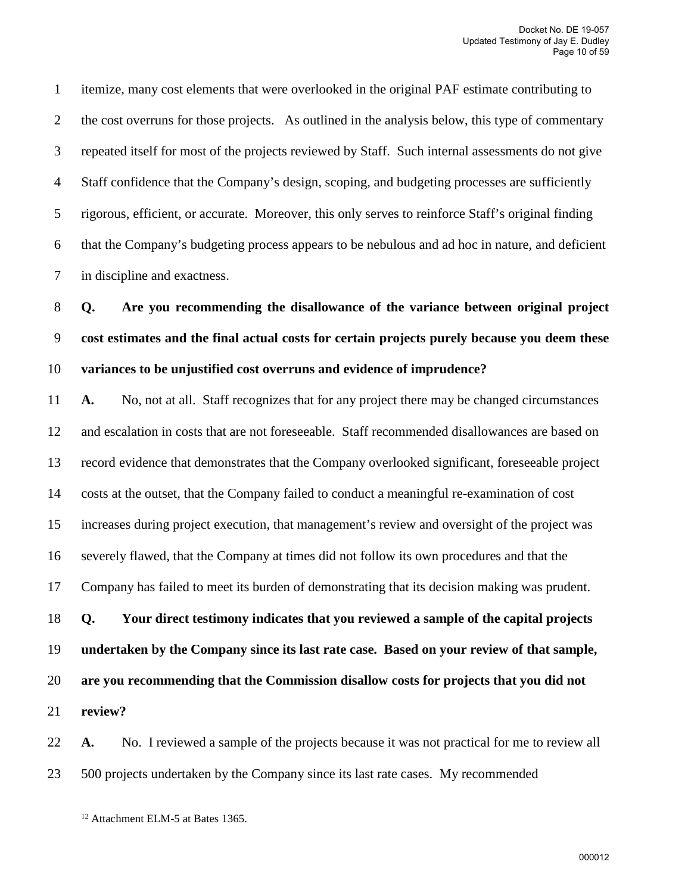1 itemize, many cost elements that were overlooked in the original PAF estimate contributing to 2 the cost overruns for those projects. As outlined in the analysis below, this type of commentary 3 repeated itself for most of the projects reviewed by Staff. Such internal assessments do not give 4 Staff confidence that the Company's design, scoping, and budgeting processes are sufficiently 5 rigorous, efficient, or accurate. Moreover, this only serves to reinforce Staff's original finding 6 that the Company's budgeting process appears to be nebulous and ad hoc in nature, and deficient 7 in discipline and exactness.

8 **Q. Are you recommending the disallowance of the variance between original project**  9 **cost estimates and the final actual costs for certain projects purely because you deem these**  10 **variances to be unjustified cost overruns and evidence of imprudence?**

11 **A.** No, not at all. Staff recognizes that for any project there may be changed circumstances 12 and escalation in costs that are not foreseeable. Staff recommended disallowances are based on 13 record evidence that demonstrates that the Company overlooked significant, foreseeable project 14 costs at the outset, that the Company failed to conduct a meaningful re-examination of cost 15 increases during project execution, that management's review and oversight of the project was 16 severely flawed, that the Company at times did not follow its own procedures and that the 17 Company has failed to meet its burden of demonstrating that its decision making was prudent. 18 **Q. Your direct testimony indicates that you reviewed a sample of the capital projects**  19 **undertaken by the Company since its last rate case. Based on your review of that sample,**  20 **are you recommending that the Commission disallow costs for projects that you did not**  21 **review?**

22 **A.** No. I reviewed a sample of the projects because it was not practical for me to review all 23 500 projects undertaken by the Company since its last rate cases. My recommended

<sup>12</sup> Attachment ELM-5 at Bates 1365.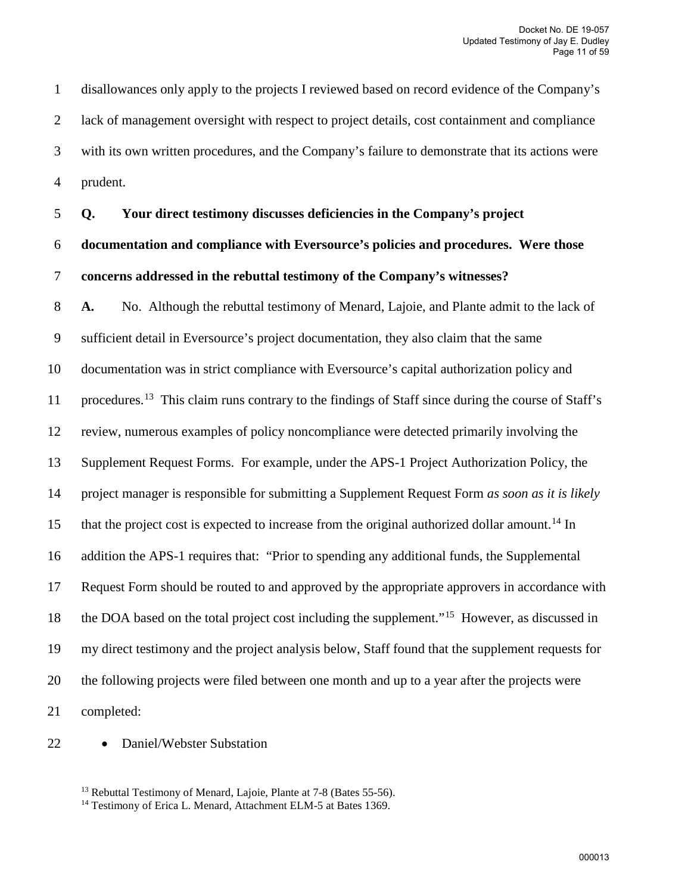1 disallowances only apply to the projects I reviewed based on record evidence of the Company's 2 lack of management oversight with respect to project details, cost containment and compliance 3 with its own written procedures, and the Company's failure to demonstrate that its actions were 4 prudent.

### 5 **Q. Your direct testimony discusses deficiencies in the Company's project**

# 6 **documentation and compliance with Eversource's policies and procedures. Were those**  7 **concerns addressed in the rebuttal testimony of the Company's witnesses?**

8 **A.** No. Although the rebuttal testimony of Menard, Lajoie, and Plante admit to the lack of 9 sufficient detail in Eversource's project documentation, they also claim that the same 10 documentation was in strict compliance with Eversource's capital authorization policy and 11 procedures.<sup>[13](#page-12-0)</sup> This claim runs contrary to the findings of Staff since during the course of Staff's 12 review, numerous examples of policy noncompliance were detected primarily involving the 13 Supplement Request Forms. For example, under the APS-1 Project Authorization Policy, the 14 project manager is responsible for submitting a Supplement Request Form *as soon as it is likely* 15 that the project cost is expected to increase from the original authorized dollar amount.<sup>[14](#page-12-1)</sup> In 16 addition the APS-1 requires that: "Prior to spending any additional funds, the Supplemental 17 Request Form should be routed to and approved by the appropriate approvers in accordance with 18 the DOA based on the total project cost including the supplement."<sup>[15](#page-12-1)</sup> However, as discussed in 19 my direct testimony and the project analysis below, Staff found that the supplement requests for 20 the following projects were filed between one month and up to a year after the projects were 21 completed:

<span id="page-12-1"></span><span id="page-12-0"></span>22 • Daniel/Webster Substation

<sup>13</sup> Rebuttal Testimony of Menard, Lajoie, Plante at 7-8 (Bates 55-56).

<sup>14</sup> Testimony of Erica L. Menard, Attachment ELM-5 at Bates 1369.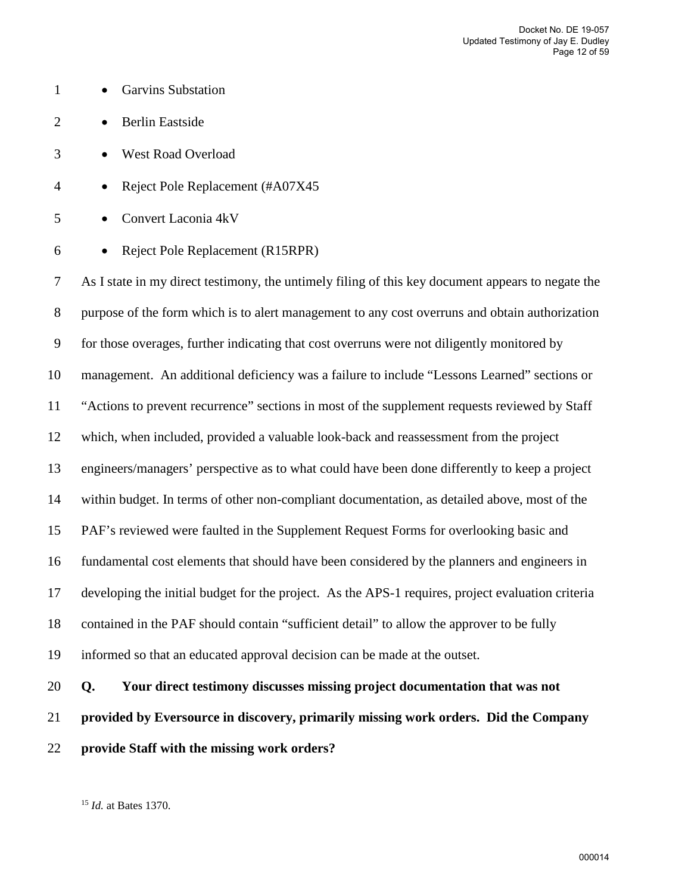- 1 Garvins Substation
- 2 Berlin Eastside
- 3 West Road Overload
- 4 Reject Pole Replacement (#A07X45
- 5 Convert Laconia 4kV
- 6 Reject Pole Replacement (R15RPR)

7 As I state in my direct testimony, the untimely filing of this key document appears to negate the 8 purpose of the form which is to alert management to any cost overruns and obtain authorization 9 for those overages, further indicating that cost overruns were not diligently monitored by 10 management. An additional deficiency was a failure to include "Lessons Learned" sections or 11 "Actions to prevent recurrence" sections in most of the supplement requests reviewed by Staff 12 which, when included, provided a valuable look-back and reassessment from the project 13 engineers/managers' perspective as to what could have been done differently to keep a project 14 within budget. In terms of other non-compliant documentation, as detailed above, most of the 15 PAF's reviewed were faulted in the Supplement Request Forms for overlooking basic and 16 fundamental cost elements that should have been considered by the planners and engineers in 17 developing the initial budget for the project. As the APS-1 requires, project evaluation criteria 18 contained in the PAF should contain "sufficient detail" to allow the approver to be fully 19 informed so that an educated approval decision can be made at the outset. 20 **Q. Your direct testimony discusses missing project documentation that was not** 

- 21 **provided by Eversource in discovery, primarily missing work orders. Did the Company**
- 22 **provide Staff with the missing work orders?**

<sup>15</sup> *Id.* at Bates 1370.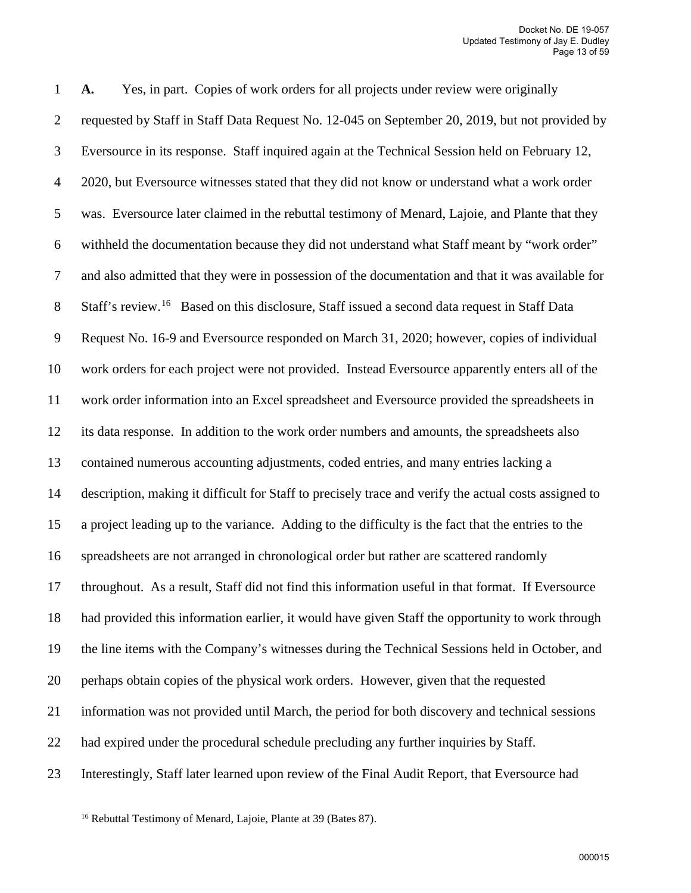1 **A.** Yes, in part. Copies of work orders for all projects under review were originally 2 requested by Staff in Staff Data Request No. 12-045 on September 20, 2019, but not provided by 3 Eversource in its response. Staff inquired again at the Technical Session held on February 12, 4 2020, but Eversource witnesses stated that they did not know or understand what a work order 5 was. Eversource later claimed in the rebuttal testimony of Menard, Lajoie, and Plante that they 6 withheld the documentation because they did not understand what Staff meant by "work order" 7 and also admitted that they were in possession of the documentation and that it was available for 8 Staff's review.<sup>[16](#page-14-0)</sup> Based on this disclosure, Staff issued a second data request in Staff Data 9 Request No. 16-9 and Eversource responded on March 31, 2020; however, copies of individual 10 work orders for each project were not provided. Instead Eversource apparently enters all of the 11 work order information into an Excel spreadsheet and Eversource provided the spreadsheets in 12 its data response. In addition to the work order numbers and amounts, the spreadsheets also 13 contained numerous accounting adjustments, coded entries, and many entries lacking a 14 description, making it difficult for Staff to precisely trace and verify the actual costs assigned to 15 a project leading up to the variance. Adding to the difficulty is the fact that the entries to the 16 spreadsheets are not arranged in chronological order but rather are scattered randomly 17 throughout. As a result, Staff did not find this information useful in that format. If Eversource 18 had provided this information earlier, it would have given Staff the opportunity to work through 19 the line items with the Company's witnesses during the Technical Sessions held in October, and 20 perhaps obtain copies of the physical work orders. However, given that the requested 21 information was not provided until March, the period for both discovery and technical sessions 22 had expired under the procedural schedule precluding any further inquiries by Staff. 23 Interestingly, Staff later learned upon review of the Final Audit Report, that Eversource had

<span id="page-14-0"></span><sup>16</sup> Rebuttal Testimony of Menard, Lajoie, Plante at 39 (Bates 87).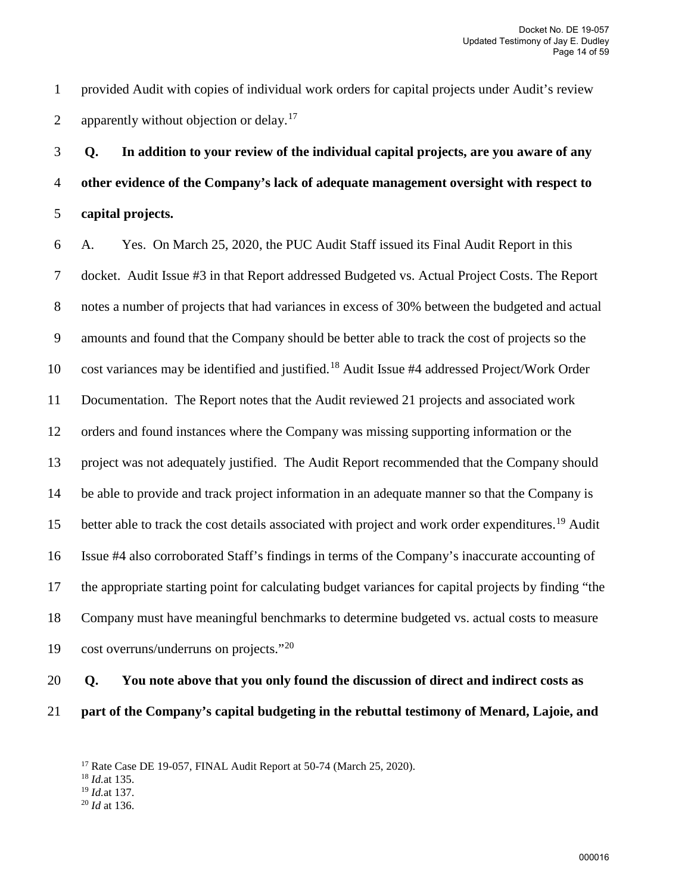1 provided Audit with copies of individual work orders for capital projects under Audit's review 2 apparently without objection or delay.<sup>[17](#page-15-0)</sup>

3 **Q. In addition to your review of the individual capital projects, are you aware of any**  4 **other evidence of the Company's lack of adequate management oversight with respect to**  5 **capital projects.** 

6 A. Yes. On March 25, 2020, the PUC Audit Staff issued its Final Audit Report in this 7 docket. Audit Issue #3 in that Report addressed Budgeted vs. Actual Project Costs. The Report 8 notes a number of projects that had variances in excess of 30% between the budgeted and actual 9 amounts and found that the Company should be better able to track the cost of projects so the 10 cost variances may be identified and justified.<sup>[18](#page-15-1)</sup> Audit Issue #4 addressed Project/Work Order 11 Documentation. The Report notes that the Audit reviewed 21 projects and associated work 12 orders and found instances where the Company was missing supporting information or the 13 project was not adequately justified. The Audit Report recommended that the Company should 14 be able to provide and track project information in an adequate manner so that the Company is 15 better able to track the cost details associated with project and work order expenditures.<sup>[19](#page-15-2)</sup> Audit 16 Issue #4 also corroborated Staff's findings in terms of the Company's inaccurate accounting of 17 the appropriate starting point for calculating budget variances for capital projects by finding "the 18 Company must have meaningful benchmarks to determine budgeted vs. actual costs to measure 19 cost overruns/underruns on projects." $20$ 

# 20 **Q. You note above that you only found the discussion of direct and indirect costs as**  21 **part of the Company's capital budgeting in the rebuttal testimony of Menard, Lajoie, and**

<span id="page-15-3"></span><sup>20</sup> *Id* at 136.

<span id="page-15-0"></span><sup>&</sup>lt;sup>17</sup> Rate Case DE 19-057, FINAL Audit Report at 50-74 (March 25, 2020).

<span id="page-15-1"></span><sup>18</sup> *Id.*at 135.

<span id="page-15-2"></span><sup>19</sup> *Id.*at 137.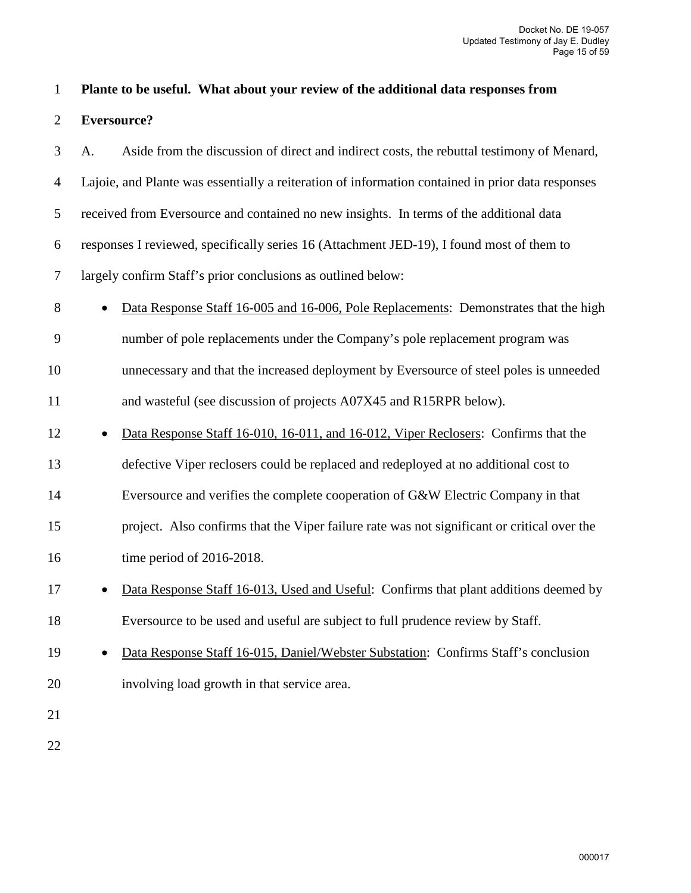#### 1 **Plante to be useful. What about your review of the additional data responses from**

2 **Eversource?**

3 A. Aside from the discussion of direct and indirect costs, the rebuttal testimony of Menard, 4 Lajoie, and Plante was essentially a reiteration of information contained in prior data responses 5 received from Eversource and contained no new insights. In terms of the additional data 6 responses I reviewed, specifically series 16 (Attachment JED-19), I found most of them to 7 largely confirm Staff's prior conclusions as outlined below: 8 • Data Response Staff 16-005 and 16-006, Pole Replacements: Demonstrates that the high 9 number of pole replacements under the Company's pole replacement program was 10 unnecessary and that the increased deployment by Eversource of steel poles is unneeded 11 and wasteful (see discussion of projects A07X45 and R15RPR below). 12 • Data Response Staff 16-010, 16-011, and 16-012, Viper Reclosers: Confirms that the 13 defective Viper reclosers could be replaced and redeployed at no additional cost to 14 Eversource and verifies the complete cooperation of G&W Electric Company in that 15 project. Also confirms that the Viper failure rate was not significant or critical over the 16 time period of 2016-2018. 17 • Data Response Staff 16-013, Used and Useful: Confirms that plant additions deemed by 18 Eversource to be used and useful are subject to full prudence review by Staff. 19 • Data Response Staff 16-015, Daniel/Webster Substation: Confirms Staff's conclusion 20 involving load growth in that service area.

21

22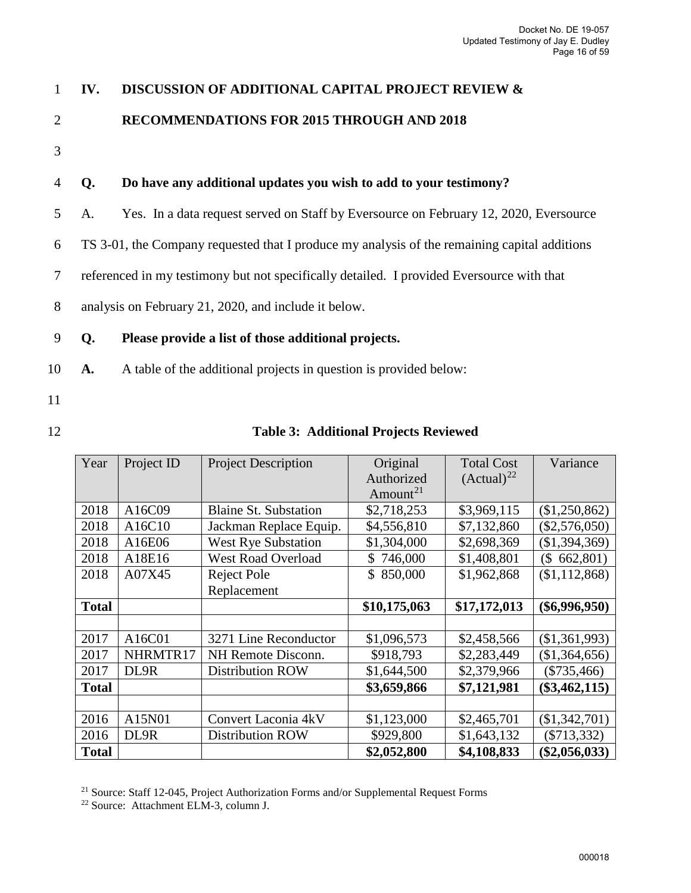# 1 **IV. DISCUSSION OF ADDITIONAL CAPITAL PROJECT REVIEW &**

# 2 **RECOMMENDATIONS FOR 2015 THROUGH AND 2018**

3

### 4 **Q. Do have any additional updates you wish to add to your testimony?**

- 5 A. Yes. In a data request served on Staff by Eversource on February 12, 2020, Eversource
- 6 TS 3-01, the Company requested that I produce my analysis of the remaining capital additions
- 7 referenced in my testimony but not specifically detailed. I provided Eversource with that
- 8 analysis on February 21, 2020, and include it below.

#### 9 **Q. Please provide a list of those additional projects.**

- 10 **A.** A table of the additional projects in question is provided below:
- 11
- 

#### 12 **Table 3: Additional Projects Reviewed**

| Year         | Project ID | <b>Project Description</b>   | Original                  | <b>Total Cost</b> | Variance        |
|--------------|------------|------------------------------|---------------------------|-------------------|-----------------|
|              |            |                              | Authorized                | $(Actual)^{22}$   |                 |
|              |            |                              | Amount <sup>21</sup>      |                   |                 |
| 2018         | A16C09     | <b>Blaine St. Substation</b> | \$2,718,253               | \$3,969,115       | (\$1,250,862)   |
| 2018         | A16C10     | Jackman Replace Equip.       | \$4,556,810               | \$7,132,860       | $(\$2,576,050)$ |
| 2018         | A16E06     | <b>West Rye Substation</b>   | \$1,304,000               | \$2,698,369       | (\$1,394,369)   |
| 2018         | A18E16     | <b>West Road Overload</b>    | 746,000<br>$\mathbb{S}^-$ | \$1,408,801       | 662,801)<br>(\$ |
| 2018         | A07X45     | Reject Pole                  | 850,000<br>\$             | \$1,962,868       | (\$1,112,868)   |
|              |            | Replacement                  |                           |                   |                 |
| <b>Total</b> |            |                              | \$10,175,063              | \$17,172,013      | $(\$6,996,950)$ |
|              |            |                              |                           |                   |                 |
| 2017         | A16C01     | 3271 Line Reconductor        | \$1,096,573               | \$2,458,566       | (\$1,361,993)   |
| 2017         | NHRMTR17   | NH Remote Disconn.           | \$918,793                 | \$2,283,449       | (\$1,364,656)   |
| 2017         | DL9R       | <b>Distribution ROW</b>      | \$1,644,500               | \$2,379,966       | $(\$735,466)$   |
| <b>Total</b> |            |                              | \$3,659,866               | \$7,121,981       | $(\$3,462,115)$ |
|              |            |                              |                           |                   |                 |
| 2016         | A15N01     | Convert Laconia 4kV          | \$1,123,000               | \$2,465,701       | $(\$1,342,701)$ |
| 2016         | DL9R       | <b>Distribution ROW</b>      | \$929,800                 | \$1,643,132       | $(\$713,332)$   |
| <b>Total</b> |            |                              | \$2,052,800               | \$4,108,833       | $(\$2,056,033)$ |

<span id="page-17-0"></span><sup>21</sup> Source: Staff 12-045, Project Authorization Forms and/or Supplemental Request Forms

<span id="page-17-1"></span><sup>22</sup> Source: Attachment ELM-3, column J.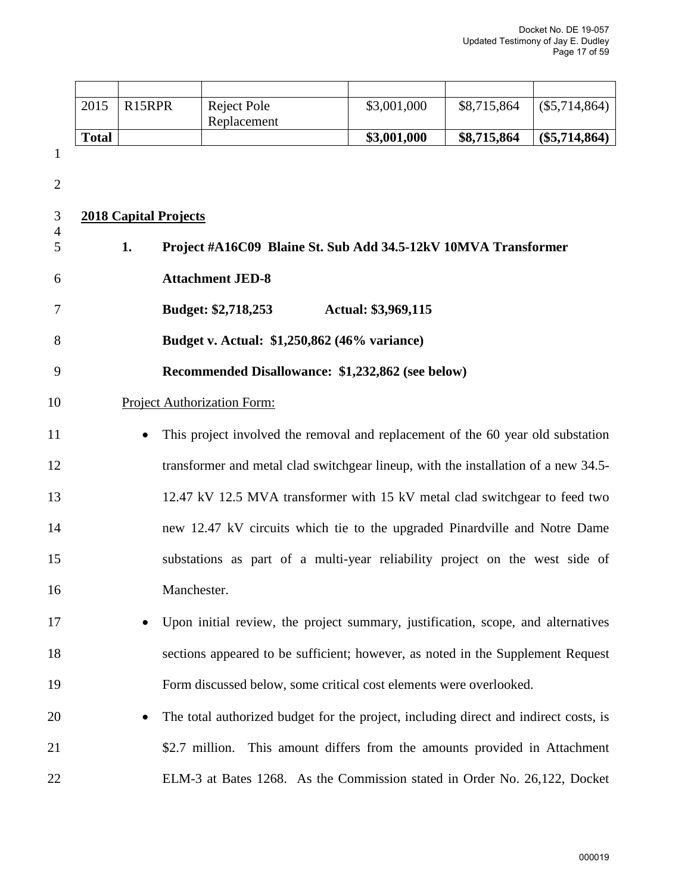| 2015         | R <sub>15</sub> RPR | Reject Pole | \$3,001,000 | \$8,715,864 | (\$5,714,864)   |
|--------------|---------------------|-------------|-------------|-------------|-----------------|
|              |                     | Replacement |             |             |                 |
| <b>Total</b> |                     |             | \$3,001,000 | \$8,715,864 | $(\$5,714,864)$ |

1

2

4

# 3 **2018 Capital Projects**

- 5 **1. Project #A16C09 Blaine St. Sub Add 34.5-12kV 10MVA Transformer**  6 **Attachment JED-8**  7 **Budget: \$2,718,253 Actual: \$3,969,115**  8 **Budget v. Actual: \$1,250,862 (46% variance)**  9 **Recommended Disallowance: \$1,232,862 (see below)** 10 Project Authorization Form: 11 • This project involved the removal and replacement of the 60 year old substation 12 transformer and metal clad switchgear lineup, with the installation of a new 34.5- 13 12.47 kV 12.5 MVA transformer with 15 kV metal clad switchgear to feed two 14 new 12.47 kV circuits which tie to the upgraded Pinardville and Notre Dame 15 substations as part of a multi-year reliability project on the west side of 16 Manchester. 17 • Upon initial review, the project summary, justification, scope, and alternatives
- 18 sections appeared to be sufficient; however, as noted in the Supplement Request 19 Form discussed below, some critical cost elements were overlooked.
- 20 The total authorized budget for the project, including direct and indirect costs, is 21 \$2.7 million. This amount differs from the amounts provided in Attachment 22 ELM-3 at Bates 1268. As the Commission stated in Order No. 26,122, Docket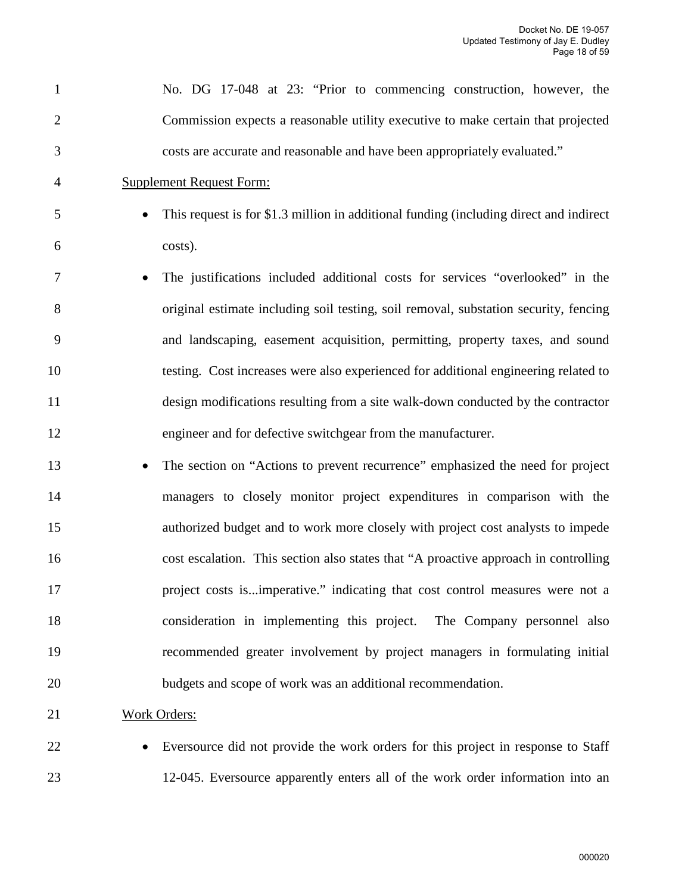| $\mathbf{1}$   | No. DG 17-048 at 23: "Prior to commencing construction, however, the                   |
|----------------|----------------------------------------------------------------------------------------|
| $\overline{2}$ | Commission expects a reasonable utility executive to make certain that projected       |
| 3              | costs are accurate and reasonable and have been appropriately evaluated."              |
| 4              | <b>Supplement Request Form:</b>                                                        |
| 5              | This request is for \$1.3 million in additional funding (including direct and indirect |
| 6              | costs).                                                                                |
| 7              | The justifications included additional costs for services "overlooked" in the          |
| 8              | original estimate including soil testing, soil removal, substation security, fencing   |
| 9              | and landscaping, easement acquisition, permitting, property taxes, and sound           |
| 10             | testing. Cost increases were also experienced for additional engineering related to    |
| 11             | design modifications resulting from a site walk-down conducted by the contractor       |
| 12             | engineer and for defective switchgear from the manufacturer.                           |
| 13             | The section on "Actions to prevent recurrence" emphasized the need for project         |
| 14             | managers to closely monitor project expenditures in comparison with the                |
| 15             | authorized budget and to work more closely with project cost analysts to impede        |
| 16             | cost escalation. This section also states that "A proactive approach in controlling    |
| 17             | project costs isimperative." indicating that cost control measures were not a          |
| 18             | consideration in implementing this project. The Company personnel also                 |
| 19             | recommended greater involvement by project managers in formulating initial             |
| 20             | budgets and scope of work was an additional recommendation.                            |
| 21             | <b>Work Orders:</b>                                                                    |

22 • Eversource did not provide the work orders for this project in response to Staff 23 12-045. Eversource apparently enters all of the work order information into an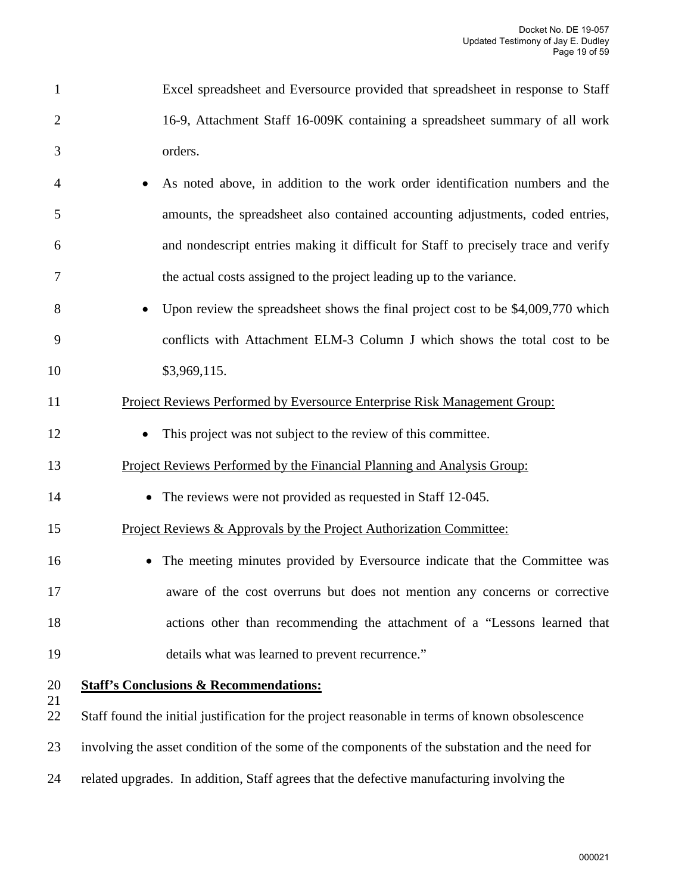- 1 Excel spreadsheet and Eversource provided that spreadsheet in response to Staff 2 16-9, Attachment Staff 16-009K containing a spreadsheet summary of all work 3 orders.
- 4 As noted above, in addition to the work order identification numbers and the 5 amounts, the spreadsheet also contained accounting adjustments, coded entries, 6 and nondescript entries making it difficult for Staff to precisely trace and verify 7 the actual costs assigned to the project leading up to the variance.
- 8 Upon review the spreadsheet shows the final project cost to be \$4,009,770 which 9 conflicts with Attachment ELM-3 Column J which shows the total cost to be 10 \$3,969,115.

#### 11 Project Reviews Performed by Eversource Enterprise Risk Management Group:

12 • This project was not subject to the review of this committee.

#### 13 Project Reviews Performed by the Financial Planning and Analysis Group:

- 14 The reviews were not provided as requested in Staff 12-045.
- 15 Project Reviews & Approvals by the Project Authorization Committee:
- 16 The meeting minutes provided by Eversource indicate that the Committee was 17 aware of the cost overruns but does not mention any concerns or corrective 18 actions other than recommending the attachment of a "Lessons learned that 19 details what was learned to prevent recurrence."
- 21

#### 20 **Staff's Conclusions & Recommendations:**

22 Staff found the initial justification for the project reasonable in terms of known obsolescence

- 23 involving the asset condition of the some of the components of the substation and the need for
- 24 related upgrades. In addition, Staff agrees that the defective manufacturing involving the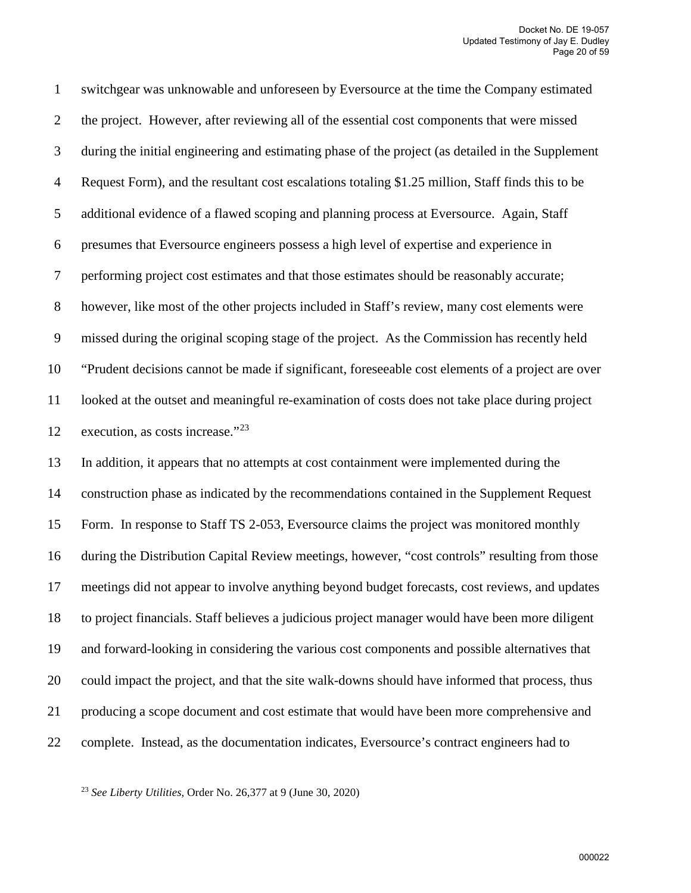1 switchgear was unknowable and unforeseen by Eversource at the time the Company estimated 2 the project. However, after reviewing all of the essential cost components that were missed 3 during the initial engineering and estimating phase of the project (as detailed in the Supplement 4 Request Form), and the resultant cost escalations totaling \$1.25 million, Staff finds this to be 5 additional evidence of a flawed scoping and planning process at Eversource. Again, Staff 6 presumes that Eversource engineers possess a high level of expertise and experience in 7 performing project cost estimates and that those estimates should be reasonably accurate; 8 however, like most of the other projects included in Staff's review, many cost elements were 9 missed during the original scoping stage of the project. As the Commission has recently held 10 "Prudent decisions cannot be made if significant, foreseeable cost elements of a project are over 11 looked at the outset and meaningful re-examination of costs does not take place during project 12 execution, as costs increase." $2<sup>3</sup>$ 

13 In addition, it appears that no attempts at cost containment were implemented during the 14 construction phase as indicated by the recommendations contained in the Supplement Request 15 Form. In response to Staff TS 2-053, Eversource claims the project was monitored monthly 16 during the Distribution Capital Review meetings, however, "cost controls" resulting from those 17 meetings did not appear to involve anything beyond budget forecasts, cost reviews, and updates 18 to project financials. Staff believes a judicious project manager would have been more diligent 19 and forward-looking in considering the various cost components and possible alternatives that 20 could impact the project, and that the site walk-downs should have informed that process, thus 21 producing a scope document and cost estimate that would have been more comprehensive and 22 complete. Instead, as the documentation indicates, Eversource's contract engineers had to

<span id="page-21-0"></span><sup>23</sup> *See Liberty Utilities,* Order No. 26,377 at 9 (June 30, 2020)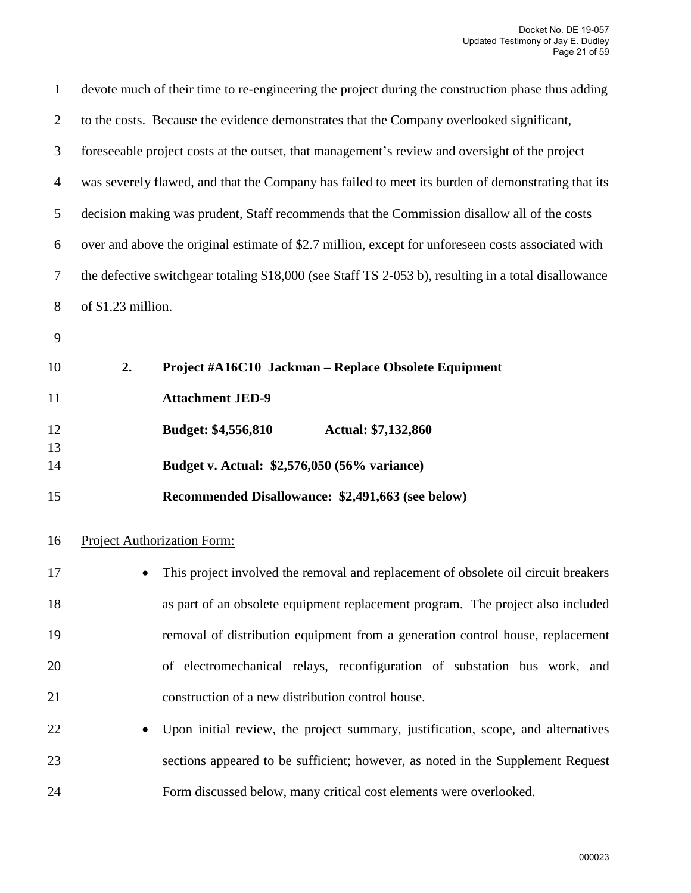| $\mathbf{1}$   |                    | devote much of their time to re-engineering the project during the construction phase thus adding    |  |  |
|----------------|--------------------|------------------------------------------------------------------------------------------------------|--|--|
| $\overline{2}$ |                    | to the costs. Because the evidence demonstrates that the Company overlooked significant,             |  |  |
| 3              |                    | foreseeable project costs at the outset, that management's review and oversight of the project       |  |  |
| $\overline{4}$ |                    | was severely flawed, and that the Company has failed to meet its burden of demonstrating that its    |  |  |
| 5              |                    | decision making was prudent, Staff recommends that the Commission disallow all of the costs          |  |  |
| 6              |                    | over and above the original estimate of \$2.7 million, except for unforeseen costs associated with   |  |  |
| $\tau$         |                    | the defective switchgear totaling \$18,000 (see Staff TS 2-053 b), resulting in a total disallowance |  |  |
| $8\phantom{1}$ | of \$1.23 million. |                                                                                                      |  |  |
| 9              |                    |                                                                                                      |  |  |
| 10             | 2.                 | Project #A16C10 Jackman - Replace Obsolete Equipment                                                 |  |  |
| 11             |                    | <b>Attachment JED-9</b>                                                                              |  |  |
| 12             |                    | Budget: \$4,556,810<br>Actual: \$7,132,860                                                           |  |  |
| 13<br>14       |                    | Budget v. Actual: \$2,576,050 (56% variance)                                                         |  |  |
| 15             |                    | Recommended Disallowance: \$2,491,663 (see below)                                                    |  |  |
| 16             |                    | <b>Project Authorization Form:</b>                                                                   |  |  |
| 17             |                    | This project involved the removal and replacement of obsolete oil circuit breakers                   |  |  |
| 18             |                    | as part of an obsolete equipment replacement program. The project also included                      |  |  |
| 19             |                    | removal of distribution equipment from a generation control house, replacement                       |  |  |
| 20             |                    | of electromechanical relays, reconfiguration of substation bus work, and                             |  |  |
| 21             |                    | construction of a new distribution control house.                                                    |  |  |
| 22             |                    | Upon initial review, the project summary, justification, scope, and alternatives                     |  |  |
| 23             |                    | sections appeared to be sufficient; however, as noted in the Supplement Request                      |  |  |
| 24             |                    | Form discussed below, many critical cost elements were overlooked.                                   |  |  |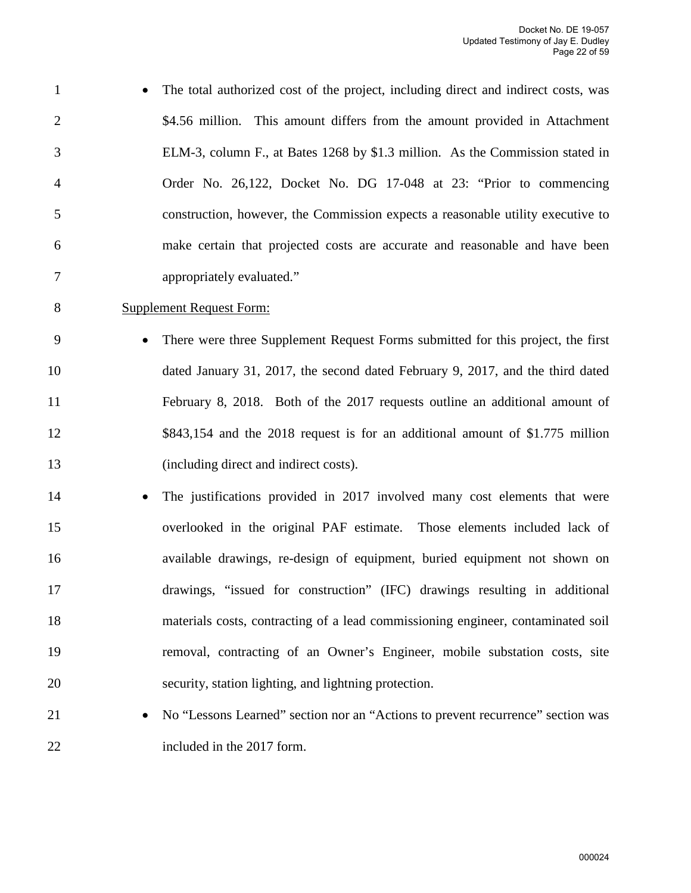- 1 The total authorized cost of the project, including direct and indirect costs, was 2 \$4.56 million. This amount differs from the amount provided in Attachment 3 ELM-3, column F., at Bates 1268 by \$1.3 million. As the Commission stated in 4 Order No. 26,122, Docket No. DG 17-048 at 23: "Prior to commencing 5 construction, however, the Commission expects a reasonable utility executive to 6 make certain that projected costs are accurate and reasonable and have been 7 appropriately evaluated."
- 8 Supplement Request Form:
- 9 There were three Supplement Request Forms submitted for this project, the first 10 dated January 31, 2017, the second dated February 9, 2017, and the third dated 11 February 8, 2018. Both of the 2017 requests outline an additional amount of 12 \$843,154 and the 2018 request is for an additional amount of \$1.775 million 13 (including direct and indirect costs).
- 14 The justifications provided in 2017 involved many cost elements that were 15 overlooked in the original PAF estimate. Those elements included lack of 16 available drawings, re-design of equipment, buried equipment not shown on 17 drawings, "issued for construction" (IFC) drawings resulting in additional 18 materials costs, contracting of a lead commissioning engineer, contaminated soil 19 removal, contracting of an Owner's Engineer, mobile substation costs, site 20 security, station lighting, and lightning protection.
- 21 No "Lessons Learned" section nor an "Actions to prevent recurrence" section was 22 included in the 2017 form.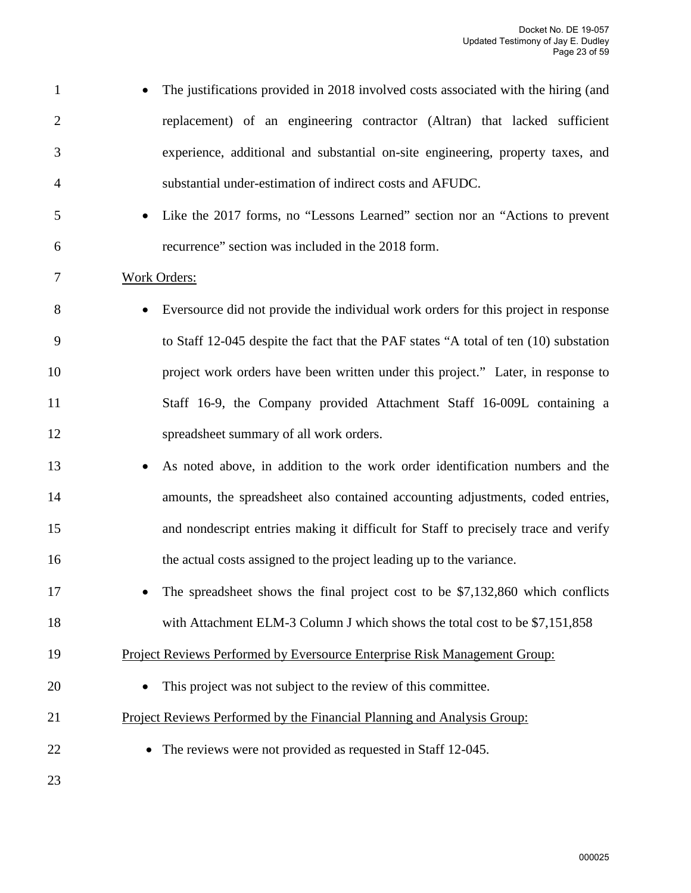| $\mathbf{1}$   | The justifications provided in 2018 involved costs associated with the hiring (and   |
|----------------|--------------------------------------------------------------------------------------|
| $\overline{2}$ | replacement) of an engineering contractor (Altran) that lacked sufficient            |
| 3              | experience, additional and substantial on-site engineering, property taxes, and      |
| $\overline{4}$ | substantial under-estimation of indirect costs and AFUDC.                            |
| 5              | Like the 2017 forms, no "Lessons Learned" section nor an "Actions to prevent         |
| 6              | recurrence" section was included in the 2018 form.                                   |
| 7              | Work Orders:                                                                         |
| 8              | Eversource did not provide the individual work orders for this project in response   |
| 9              | to Staff 12-045 despite the fact that the PAF states "A total of ten (10) substation |
| 10             | project work orders have been written under this project." Later, in response to     |
| 11             | Staff 16-9, the Company provided Attachment Staff 16-009L containing a               |
| 12             | spreadsheet summary of all work orders.                                              |
| 13             | As noted above, in addition to the work order identification numbers and the         |
| 14             | amounts, the spreadsheet also contained accounting adjustments, coded entries,       |
| 15             | and nondescript entries making it difficult for Staff to precisely trace and verify  |
| 16             | the actual costs assigned to the project leading up to the variance.                 |
| 17             | The spreadsheet shows the final project cost to be \$7,132,860 which conflicts       |
| 18             | with Attachment ELM-3 Column J which shows the total cost to be \$7,151,858          |
| 19             | Project Reviews Performed by Eversource Enterprise Risk Management Group:            |
| 20             | This project was not subject to the review of this committee.                        |
| 21             | Project Reviews Performed by the Financial Planning and Analysis Group:              |
| 22             | The reviews were not provided as requested in Staff 12-045.                          |
| 23             |                                                                                      |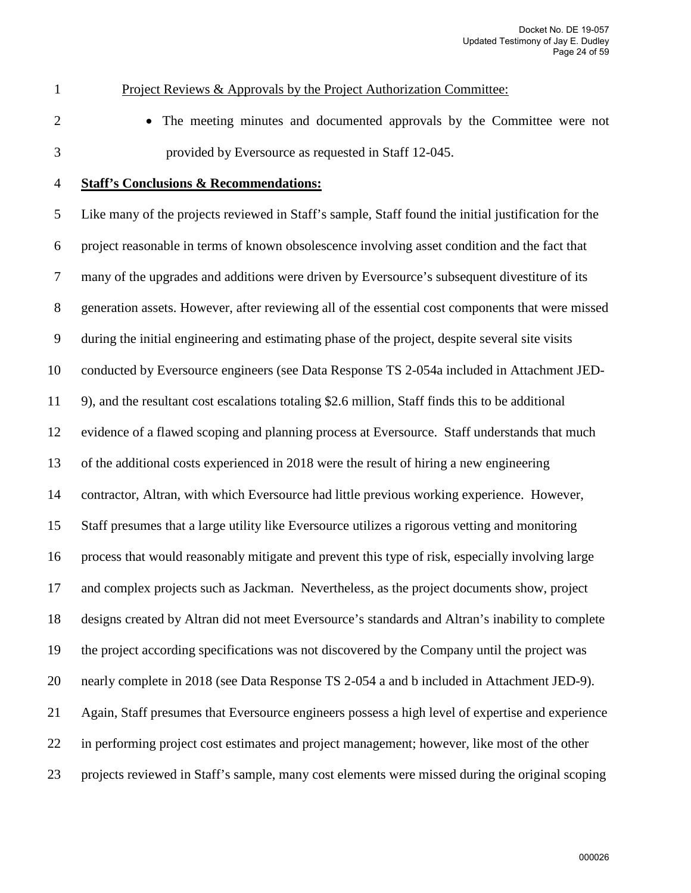#### 1 Project Reviews & Approvals by the Project Authorization Committee:

2 • The meeting minutes and documented approvals by the Committee were not 3 provided by Eversource as requested in Staff 12-045.

#### 4 **Staff's Conclusions & Recommendations:**

5 Like many of the projects reviewed in Staff's sample, Staff found the initial justification for the 6 project reasonable in terms of known obsolescence involving asset condition and the fact that 7 many of the upgrades and additions were driven by Eversource's subsequent divestiture of its 8 generation assets. However, after reviewing all of the essential cost components that were missed 9 during the initial engineering and estimating phase of the project, despite several site visits 10 conducted by Eversource engineers (see Data Response TS 2-054a included in Attachment JED-11 9), and the resultant cost escalations totaling \$2.6 million, Staff finds this to be additional 12 evidence of a flawed scoping and planning process at Eversource. Staff understands that much 13 of the additional costs experienced in 2018 were the result of hiring a new engineering 14 contractor, Altran, with which Eversource had little previous working experience. However, 15 Staff presumes that a large utility like Eversource utilizes a rigorous vetting and monitoring 16 process that would reasonably mitigate and prevent this type of risk, especially involving large 17 and complex projects such as Jackman. Nevertheless, as the project documents show, project 18 designs created by Altran did not meet Eversource's standards and Altran's inability to complete 19 the project according specifications was not discovered by the Company until the project was 20 nearly complete in 2018 (see Data Response TS 2-054 a and b included in Attachment JED-9). 21 Again, Staff presumes that Eversource engineers possess a high level of expertise and experience 22 in performing project cost estimates and project management; however, like most of the other 23 projects reviewed in Staff's sample, many cost elements were missed during the original scoping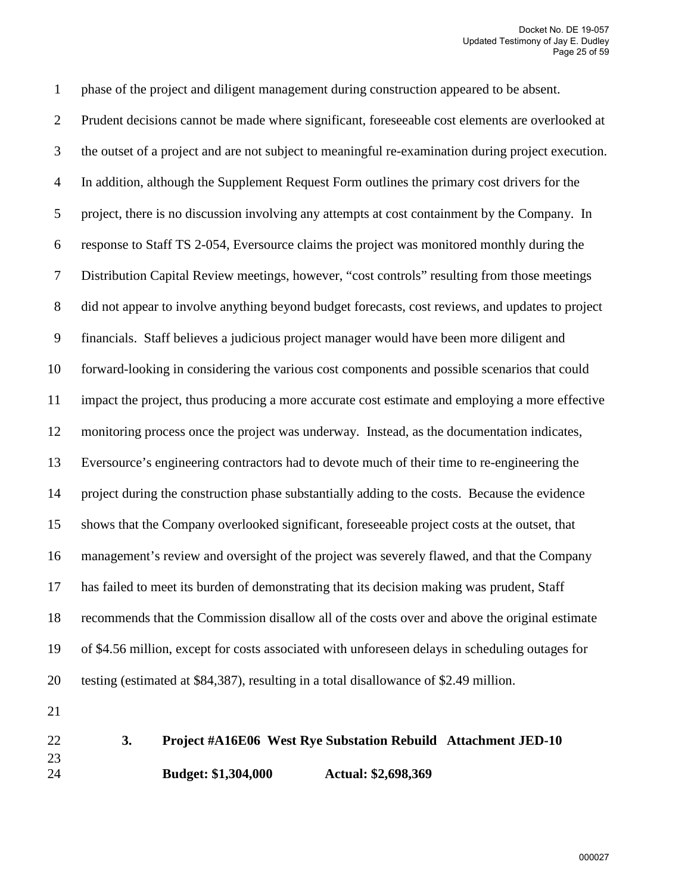1 phase of the project and diligent management during construction appeared to be absent. 2 Prudent decisions cannot be made where significant, foreseeable cost elements are overlooked at 3 the outset of a project and are not subject to meaningful re-examination during project execution. 4 In addition, although the Supplement Request Form outlines the primary cost drivers for the 5 project, there is no discussion involving any attempts at cost containment by the Company. In 6 response to Staff TS 2-054, Eversource claims the project was monitored monthly during the 7 Distribution Capital Review meetings, however, "cost controls" resulting from those meetings 8 did not appear to involve anything beyond budget forecasts, cost reviews, and updates to project 9 financials. Staff believes a judicious project manager would have been more diligent and 10 forward-looking in considering the various cost components and possible scenarios that could 11 impact the project, thus producing a more accurate cost estimate and employing a more effective 12 monitoring process once the project was underway. Instead, as the documentation indicates, 13 Eversource's engineering contractors had to devote much of their time to re-engineering the 14 project during the construction phase substantially adding to the costs. Because the evidence 15 shows that the Company overlooked significant, foreseeable project costs at the outset, that 16 management's review and oversight of the project was severely flawed, and that the Company 17 has failed to meet its burden of demonstrating that its decision making was prudent, Staff 18 recommends that the Commission disallow all of the costs over and above the original estimate 19 of \$4.56 million, except for costs associated with unforeseen delays in scheduling outages for 20 testing (estimated at \$84,387), resulting in a total disallowance of \$2.49 million. 21 22 **3. Project #A16E06 West Rye Substation Rebuild Attachment JED-10**  23 24 **Budget: \$1,304,000 Actual: \$2,698,369**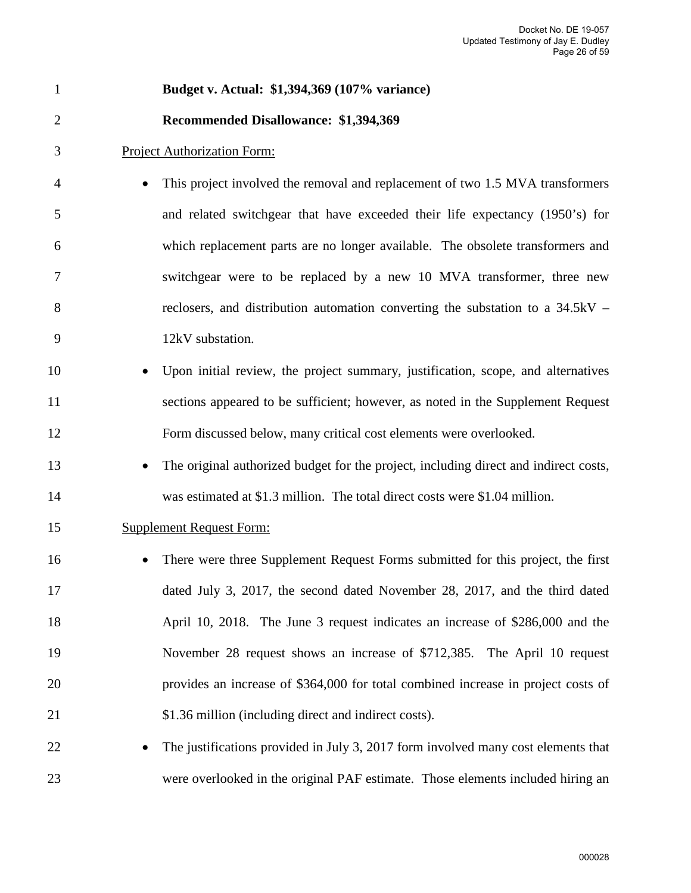| $\mathbf{1}$   | Budget v. Actual: \$1,394,369 (107% variance)                                        |
|----------------|--------------------------------------------------------------------------------------|
| $\overline{2}$ | Recommended Disallowance: \$1,394,369                                                |
| 3              | <b>Project Authorization Form:</b>                                                   |
| $\overline{4}$ | This project involved the removal and replacement of two 1.5 MVA transformers        |
| 5              | and related switchgear that have exceeded their life expectancy (1950's) for         |
| 6              | which replacement parts are no longer available. The obsolete transformers and       |
| 7              | switchgear were to be replaced by a new 10 MVA transformer, three new                |
| 8              | reclosers, and distribution automation converting the substation to a $34.5kV -$     |
| 9              | 12kV substation.                                                                     |
| 10             | Upon initial review, the project summary, justification, scope, and alternatives     |
| 11             | sections appeared to be sufficient; however, as noted in the Supplement Request      |
| 12             | Form discussed below, many critical cost elements were overlooked.                   |
| 13             | The original authorized budget for the project, including direct and indirect costs, |
| 14             | was estimated at \$1.3 million. The total direct costs were \$1.04 million.          |
| 15             | <b>Supplement Request Form:</b>                                                      |
| 16             | There were three Supplement Request Forms submitted for this project, the first      |
| 17             | dated July 3, 2017, the second dated November 28, 2017, and the third dated          |
| 18             | April 10, 2018. The June 3 request indicates an increase of \$286,000 and the        |
| 19             | November 28 request shows an increase of \$712,385. The April 10 request             |
| 20             | provides an increase of \$364,000 for total combined increase in project costs of    |
| 21             | \$1.36 million (including direct and indirect costs).                                |
| 22             | The justifications provided in July 3, 2017 form involved many cost elements that    |
| 23             | were overlooked in the original PAF estimate. Those elements included hiring an      |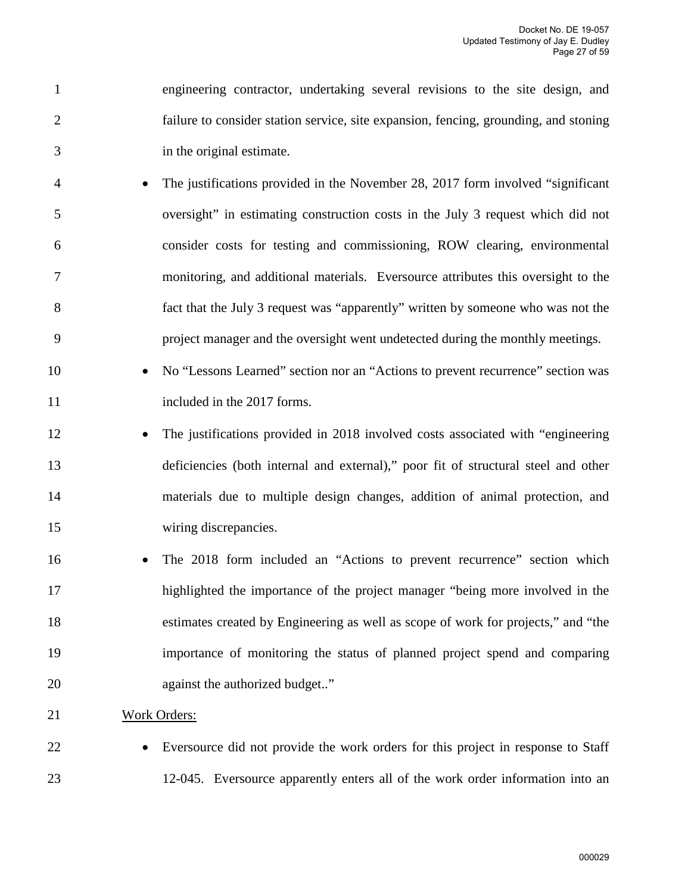1 engineering contractor, undertaking several revisions to the site design, and 2 failure to consider station service, site expansion, fencing, grounding, and stoning 3 in the original estimate.

- 4 The justifications provided in the November 28, 2017 form involved "significant 5 oversight" in estimating construction costs in the July 3 request which did not 6 consider costs for testing and commissioning, ROW clearing, environmental 7 monitoring, and additional materials. Eversource attributes this oversight to the 8 fact that the July 3 request was "apparently" written by someone who was not the 9 project manager and the oversight went undetected during the monthly meetings.
- 10 No "Lessons Learned" section nor an "Actions to prevent recurrence" section was 11 included in the 2017 forms.
- 12 The justifications provided in 2018 involved costs associated with "engineering 13 deficiencies (both internal and external)," poor fit of structural steel and other 14 materials due to multiple design changes, addition of animal protection, and 15 wiring discrepancies.
- 16 The 2018 form included an "Actions to prevent recurrence" section which 17 highlighted the importance of the project manager "being more involved in the 18 estimates created by Engineering as well as scope of work for projects," and "the 19 importance of monitoring the status of planned project spend and comparing 20 against the authorized budget.."
- 21 Work Orders:
- 

22 • Eversource did not provide the work orders for this project in response to Staff 23 12-045. Eversource apparently enters all of the work order information into an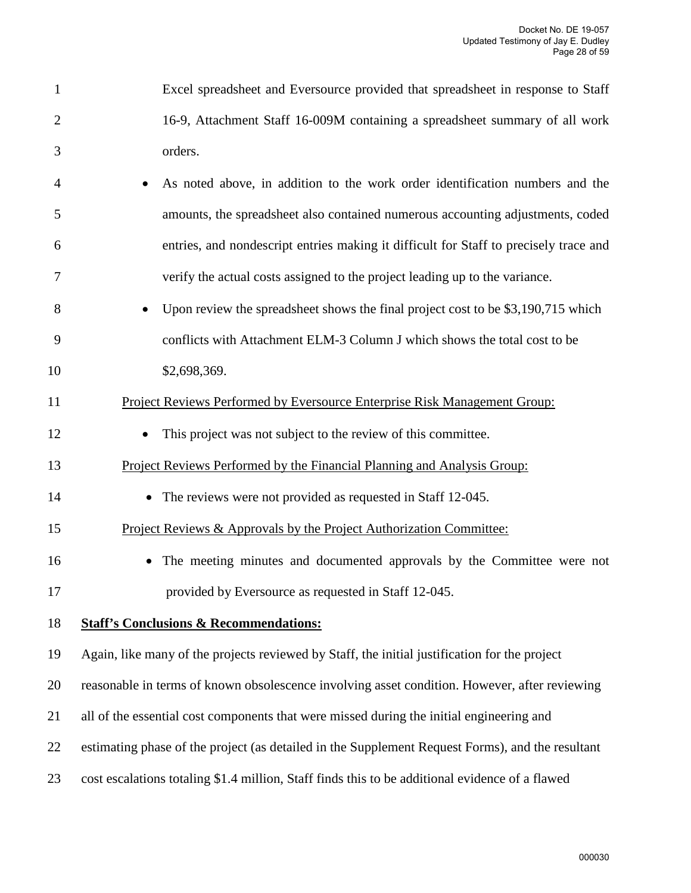| Excel spreadsheet and Eversource provided that spreadsheet in response to Staff |
|---------------------------------------------------------------------------------|
| 16-9, Attachment Staff 16-009M containing a spreadsheet summary of all work     |
| orders.                                                                         |

- 4 As noted above, in addition to the work order identification numbers and the 5 amounts, the spreadsheet also contained numerous accounting adjustments, coded 6 entries, and nondescript entries making it difficult for Staff to precisely trace and 7 verify the actual costs assigned to the project leading up to the variance.
- 8 Upon review the spreadsheet shows the final project cost to be \$3,190,715 which 9 conflicts with Attachment ELM-3 Column J which shows the total cost to be 10 \$2,698,369.
- 11 Project Reviews Performed by Eversource Enterprise Risk Management Group:
- 12 This project was not subject to the review of this committee.
- 13 Project Reviews Performed by the Financial Planning and Analysis Group:
- 14 The reviews were not provided as requested in Staff 12-045.
- 15 Project Reviews & Approvals by the Project Authorization Committee:
- 16 The meeting minutes and documented approvals by the Committee were not 17 provided by Eversource as requested in Staff 12-045.

#### 18 **Staff's Conclusions & Recommendations:**

- 19 Again, like many of the projects reviewed by Staff, the initial justification for the project
- 20 reasonable in terms of known obsolescence involving asset condition. However, after reviewing
- 21 all of the essential cost components that were missed during the initial engineering and
- 22 estimating phase of the project (as detailed in the Supplement Request Forms), and the resultant
- 23 cost escalations totaling \$1.4 million, Staff finds this to be additional evidence of a flawed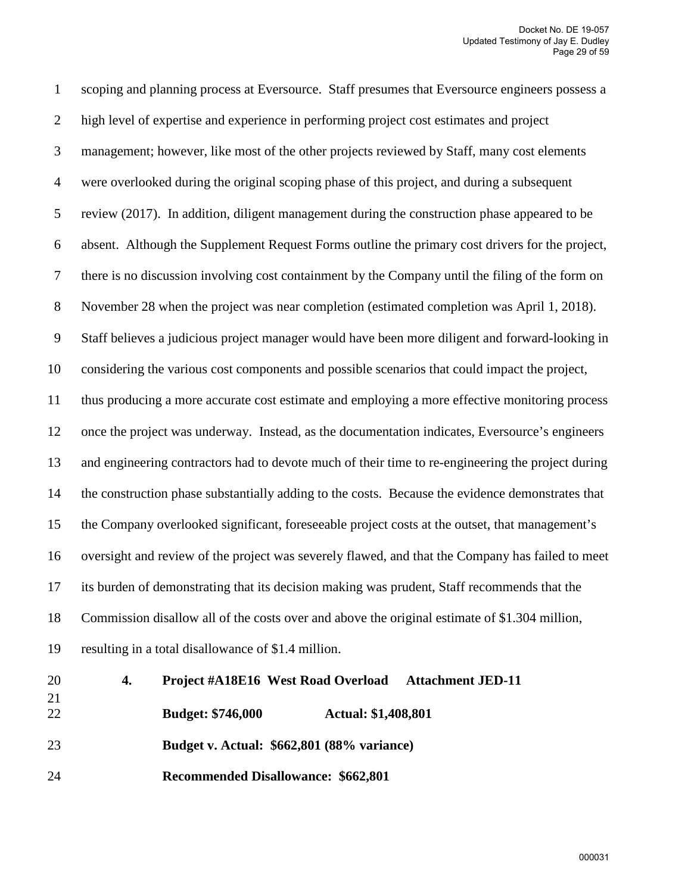1 scoping and planning process at Eversource. Staff presumes that Eversource engineers possess a 2 high level of expertise and experience in performing project cost estimates and project 3 management; however, like most of the other projects reviewed by Staff, many cost elements 4 were overlooked during the original scoping phase of this project, and during a subsequent 5 review (2017). In addition, diligent management during the construction phase appeared to be 6 absent. Although the Supplement Request Forms outline the primary cost drivers for the project, 7 there is no discussion involving cost containment by the Company until the filing of the form on 8 November 28 when the project was near completion (estimated completion was April 1, 2018). 9 Staff believes a judicious project manager would have been more diligent and forward-looking in 10 considering the various cost components and possible scenarios that could impact the project, 11 thus producing a more accurate cost estimate and employing a more effective monitoring process 12 once the project was underway. Instead, as the documentation indicates, Eversource's engineers 13 and engineering contractors had to devote much of their time to re-engineering the project during 14 the construction phase substantially adding to the costs. Because the evidence demonstrates that 15 the Company overlooked significant, foreseeable project costs at the outset, that management's 16 oversight and review of the project was severely flawed, and that the Company has failed to meet 17 its burden of demonstrating that its decision making was prudent, Staff recommends that the 18 Commission disallow all of the costs over and above the original estimate of \$1.304 million, 19 resulting in a total disallowance of \$1.4 million. 20 **4. Project #A18E16 West Road Overload Attachment JED-11**  21

22 **Budget: \$746,000 Actual: \$1,408,801** 

23 **Budget v. Actual: \$662,801 (88% variance)** 

24 **Recommended Disallowance: \$662,801**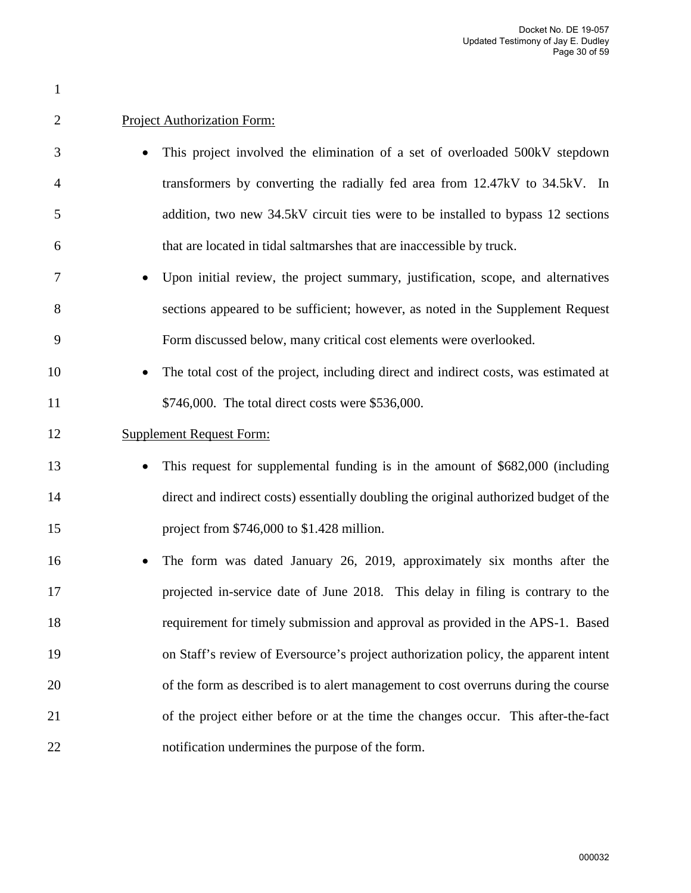| $\overline{2}$ | <b>Project Authorization Form:</b>                                                    |
|----------------|---------------------------------------------------------------------------------------|
| 3              | This project involved the elimination of a set of overloaded 500kV stepdown           |
| $\overline{4}$ | transformers by converting the radially fed area from 12.47kV to 34.5kV. In           |
| 5              | addition, two new 34.5kV circuit ties were to be installed to bypass 12 sections      |
| 6              | that are located in tidal saltmarshes that are inaccessible by truck.                 |
| 7              | Upon initial review, the project summary, justification, scope, and alternatives      |
| 8              | sections appeared to be sufficient; however, as noted in the Supplement Request       |
| 9              | Form discussed below, many critical cost elements were overlooked.                    |
| 10             | The total cost of the project, including direct and indirect costs, was estimated at  |
| 11             | \$746,000. The total direct costs were \$536,000.                                     |
| 12             | <b>Supplement Request Form:</b>                                                       |
| 13             | This request for supplemental funding is in the amount of \$682,000 (including        |
| 14             | direct and indirect costs) essentially doubling the original authorized budget of the |
| 15             | project from \$746,000 to \$1.428 million.                                            |
| 16             | The form was dated January 26, 2019, approximately six months after the<br>$\bullet$  |
| 17             | projected in-service date of June 2018. This delay in filing is contrary to the       |
| 18             | requirement for timely submission and approval as provided in the APS-1. Based        |
| 19             | on Staff's review of Eversource's project authorization policy, the apparent intent   |
| 20             | of the form as described is to alert management to cost overruns during the course    |
| 21             | of the project either before or at the time the changes occur. This after-the-fact    |
| 22             | notification undermines the purpose of the form.                                      |

1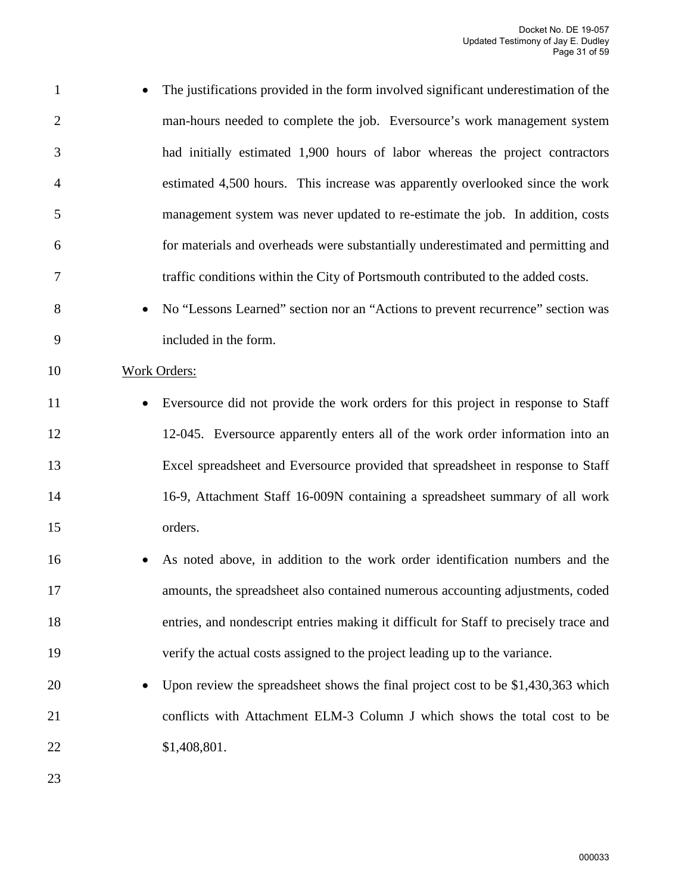| $\mathbf{1}$   | The justifications provided in the form involved significant underestimation of the<br>$\bullet$ |
|----------------|--------------------------------------------------------------------------------------------------|
| 2              | man-hours needed to complete the job. Eversource's work management system                        |
| 3              | had initially estimated 1,900 hours of labor whereas the project contractors                     |
| $\overline{4}$ | estimated 4,500 hours. This increase was apparently overlooked since the work                    |
| 5              | management system was never updated to re-estimate the job. In addition, costs                   |
| 6              | for materials and overheads were substantially underestimated and permitting and                 |
| 7              | traffic conditions within the City of Portsmouth contributed to the added costs.                 |

- 8 No "Lessons Learned" section nor an "Actions to prevent recurrence" section was 9 included in the form.
- 10 Work Orders:
- 11 Eversource did not provide the work orders for this project in response to Staff 12 12-045. Eversource apparently enters all of the work order information into an 13 Excel spreadsheet and Eversource provided that spreadsheet in response to Staff 14 16-9, Attachment Staff 16-009N containing a spreadsheet summary of all work 15 orders.
- 16 As noted above, in addition to the work order identification numbers and the 17 amounts, the spreadsheet also contained numerous accounting adjustments, coded 18 entries, and nondescript entries making it difficult for Staff to precisely trace and 19 verify the actual costs assigned to the project leading up to the variance.
- 20 Upon review the spreadsheet shows the final project cost to be \$1,430,363 which 21 conflicts with Attachment ELM-3 Column J which shows the total cost to be 22 \$1,408,801.
- 23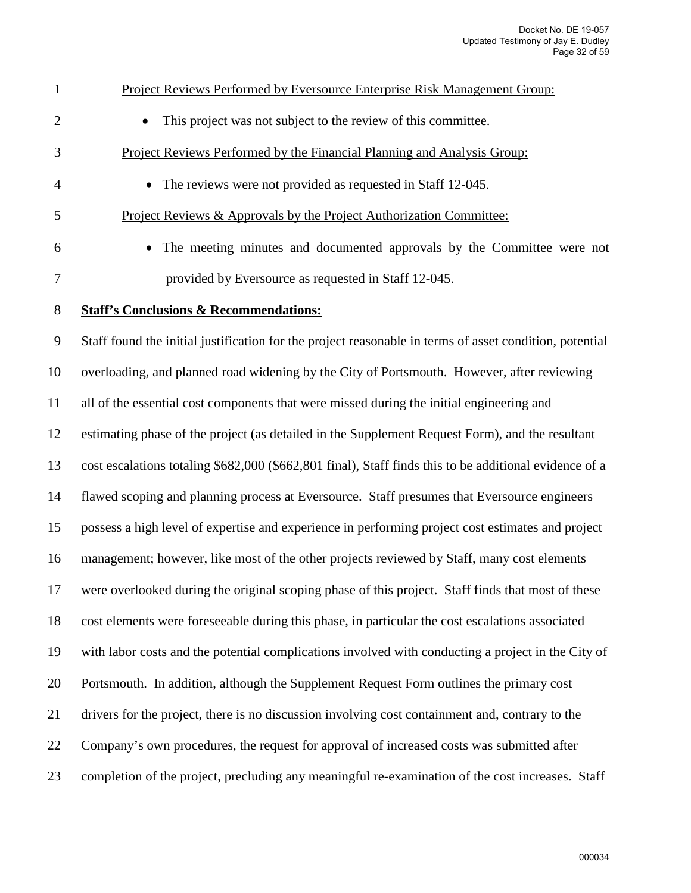| 1                | Project Reviews Performed by Eversource Enterprise Risk Management Group:                               |
|------------------|---------------------------------------------------------------------------------------------------------|
| $\overline{2}$   | This project was not subject to the review of this committee.                                           |
| 3                | Project Reviews Performed by the Financial Planning and Analysis Group:                                 |
| $\overline{4}$   | The reviews were not provided as requested in Staff 12-045.<br>$\bullet$                                |
| 5                | Project Reviews & Approvals by the Project Authorization Committee:                                     |
| 6                | The meeting minutes and documented approvals by the Committee were not                                  |
| $\tau$           | provided by Eversource as requested in Staff 12-045.                                                    |
| $8\,$            | <b>Staff's Conclusions &amp; Recommendations:</b>                                                       |
| $\boldsymbol{9}$ | Staff found the initial justification for the project reasonable in terms of asset condition, potential |
| 10               | overloading, and planned road widening by the City of Portsmouth. However, after reviewing              |
| 11               | all of the essential cost components that were missed during the initial engineering and                |
| 12               | estimating phase of the project (as detailed in the Supplement Request Form), and the resultant         |
| 13               | cost escalations totaling \$682,000 (\$662,801 final), Staff finds this to be additional evidence of a  |
| 14               | flawed scoping and planning process at Eversource. Staff presumes that Eversource engineers             |
| 15               | possess a high level of expertise and experience in performing project cost estimates and project       |
| 16               | management; however, like most of the other projects reviewed by Staff, many cost elements              |
| 17               | were overlooked during the original scoping phase of this project. Staff finds that most of these       |
| 18               | cost elements were foreseeable during this phase, in particular the cost escalations associated         |
| 19               | with labor costs and the potential complications involved with conducting a project in the City of      |
| 20               | Portsmouth. In addition, although the Supplement Request Form outlines the primary cost                 |
| 21               | drivers for the project, there is no discussion involving cost containment and, contrary to the         |
| 22               | Company's own procedures, the request for approval of increased costs was submitted after               |
| 23               | completion of the project, precluding any meaningful re-examination of the cost increases. Staff        |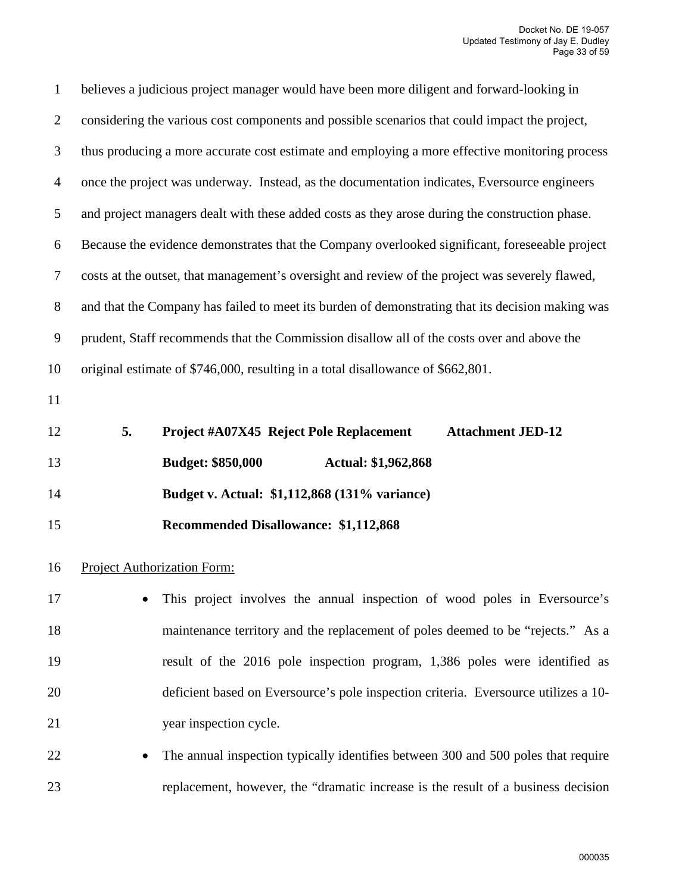| $\mathbf{1}$   | believes a judicious project manager would have been more diligent and forward-looking in        |
|----------------|--------------------------------------------------------------------------------------------------|
| $\overline{2}$ | considering the various cost components and possible scenarios that could impact the project,    |
| 3              | thus producing a more accurate cost estimate and employing a more effective monitoring process   |
| $\overline{4}$ | once the project was underway. Instead, as the documentation indicates, Eversource engineers     |
| 5              | and project managers dealt with these added costs as they arose during the construction phase.   |
| 6              | Because the evidence demonstrates that the Company overlooked significant, foreseeable project   |
| $\tau$         | costs at the outset, that management's oversight and review of the project was severely flawed,  |
| $8\phantom{.}$ | and that the Company has failed to meet its burden of demonstrating that its decision making was |
| $\overline{9}$ | prudent, Staff recommends that the Commission disallow all of the costs over and above the       |
| 10             | original estimate of \$746,000, resulting in a total disallowance of \$662,801.                  |
| 11             |                                                                                                  |
| 12             | 5.<br><b>Project #A07X45 Reject Pole Replacement</b><br><b>Attachment JED-12</b>                 |
|                |                                                                                                  |
| 13             | <b>Budget: \$850,000</b><br>Actual: \$1,962,868                                                  |
| 14             | Budget v. Actual: \$1,112,868 (131% variance)                                                    |
| 15             | <b>Recommended Disallowance: \$1,112,868</b>                                                     |
| 16             | <b>Project Authorization Form:</b>                                                               |
| 17             | This project involves the annual inspection of wood poles in Eversource's                        |
| 18             | maintenance territory and the replacement of poles deemed to be "rejects." As a                  |
| 19             | result of the 2016 pole inspection program, 1,386 poles were identified as                       |
| 20             | deficient based on Eversource's pole inspection criteria. Eversource utilizes a 10-              |
| 21             | year inspection cycle.                                                                           |
| 22             | The annual inspection typically identifies between 300 and 500 poles that require                |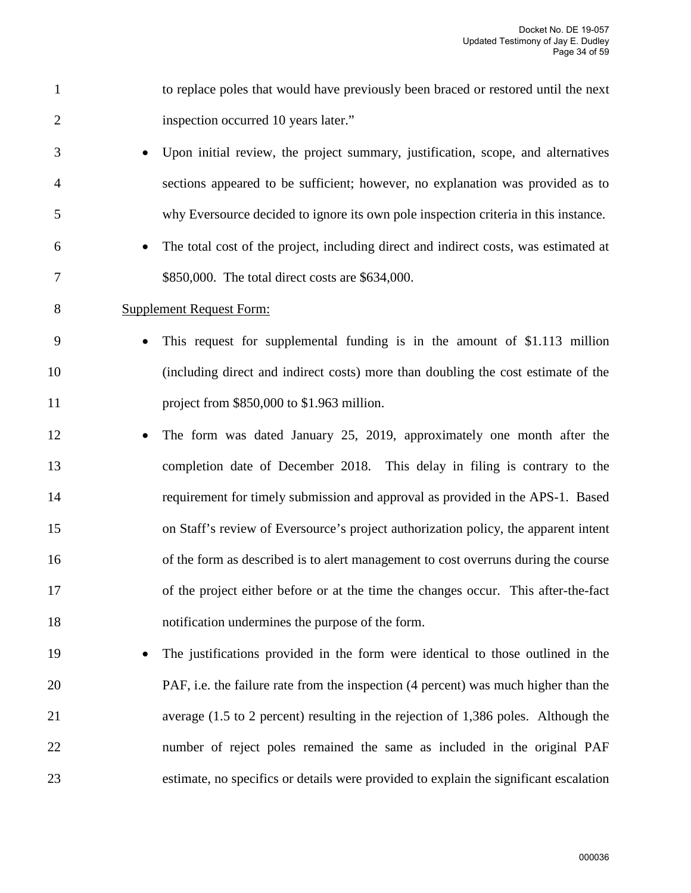1 to replace poles that would have previously been braced or restored until the next 2 inspection occurred 10 years later." 3 • Upon initial review, the project summary, justification, scope, and alternatives 4 sections appeared to be sufficient; however, no explanation was provided as to 5 why Eversource decided to ignore its own pole inspection criteria in this instance. 6 • The total cost of the project, including direct and indirect costs, was estimated at 7 \$850,000. The total direct costs are \$634,000. 8 Supplement Request Form: 9 • This request for supplemental funding is in the amount of \$1.113 million 10 (including direct and indirect costs) more than doubling the cost estimate of the 11 project from \$850,000 to \$1.963 million. 12 • The form was dated January 25, 2019, approximately one month after the 13 completion date of December 2018. This delay in filing is contrary to the 14 requirement for timely submission and approval as provided in the APS-1. Based 15 on Staff's review of Eversource's project authorization policy, the apparent intent 16 of the form as described is to alert management to cost overruns during the course 17 of the project either before or at the time the changes occur. This after-the-fact 18 notification undermines the purpose of the form. 19 • The justifications provided in the form were identical to those outlined in the 20 PAF, i.e. the failure rate from the inspection (4 percent) was much higher than the 21 average (1.5 to 2 percent) resulting in the rejection of 1,386 poles. Although the 22 number of reject poles remained the same as included in the original PAF

23 estimate, no specifics or details were provided to explain the significant escalation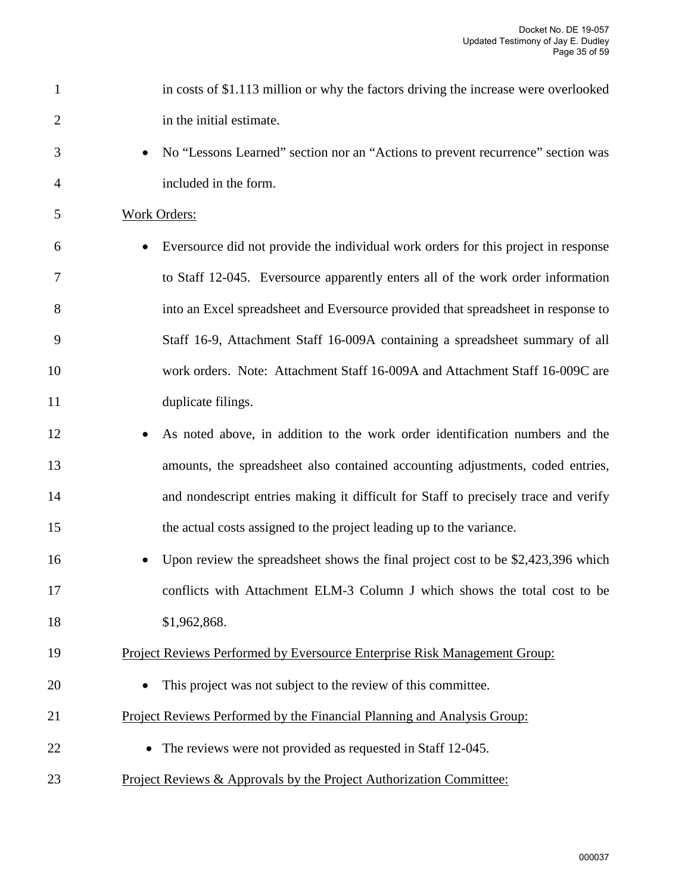| $\mathbf{1}$   | in costs of \$1.113 million or why the factors driving the increase were overlooked |
|----------------|-------------------------------------------------------------------------------------|
| $\overline{2}$ | in the initial estimate.                                                            |
| 3              | No "Lessons Learned" section nor an "Actions to prevent recurrence" section was     |
| 4              | included in the form.                                                               |
| 5              | <b>Work Orders:</b>                                                                 |
| 6              | Eversource did not provide the individual work orders for this project in response  |
| 7              | to Staff 12-045. Eversource apparently enters all of the work order information     |
| 8              | into an Excel spreadsheet and Eversource provided that spreadsheet in response to   |
| 9              | Staff 16-9, Attachment Staff 16-009A containing a spreadsheet summary of all        |
| 10             | work orders. Note: Attachment Staff 16-009A and Attachment Staff 16-009C are        |
| 11             | duplicate filings.                                                                  |
| 12             | As noted above, in addition to the work order identification numbers and the        |
| 13             | amounts, the spreadsheet also contained accounting adjustments, coded entries,      |
| 14             | and nondescript entries making it difficult for Staff to precisely trace and verify |
| 15             | the actual costs assigned to the project leading up to the variance.                |
| 16             | Upon review the spreadsheet shows the final project cost to be \$2,423,396 which    |
| 17             | conflicts with Attachment ELM-3 Column J which shows the total cost to be           |
| 18             | \$1,962,868.                                                                        |
| 19             | Project Reviews Performed by Eversource Enterprise Risk Management Group:           |
| 20             | This project was not subject to the review of this committee.                       |
| 21             | Project Reviews Performed by the Financial Planning and Analysis Group:             |
| 22             | The reviews were not provided as requested in Staff 12-045.                         |
| 23             | <u>Project Reviews &amp; Approvals by the Project Authorization Committee:</u>      |
|                |                                                                                     |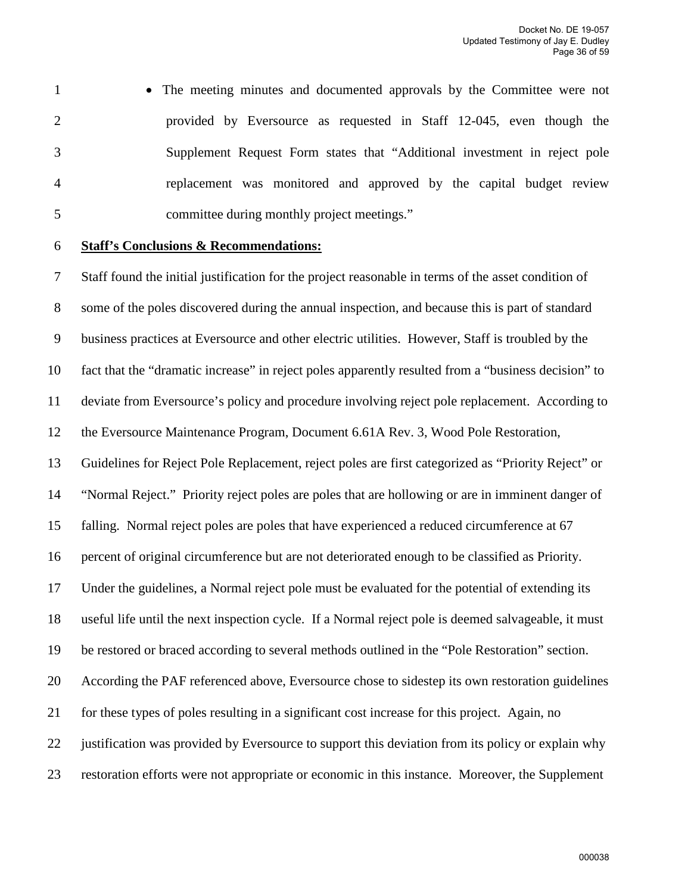- 1 The meeting minutes and documented approvals by the Committee were not 2 provided by Eversource as requested in Staff 12-045, even though the 3 Supplement Request Form states that "Additional investment in reject pole 4 replacement was monitored and approved by the capital budget review 5 committee during monthly project meetings."
- 

#### 6 **Staff's Conclusions & Recommendations:**

7 Staff found the initial justification for the project reasonable in terms of the asset condition of 8 some of the poles discovered during the annual inspection, and because this is part of standard 9 business practices at Eversource and other electric utilities. However, Staff is troubled by the 10 fact that the "dramatic increase" in reject poles apparently resulted from a "business decision" to 11 deviate from Eversource's policy and procedure involving reject pole replacement. According to 12 the Eversource Maintenance Program, Document 6.61A Rev. 3, Wood Pole Restoration, 13 Guidelines for Reject Pole Replacement, reject poles are first categorized as "Priority Reject" or 14 "Normal Reject." Priority reject poles are poles that are hollowing or are in imminent danger of 15 falling. Normal reject poles are poles that have experienced a reduced circumference at 67 16 percent of original circumference but are not deteriorated enough to be classified as Priority. 17 Under the guidelines, a Normal reject pole must be evaluated for the potential of extending its 18 useful life until the next inspection cycle. If a Normal reject pole is deemed salvageable, it must 19 be restored or braced according to several methods outlined in the "Pole Restoration" section. 20 According the PAF referenced above, Eversource chose to sidestep its own restoration guidelines 21 for these types of poles resulting in a significant cost increase for this project. Again, no 22 justification was provided by Eversource to support this deviation from its policy or explain why 23 restoration efforts were not appropriate or economic in this instance. Moreover, the Supplement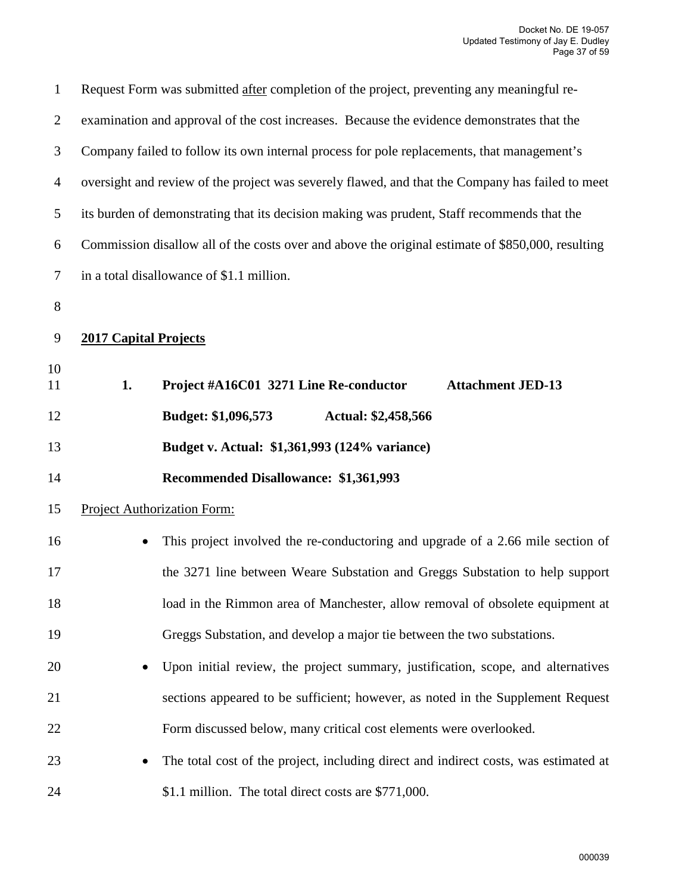| $\mathbf{1}$   |                              | Request Form was submitted after completion of the project, preventing any meaningful re-         |
|----------------|------------------------------|---------------------------------------------------------------------------------------------------|
| $\overline{2}$ |                              | examination and approval of the cost increases. Because the evidence demonstrates that the        |
| 3              |                              | Company failed to follow its own internal process for pole replacements, that management's        |
| $\overline{4}$ |                              | oversight and review of the project was severely flawed, and that the Company has failed to meet  |
| 5              |                              | its burden of demonstrating that its decision making was prudent, Staff recommends that the       |
| 6              |                              | Commission disallow all of the costs over and above the original estimate of \$850,000, resulting |
| 7              |                              | in a total disallowance of \$1.1 million.                                                         |
| 8              |                              |                                                                                                   |
| 9              | <b>2017 Capital Projects</b> |                                                                                                   |
| 10             |                              |                                                                                                   |
| 11             | 1.                           | Project #A16C01 3271 Line Re-conductor<br><b>Attachment JED-13</b>                                |
| 12             |                              | <b>Budget: \$1,096,573</b><br><b>Actual: \$2,458,566</b>                                          |
| 13             |                              | Budget v. Actual: \$1,361,993 (124% variance)                                                     |
| 14             |                              | Recommended Disallowance: \$1,361,993                                                             |
| 15             |                              | <b>Project Authorization Form:</b>                                                                |
| 16             |                              | This project involved the re-conductoring and upgrade of a 2.66 mile section of                   |
| 17             |                              | the 3271 line between Weare Substation and Greggs Substation to help support                      |
| 18             |                              | load in the Rimmon area of Manchester, allow removal of obsolete equipment at                     |
| 19             |                              | Greggs Substation, and develop a major tie between the two substations.                           |
| 20             |                              | Upon initial review, the project summary, justification, scope, and alternatives                  |
| 21             |                              | sections appeared to be sufficient; however, as noted in the Supplement Request                   |
| 22             |                              | Form discussed below, many critical cost elements were overlooked.                                |
| 23             |                              | The total cost of the project, including direct and indirect costs, was estimated at              |
| 24             |                              | \$1.1 million. The total direct costs are \$771,000.                                              |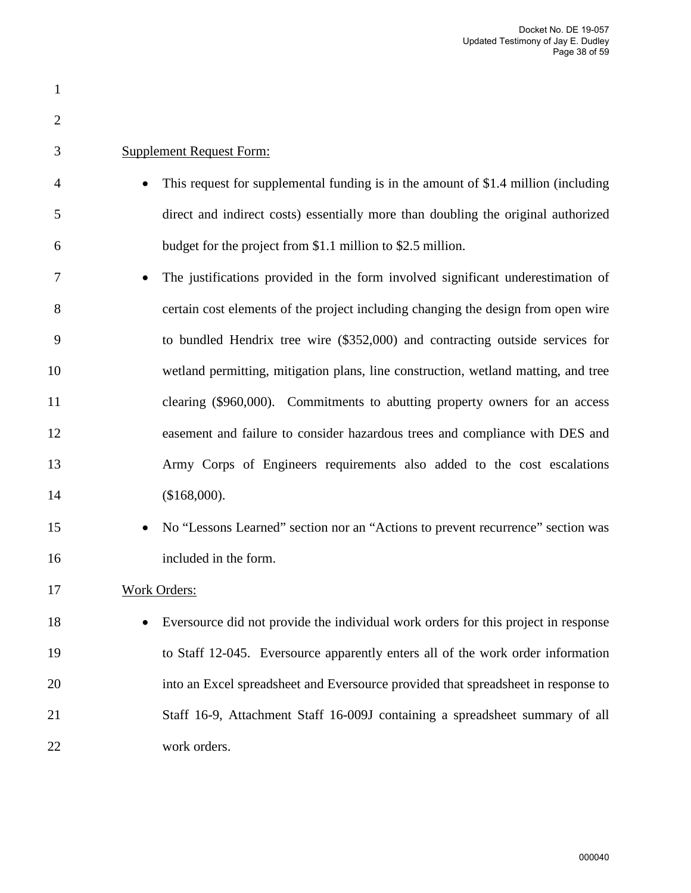| $\mathbf{1}$   |                                                                                              |
|----------------|----------------------------------------------------------------------------------------------|
| $\overline{2}$ |                                                                                              |
| 3              | <b>Supplement Request Form:</b>                                                              |
| 4              | This request for supplemental funding is in the amount of \$1.4 million (including           |
| 5              | direct and indirect costs) essentially more than doubling the original authorized            |
| 6              | budget for the project from \$1.1 million to \$2.5 million.                                  |
| 7              | The justifications provided in the form involved significant underestimation of              |
| 8              | certain cost elements of the project including changing the design from open wire            |
| 9              | to bundled Hendrix tree wire (\$352,000) and contracting outside services for                |
| 10             | wetland permitting, mitigation plans, line construction, wetland matting, and tree           |
| 11             | clearing (\$960,000). Commitments to abutting property owners for an access                  |
| 12             | easement and failure to consider hazardous trees and compliance with DES and                 |
| 13             | Army Corps of Engineers requirements also added to the cost escalations                      |
| 14             | (\$168,000).                                                                                 |
| 15             | No "Lessons Learned" section nor an "Actions to prevent recurrence" section was<br>$\bullet$ |
| 16             | included in the form.                                                                        |
| 17             | <b>Work Orders:</b>                                                                          |
| 18             | Eversource did not provide the individual work orders for this project in response           |
| 19             | to Staff 12-045. Eversource apparently enters all of the work order information              |
| 20             | into an Excel spreadsheet and Eversource provided that spreadsheet in response to            |
| 21             | Staff 16-9, Attachment Staff 16-009J containing a spreadsheet summary of all                 |
| 22             | work orders.                                                                                 |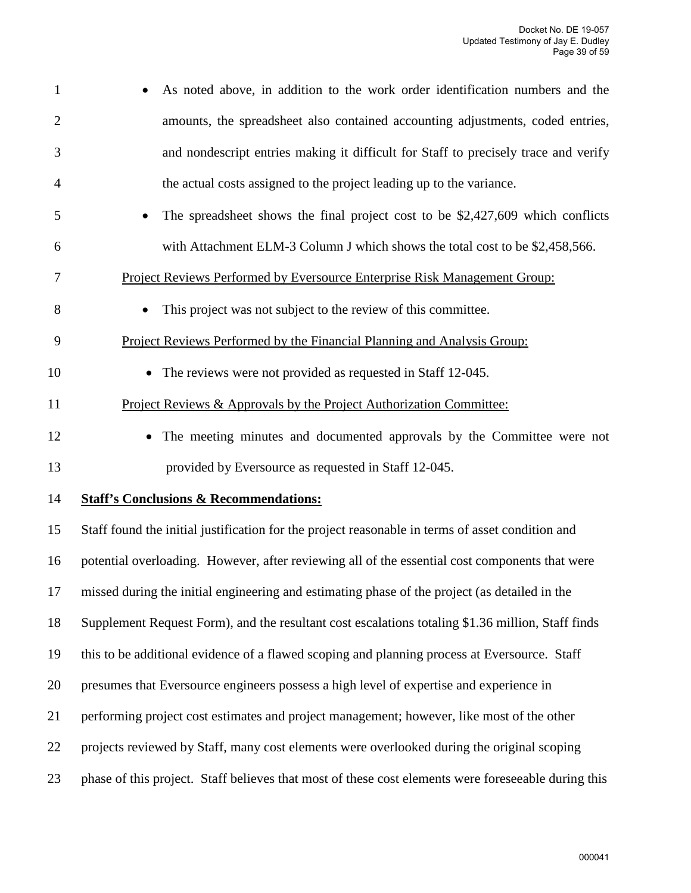| $\mathbf{1}$   | As noted above, in addition to the work order identification numbers and the                        |
|----------------|-----------------------------------------------------------------------------------------------------|
| $\overline{2}$ | amounts, the spreadsheet also contained accounting adjustments, coded entries,                      |
| 3              | and nondescript entries making it difficult for Staff to precisely trace and verify                 |
| 4              | the actual costs assigned to the project leading up to the variance.                                |
| 5              | The spreadsheet shows the final project cost to be \$2,427,609 which conflicts                      |
| 6              | with Attachment ELM-3 Column J which shows the total cost to be \$2,458,566.                        |
| 7              | Project Reviews Performed by Eversource Enterprise Risk Management Group:                           |
| 8              | This project was not subject to the review of this committee.                                       |
| 9              | Project Reviews Performed by the Financial Planning and Analysis Group:                             |
| 10             | • The reviews were not provided as requested in Staff 12-045.                                       |
| 11             | Project Reviews & Approvals by the Project Authorization Committee:                                 |
| 12             | The meeting minutes and documented approvals by the Committee were not                              |
| 13             | provided by Eversource as requested in Staff 12-045.                                                |
| 14             | <b>Staff's Conclusions &amp; Recommendations:</b>                                                   |
| 15             | Staff found the initial justification for the project reasonable in terms of asset condition and    |
| 16             | potential overloading. However, after reviewing all of the essential cost components that were      |
| 17             | missed during the initial engineering and estimating phase of the project (as detailed in the       |
| 18             | Supplement Request Form), and the resultant cost escalations totaling \$1.36 million, Staff finds   |
| 19             | this to be additional evidence of a flawed scoping and planning process at Eversource. Staff        |
| 20             | presumes that Eversource engineers possess a high level of expertise and experience in              |
| 21             | performing project cost estimates and project management; however, like most of the other           |
| 22             | projects reviewed by Staff, many cost elements were overlooked during the original scoping          |
| 23             | phase of this project. Staff believes that most of these cost elements were foreseeable during this |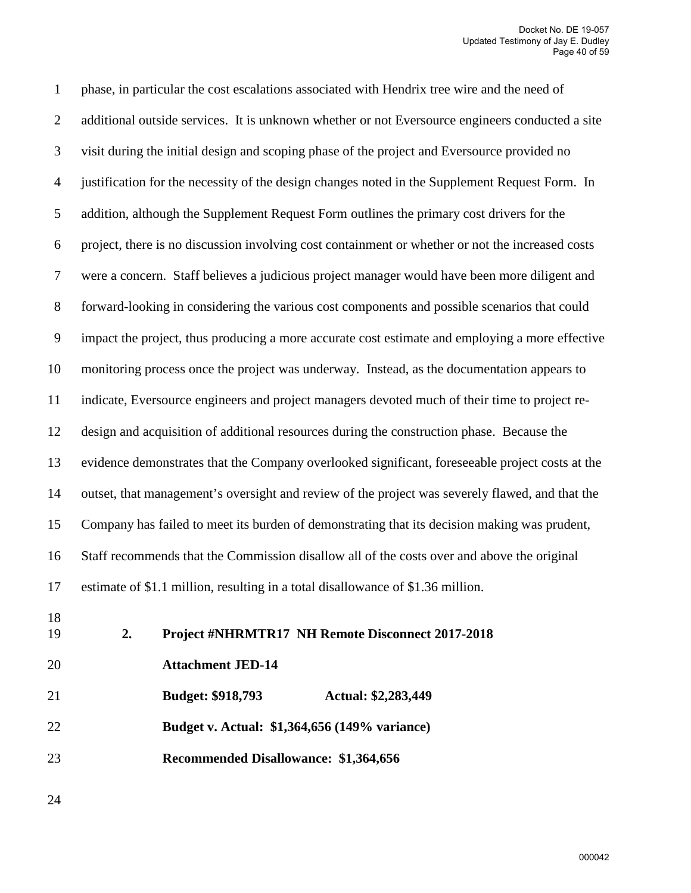1 phase, in particular the cost escalations associated with Hendrix tree wire and the need of 2 additional outside services. It is unknown whether or not Eversource engineers conducted a site 3 visit during the initial design and scoping phase of the project and Eversource provided no 4 justification for the necessity of the design changes noted in the Supplement Request Form. In 5 addition, although the Supplement Request Form outlines the primary cost drivers for the 6 project, there is no discussion involving cost containment or whether or not the increased costs 7 were a concern. Staff believes a judicious project manager would have been more diligent and 8 forward-looking in considering the various cost components and possible scenarios that could 9 impact the project, thus producing a more accurate cost estimate and employing a more effective 10 monitoring process once the project was underway. Instead, as the documentation appears to 11 indicate, Eversource engineers and project managers devoted much of their time to project re-12 design and acquisition of additional resources during the construction phase. Because the 13 evidence demonstrates that the Company overlooked significant, foreseeable project costs at the 14 outset, that management's oversight and review of the project was severely flawed, and that the 15 Company has failed to meet its burden of demonstrating that its decision making was prudent, 16 Staff recommends that the Commission disallow all of the costs over and above the original 17 estimate of \$1.1 million, resulting in a total disallowance of \$1.36 million. 18 19 **2. Project #NHRMTR17 NH Remote Disconnect 2017-2018**  20 **Attachment JED-14**  21 **Budget: \$918,793 Actual: \$2,283,449**  22 **Budget v. Actual: \$1,364,656 (149% variance)** 

23 **Recommended Disallowance: \$1,364,656** 

24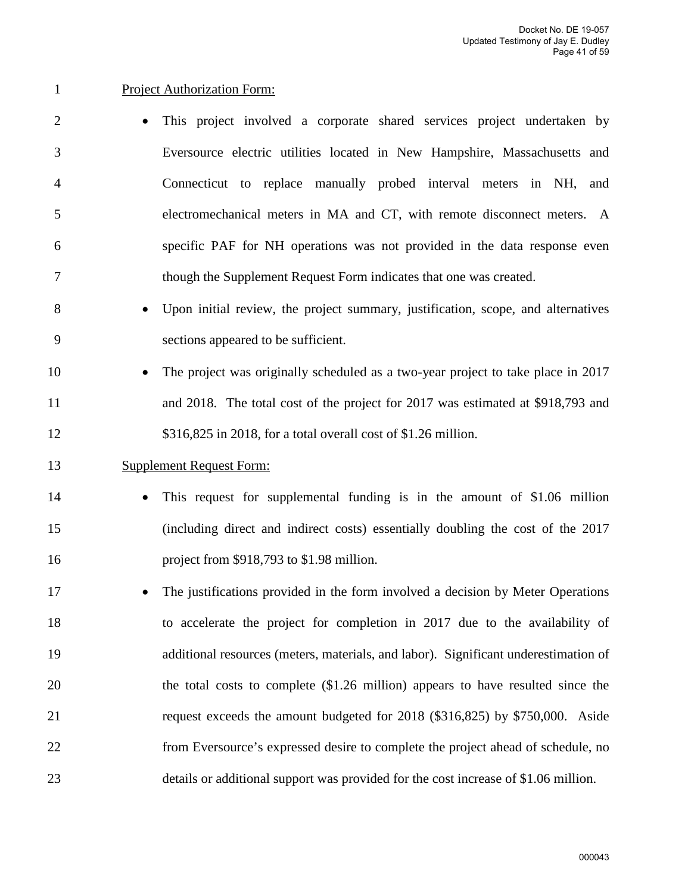#### 1 Project Authorization Form:

- 2 This project involved a corporate shared services project undertaken by 3 Eversource electric utilities located in New Hampshire, Massachusetts and 4 Connecticut to replace manually probed interval meters in NH, and 5 electromechanical meters in MA and CT, with remote disconnect meters. A 6 specific PAF for NH operations was not provided in the data response even 7 though the Supplement Request Form indicates that one was created.
- 8 Upon initial review, the project summary, justification, scope, and alternatives 9 sections appeared to be sufficient.
- 10 The project was originally scheduled as a two-year project to take place in 2017 11 and 2018. The total cost of the project for 2017 was estimated at \$918,793 and 12 \$316,825 in 2018, for a total overall cost of \$1.26 million.

#### 13 Supplement Request Form:

- 14 This request for supplemental funding is in the amount of \$1.06 million 15 (including direct and indirect costs) essentially doubling the cost of the 2017 16 project from \$918,793 to \$1.98 million.
- 17 The justifications provided in the form involved a decision by Meter Operations 18 to accelerate the project for completion in 2017 due to the availability of 19 additional resources (meters, materials, and labor). Significant underestimation of 20 the total costs to complete (\$1.26 million) appears to have resulted since the 21 request exceeds the amount budgeted for 2018 (\$316,825) by \$750,000. Aside 22 from Eversource's expressed desire to complete the project ahead of schedule, no 23 details or additional support was provided for the cost increase of \$1.06 million.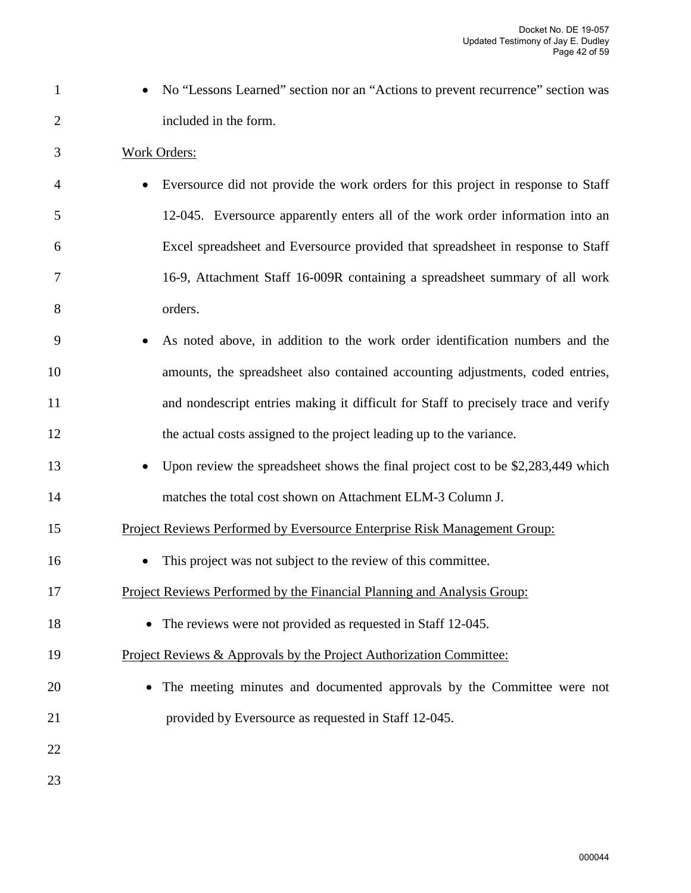- 1 No "Lessons Learned" section nor an "Actions to prevent recurrence" section was 2 included in the form.
- 3 Work Orders:
- 4 Eversource did not provide the work orders for this project in response to Staff 5 12-045. Eversource apparently enters all of the work order information into an 6 Excel spreadsheet and Eversource provided that spreadsheet in response to Staff 7 16-9, Attachment Staff 16-009R containing a spreadsheet summary of all work 8 orders.
- 9 As noted above, in addition to the work order identification numbers and the 10 amounts, the spreadsheet also contained accounting adjustments, coded entries, 11 and nondescript entries making it difficult for Staff to precisely trace and verify 12 the actual costs assigned to the project leading up to the variance.
- 13 Upon review the spreadsheet shows the final project cost to be \$2,283,449 which 14 matches the total cost shown on Attachment ELM-3 Column J.
- 15 Project Reviews Performed by Eversource Enterprise Risk Management Group:
- 16 This project was not subject to the review of this committee.
- 17 Project Reviews Performed by the Financial Planning and Analysis Group:
- 18 The reviews were not provided as requested in Staff 12-045.
- 19 Project Reviews & Approvals by the Project Authorization Committee:
- 20 The meeting minutes and documented approvals by the Committee were not 21 provided by Eversource as requested in Staff 12-045.
- 22
- 23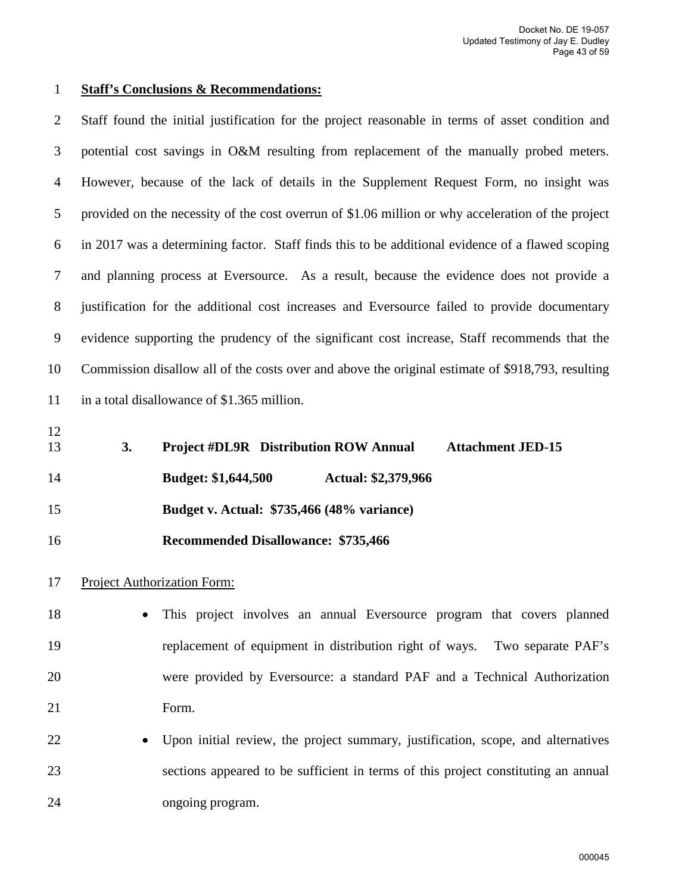#### 1 **Staff's Conclusions & Recommendations:**

2 Staff found the initial justification for the project reasonable in terms of asset condition and 3 potential cost savings in O&M resulting from replacement of the manually probed meters. 4 However, because of the lack of details in the Supplement Request Form, no insight was 5 provided on the necessity of the cost overrun of \$1.06 million or why acceleration of the project 6 in 2017 was a determining factor. Staff finds this to be additional evidence of a flawed scoping 7 and planning process at Eversource. As a result, because the evidence does not provide a 8 justification for the additional cost increases and Eversource failed to provide documentary 9 evidence supporting the prudency of the significant cost increase, Staff recommends that the 10 Commission disallow all of the costs over and above the original estimate of \$918,793, resulting 11 in a total disallowance of \$1.365 million.

12

13 **3. Project #DL9R Distribution ROW Annual Attachment JED-15**  14 **Budget: \$1,644,500 Actual: \$2,379,966**  15 **Budget v. Actual: \$735,466 (48% variance)** 

16 **Recommended Disallowance: \$735,466** 

#### 17 Project Authorization Form:

18 • This project involves an annual Eversource program that covers planned 19 replacement of equipment in distribution right of ways. Two separate PAF's 20 were provided by Eversource: a standard PAF and a Technical Authorization 21 Form.

22 • Upon initial review, the project summary, justification, scope, and alternatives 23 sections appeared to be sufficient in terms of this project constituting an annual 24 ongoing program.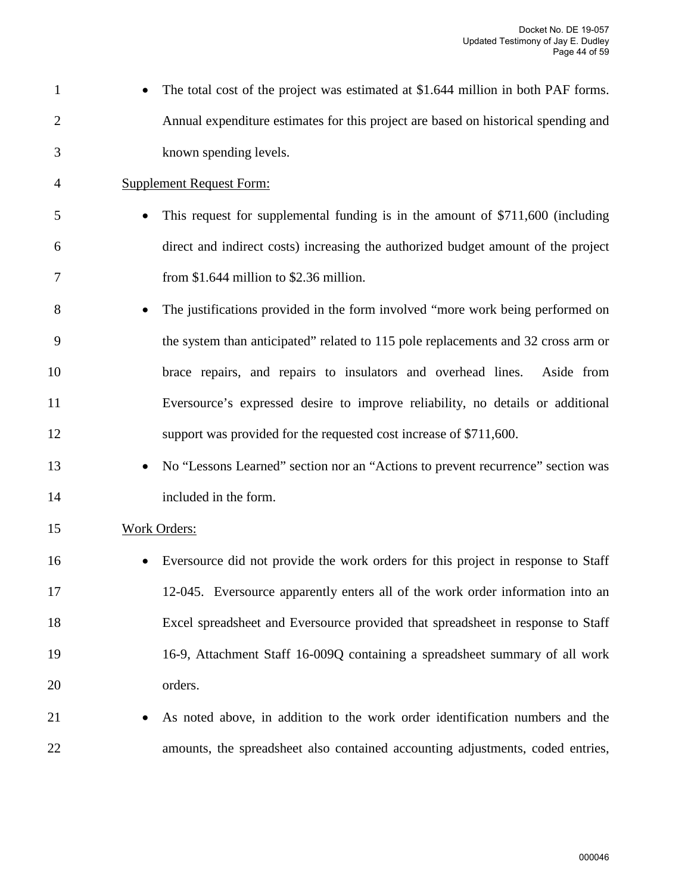1 • The total cost of the project was estimated at \$1.644 million in both PAF forms. 2 Annual expenditure estimates for this project are based on historical spending and 3 known spending levels. 4 Supplement Request Form: 5 • This request for supplemental funding is in the amount of \$711,600 (including 6 direct and indirect costs) increasing the authorized budget amount of the project 7 from \$1.644 million to \$2.36 million. 8 • The justifications provided in the form involved "more work being performed on 9 the system than anticipated" related to 115 pole replacements and 32 cross arm or 10 brace repairs, and repairs to insulators and overhead lines. Aside from 11 Eversource's expressed desire to improve reliability, no details or additional 12 support was provided for the requested cost increase of \$711,600. 13 • No "Lessons Learned" section nor an "Actions to prevent recurrence" section was 14 included in the form. 15 Work Orders: 16 • Eversource did not provide the work orders for this project in response to Staff 17 12-045. Eversource apparently enters all of the work order information into an 18 Excel spreadsheet and Eversource provided that spreadsheet in response to Staff 19 16-9, Attachment Staff 16-009Q containing a spreadsheet summary of all work 20 orders. 21 • As noted above, in addition to the work order identification numbers and the 22 amounts, the spreadsheet also contained accounting adjustments, coded entries,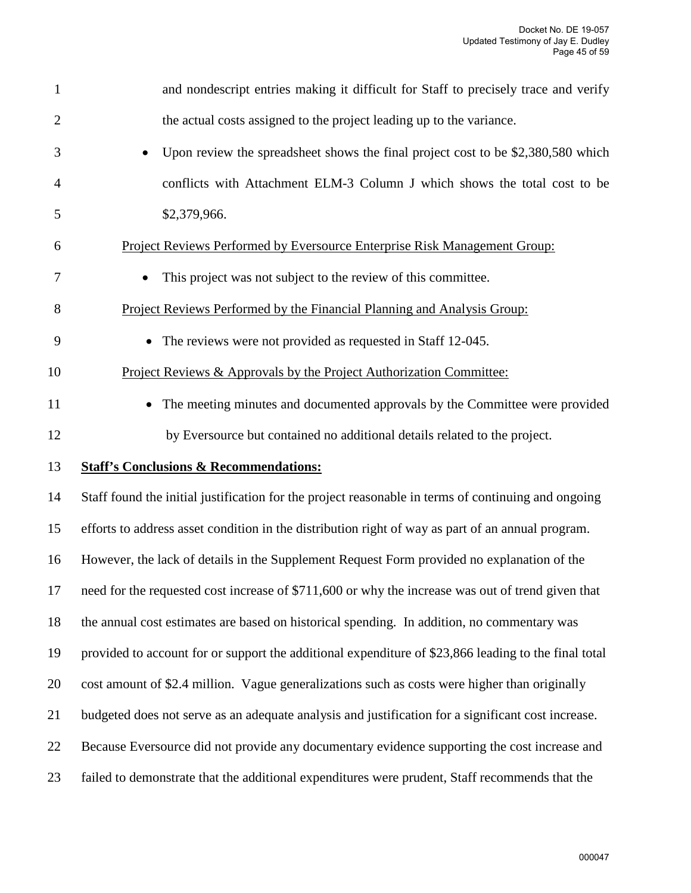| $\mathbf{1}$   | and nondescript entries making it difficult for Staff to precisely trace and verify                  |
|----------------|------------------------------------------------------------------------------------------------------|
| $\overline{2}$ | the actual costs assigned to the project leading up to the variance.                                 |
| 3              | Upon review the spreadsheet shows the final project cost to be \$2,380,580 which                     |
| 4              | conflicts with Attachment ELM-3 Column J which shows the total cost to be                            |
| 5              | \$2,379,966.                                                                                         |
| 6              | Project Reviews Performed by Eversource Enterprise Risk Management Group:                            |
| 7              | This project was not subject to the review of this committee.                                        |
| 8              | Project Reviews Performed by the Financial Planning and Analysis Group:                              |
| 9              | • The reviews were not provided as requested in Staff 12-045.                                        |
| 10             | Project Reviews & Approvals by the Project Authorization Committee:                                  |
| 11             | The meeting minutes and documented approvals by the Committee were provided                          |
| 12             | by Eversource but contained no additional details related to the project.                            |
| 13             | <b>Staff's Conclusions &amp; Recommendations:</b>                                                    |
| 14             | Staff found the initial justification for the project reasonable in terms of continuing and ongoing  |
| 15             | efforts to address asset condition in the distribution right of way as part of an annual program.    |
| 16             | However, the lack of details in the Supplement Request Form provided no explanation of the           |
| 17             | need for the requested cost increase of \$711,600 or why the increase was out of trend given that    |
| 18             | the annual cost estimates are based on historical spending. In addition, no commentary was           |
| 19             | provided to account for or support the additional expenditure of \$23,866 leading to the final total |
| 20             | cost amount of \$2.4 million. Vague generalizations such as costs were higher than originally        |
| 21             | budgeted does not serve as an adequate analysis and justification for a significant cost increase.   |
| 22             | Because Eversource did not provide any documentary evidence supporting the cost increase and         |
| 23             | failed to demonstrate that the additional expenditures were prudent, Staff recommends that the       |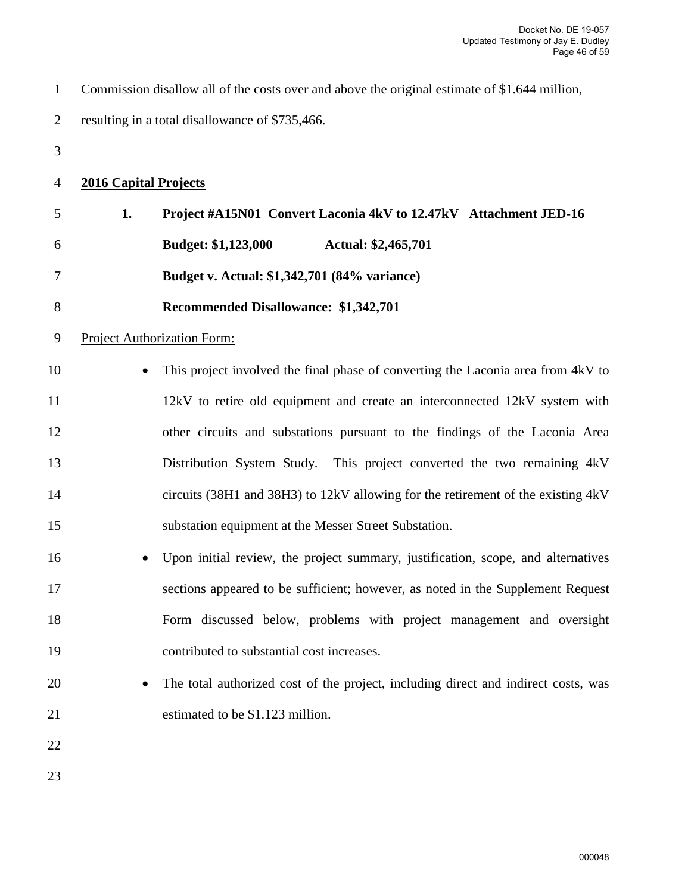| $\mathbf{1}$   |                              | Commission disallow all of the costs over and above the original estimate of \$1.644 million, |
|----------------|------------------------------|-----------------------------------------------------------------------------------------------|
| $\overline{2}$ |                              | resulting in a total disallowance of \$735,466.                                               |
| 3              |                              |                                                                                               |
| 4              | <b>2016 Capital Projects</b> |                                                                                               |
| 5              | 1.                           | Project #A15N01 Convert Laconia 4kV to 12.47kV Attachment JED-16                              |
| 6              |                              | <b>Budget: \$1,123,000</b><br><b>Actual: \$2,465,701</b>                                      |
| 7              |                              | Budget v. Actual: \$1,342,701 (84% variance)                                                  |
| 8              |                              | Recommended Disallowance: \$1,342,701                                                         |
| 9              |                              | <b>Project Authorization Form:</b>                                                            |
| 10             |                              | This project involved the final phase of converting the Laconia area from 4kV to              |
| 11             |                              | 12kV to retire old equipment and create an interconnected 12kV system with                    |
| 12             |                              | other circuits and substations pursuant to the findings of the Laconia Area                   |
| 13             |                              | Distribution System Study. This project converted the two remaining 4kV                       |
| 14             |                              | circuits (38H1 and 38H3) to 12kV allowing for the retirement of the existing 4kV              |
| 15             |                              | substation equipment at the Messer Street Substation.                                         |
| 16             |                              | Upon initial review, the project summary, justification, scope, and alternatives              |
| 17             |                              | sections appeared to be sufficient; however, as noted in the Supplement Request               |
| 18             |                              | Form discussed below, problems with project management and oversight                          |
| 19             |                              | contributed to substantial cost increases.                                                    |
| 20             |                              | The total authorized cost of the project, including direct and indirect costs, was            |
| 21             |                              | estimated to be \$1.123 million.                                                              |
| 22             |                              |                                                                                               |
| 23             |                              |                                                                                               |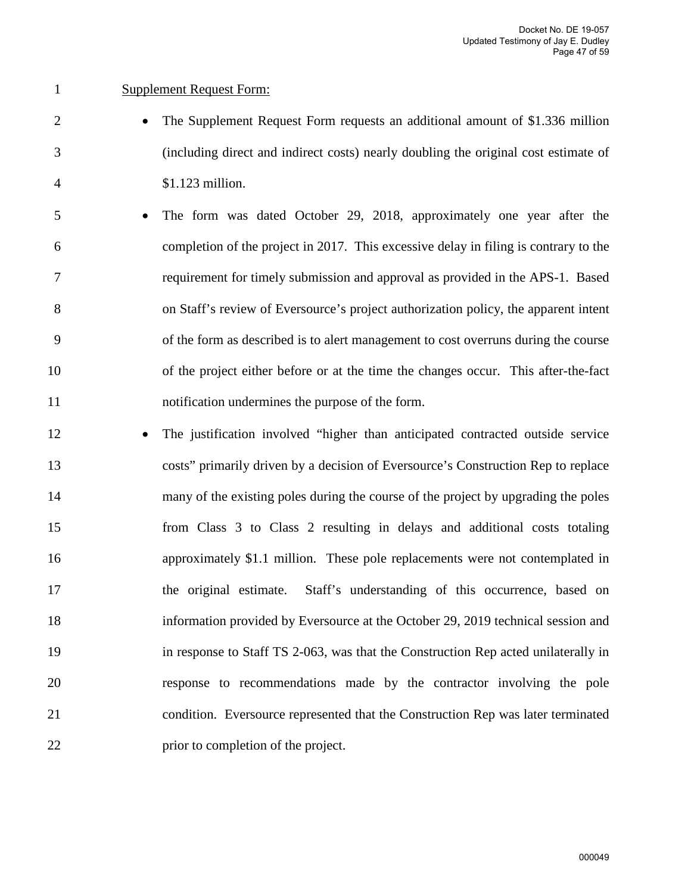#### 1 Supplement Request Form:

- 2 The Supplement Request Form requests an additional amount of \$1.336 million 3 (including direct and indirect costs) nearly doubling the original cost estimate of 4 \$1.123 million.
- 5 The form was dated October 29, 2018, approximately one year after the 6 completion of the project in 2017. This excessive delay in filing is contrary to the 7 requirement for timely submission and approval as provided in the APS-1. Based 8 on Staff's review of Eversource's project authorization policy, the apparent intent 9 of the form as described is to alert management to cost overruns during the course 10 of the project either before or at the time the changes occur. This after-the-fact 11 notification undermines the purpose of the form.
- 12 The justification involved "higher than anticipated contracted outside service 13 costs" primarily driven by a decision of Eversource's Construction Rep to replace 14 many of the existing poles during the course of the project by upgrading the poles 15 from Class 3 to Class 2 resulting in delays and additional costs totaling 16 approximately \$1.1 million. These pole replacements were not contemplated in 17 the original estimate. Staff's understanding of this occurrence, based on 18 information provided by Eversource at the October 29, 2019 technical session and 19 in response to Staff TS 2-063, was that the Construction Rep acted unilaterally in 20 response to recommendations made by the contractor involving the pole 21 condition. Eversource represented that the Construction Rep was later terminated 22 prior to completion of the project.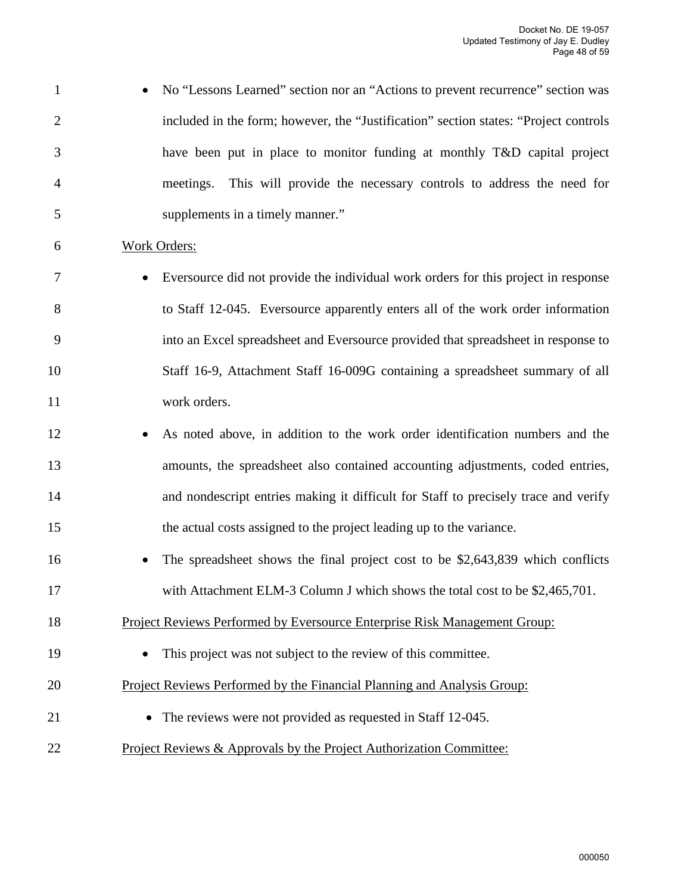- 1 No "Lessons Learned" section nor an "Actions to prevent recurrence" section was 2 included in the form; however, the "Justification" section states: "Project controls 3 have been put in place to monitor funding at monthly T&D capital project 4 meetings. This will provide the necessary controls to address the need for 5 supplements in a timely manner."
- 6 Work Orders:
- 7 Eversource did not provide the individual work orders for this project in response 8 to Staff 12-045. Eversource apparently enters all of the work order information 9 into an Excel spreadsheet and Eversource provided that spreadsheet in response to 10 Staff 16-9, Attachment Staff 16-009G containing a spreadsheet summary of all 11 work orders.
- 12 As noted above, in addition to the work order identification numbers and the 13 amounts, the spreadsheet also contained accounting adjustments, coded entries, 14 and nondescript entries making it difficult for Staff to precisely trace and verify 15 the actual costs assigned to the project leading up to the variance.
- 16 The spreadsheet shows the final project cost to be \$2,643,839 which conflicts 17 with Attachment ELM-3 Column J which shows the total cost to be \$2,465,701.
- 18 Project Reviews Performed by Eversource Enterprise Risk Management Group:
- 19 This project was not subject to the review of this committee.
- 20 Project Reviews Performed by the Financial Planning and Analysis Group:
- 21 The reviews were not provided as requested in Staff 12-045.
- 22 Project Reviews & Approvals by the Project Authorization Committee: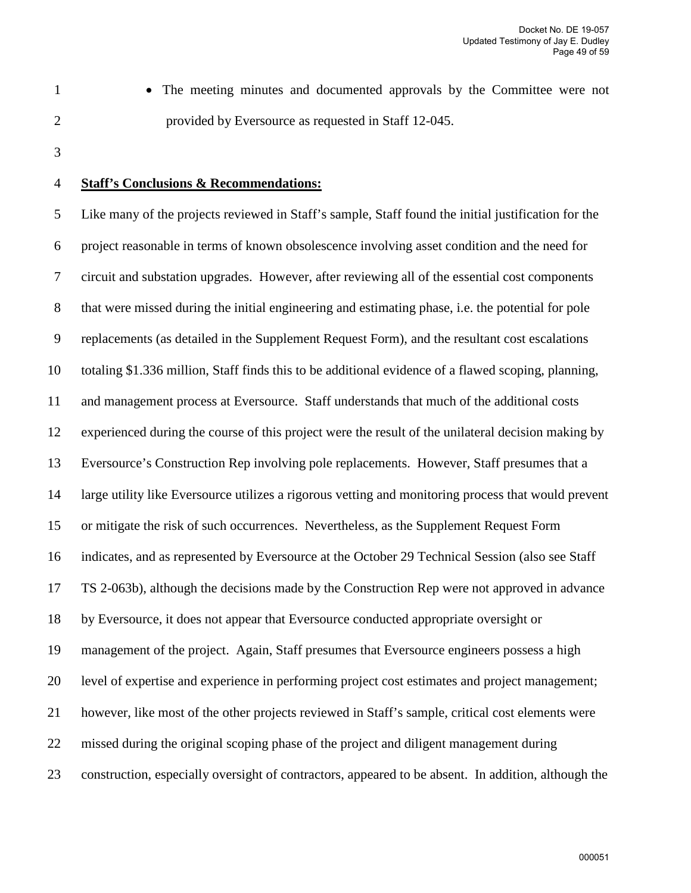1 • The meeting minutes and documented approvals by the Committee were not 2 provided by Eversource as requested in Staff 12-045.

3

#### 4 **Staff's Conclusions & Recommendations:**

5 Like many of the projects reviewed in Staff's sample, Staff found the initial justification for the 6 project reasonable in terms of known obsolescence involving asset condition and the need for 7 circuit and substation upgrades. However, after reviewing all of the essential cost components 8 that were missed during the initial engineering and estimating phase, i.e. the potential for pole 9 replacements (as detailed in the Supplement Request Form), and the resultant cost escalations 10 totaling \$1.336 million, Staff finds this to be additional evidence of a flawed scoping, planning, 11 and management process at Eversource. Staff understands that much of the additional costs 12 experienced during the course of this project were the result of the unilateral decision making by 13 Eversource's Construction Rep involving pole replacements. However, Staff presumes that a 14 large utility like Eversource utilizes a rigorous vetting and monitoring process that would prevent 15 or mitigate the risk of such occurrences. Nevertheless, as the Supplement Request Form 16 indicates, and as represented by Eversource at the October 29 Technical Session (also see Staff 17 TS 2-063b), although the decisions made by the Construction Rep were not approved in advance 18 by Eversource, it does not appear that Eversource conducted appropriate oversight or 19 management of the project. Again, Staff presumes that Eversource engineers possess a high 20 level of expertise and experience in performing project cost estimates and project management; 21 however, like most of the other projects reviewed in Staff's sample, critical cost elements were 22 missed during the original scoping phase of the project and diligent management during 23 construction, especially oversight of contractors, appeared to be absent. In addition, although the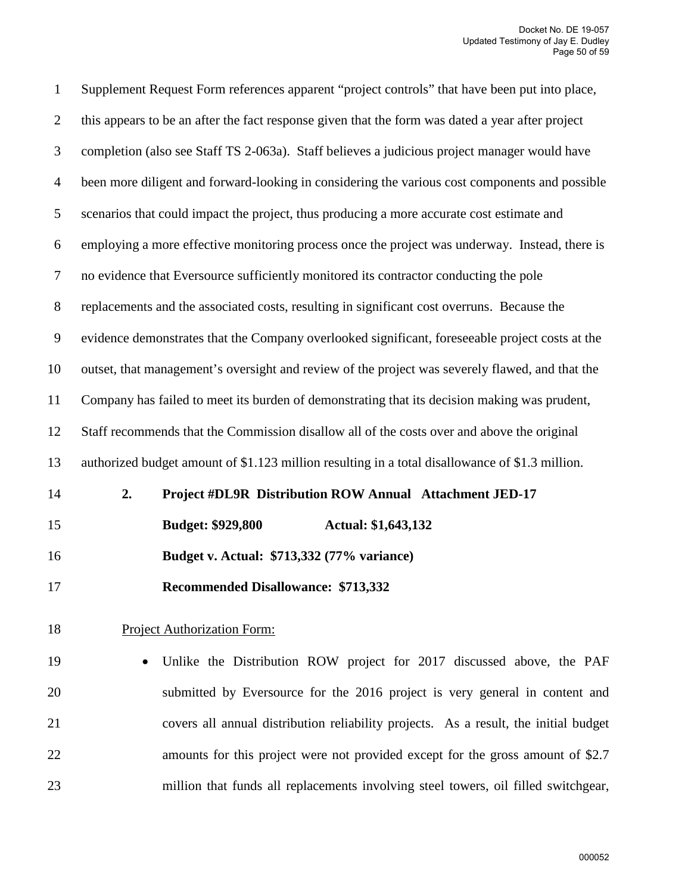| $\mathbf{1}$   | Supplement Request Form references apparent "project controls" that have been put into place,    |
|----------------|--------------------------------------------------------------------------------------------------|
| $\overline{2}$ | this appears to be an after the fact response given that the form was dated a year after project |
| 3              | completion (also see Staff TS 2-063a). Staff believes a judicious project manager would have     |
| $\overline{4}$ | been more diligent and forward-looking in considering the various cost components and possible   |
| 5              | scenarios that could impact the project, thus producing a more accurate cost estimate and        |
| 6              | employing a more effective monitoring process once the project was underway. Instead, there is   |
| $\tau$         | no evidence that Eversource sufficiently monitored its contractor conducting the pole            |
| $\,8\,$        | replacements and the associated costs, resulting in significant cost overruns. Because the       |
| $\overline{9}$ | evidence demonstrates that the Company overlooked significant, foreseeable project costs at the  |
| 10             | outset, that management's oversight and review of the project was severely flawed, and that the  |
| 11             | Company has failed to meet its burden of demonstrating that its decision making was prudent,     |
| 12             | Staff recommends that the Commission disallow all of the costs over and above the original       |
| 13             | authorized budget amount of \$1.123 million resulting in a total disallowance of \$1.3 million.  |
| 14             | 2.<br>Project #DL9R Distribution ROW Annual Attachment JED-17                                    |
| 15             | <b>Budget: \$929,800</b><br>Actual: \$1,643,132                                                  |
| 16             | Budget v. Actual: \$713,332 (77% variance)                                                       |
| 17             | <b>Recommended Disallowance: \$713,332</b>                                                       |
| 18             | <b>Project Authorization Form:</b>                                                               |
| 19             | Unlike the Distribution ROW project for 2017 discussed above, the PAF                            |
| 20             | submitted by Eversource for the 2016 project is very general in content and                      |
| 21             | covers all annual distribution reliability projects. As a result, the initial budget             |
| 22             | amounts for this project were not provided except for the gross amount of \$2.7                  |
| 23             | million that funds all replacements involving steel towers, oil filled switchgear,               |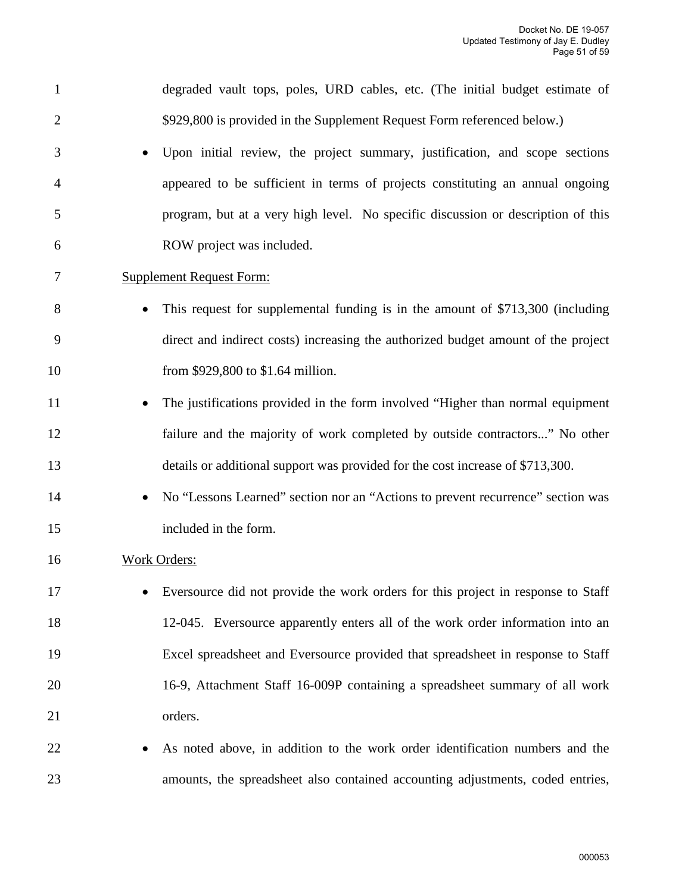| $\mathbf{1}$   | degraded vault tops, poles, URD cables, etc. (The initial budget estimate of                 |
|----------------|----------------------------------------------------------------------------------------------|
| $\overline{2}$ | \$929,800 is provided in the Supplement Request Form referenced below.)                      |
|                |                                                                                              |
| 3              | Upon initial review, the project summary, justification, and scope sections                  |
| 4              | appeared to be sufficient in terms of projects constituting an annual ongoing                |
| 5              | program, but at a very high level. No specific discussion or description of this             |
| 6              | ROW project was included.                                                                    |
| 7              | <b>Supplement Request Form:</b>                                                              |
| 8              | This request for supplemental funding is in the amount of \$713,300 (including               |
| 9              | direct and indirect costs) increasing the authorized budget amount of the project            |
| 10             | from \$929,800 to \$1.64 million.                                                            |
| 11             | The justifications provided in the form involved "Higher than normal equipment<br>$\bullet$  |
| 12             | failure and the majority of work completed by outside contractors" No other                  |
| 13             | details or additional support was provided for the cost increase of \$713,300.               |
| 14             | No "Lessons Learned" section nor an "Actions to prevent recurrence" section was<br>$\bullet$ |
| 15             | included in the form.                                                                        |
| 16             | <b>Work Orders:</b>                                                                          |
| 17             | Eversource did not provide the work orders for this project in response to Staff             |
| 18             | 12-045. Eversource apparently enters all of the work order information into an               |
| 19             | Excel spreadsheet and Eversource provided that spreadsheet in response to Staff              |
| 20             | 16-9, Attachment Staff 16-009P containing a spreadsheet summary of all work                  |
| 21             | orders.                                                                                      |
| 22             | As noted above, in addition to the work order identification numbers and the                 |
| 23             | amounts, the spreadsheet also contained accounting adjustments, coded entries,               |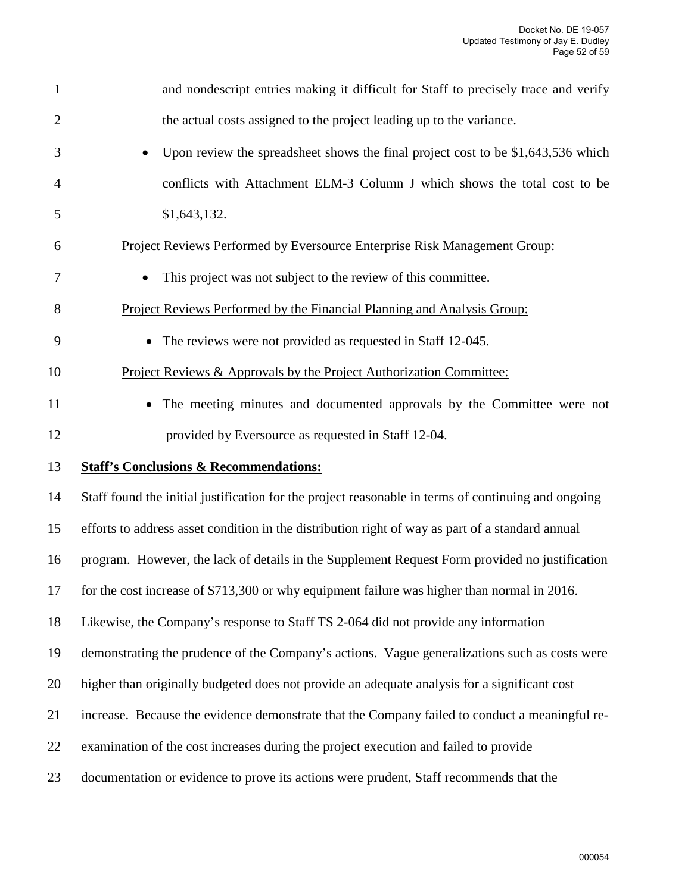| $\mathbf{1}$   | and nondescript entries making it difficult for Staff to precisely trace and verify                 |
|----------------|-----------------------------------------------------------------------------------------------------|
| $\overline{2}$ | the actual costs assigned to the project leading up to the variance.                                |
| 3              | Upon review the spreadsheet shows the final project cost to be \$1,643,536 which                    |
| 4              | conflicts with Attachment ELM-3 Column J which shows the total cost to be                           |
| 5              | \$1,643,132.                                                                                        |
| 6              | Project Reviews Performed by Eversource Enterprise Risk Management Group:                           |
| 7              | This project was not subject to the review of this committee.                                       |
| 8              | Project Reviews Performed by the Financial Planning and Analysis Group:                             |
| 9              | • The reviews were not provided as requested in Staff 12-045.                                       |
| 10             | Project Reviews & Approvals by the Project Authorization Committee:                                 |
| 11             | The meeting minutes and documented approvals by the Committee were not                              |
| 12             | provided by Eversource as requested in Staff 12-04.                                                 |
| 13             | <b>Staff's Conclusions &amp; Recommendations:</b>                                                   |
| 14             | Staff found the initial justification for the project reasonable in terms of continuing and ongoing |
| 15             | efforts to address asset condition in the distribution right of way as part of a standard annual    |
| 16             | program. However, the lack of details in the Supplement Request Form provided no justification      |
| 17             | for the cost increase of \$713,300 or why equipment failure was higher than normal in 2016.         |
| 18             | Likewise, the Company's response to Staff TS 2-064 did not provide any information                  |
|                |                                                                                                     |
| 19             | demonstrating the prudence of the Company's actions. Vague generalizations such as costs were       |
| 20             | higher than originally budgeted does not provide an adequate analysis for a significant cost        |
| 21             | increase. Because the evidence demonstrate that the Company failed to conduct a meaningful re-      |
| 22             | examination of the cost increases during the project execution and failed to provide                |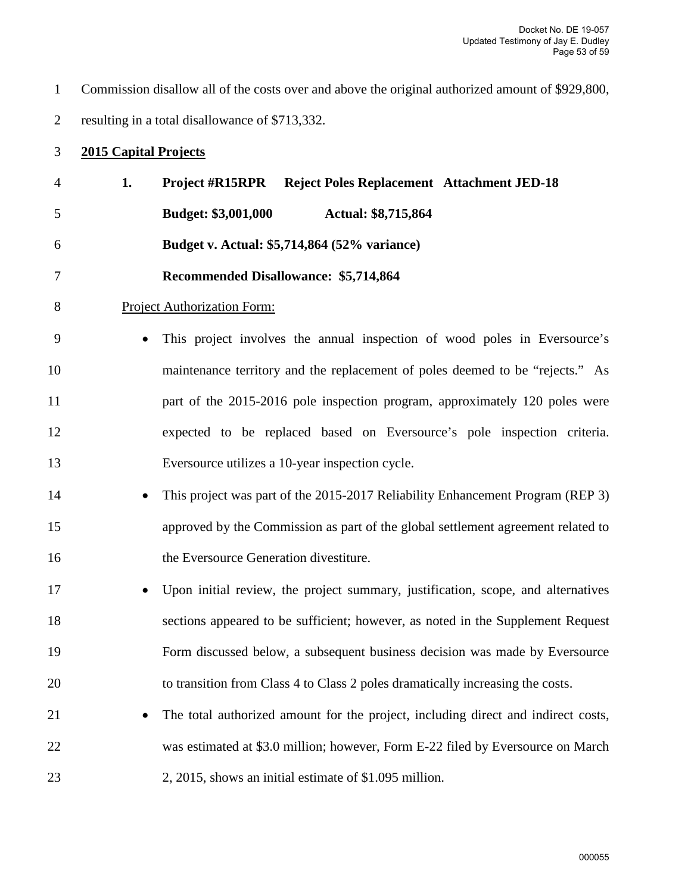1 Commission disallow all of the costs over and above the original authorized amount of \$929,800, 2 resulting in a total disallowance of \$713,332.

# 3 **2015 Capital Projects**

| $\overline{4}$ | 1. | <b>Reject Poles Replacement Attachment JED-18</b><br><b>Project #R15RPR</b>       |
|----------------|----|-----------------------------------------------------------------------------------|
| 5              |    | <b>Budget: \$3,001,000</b><br>Actual: \$8,715,864                                 |
| 6              |    | Budget v. Actual: \$5,714,864 (52% variance)                                      |
| 7              |    | <b>Recommended Disallowance: \$5,714,864</b>                                      |
| 8              |    | <b>Project Authorization Form:</b>                                                |
| 9              |    | This project involves the annual inspection of wood poles in Eversource's         |
| 10             |    | maintenance territory and the replacement of poles deemed to be "rejects." As     |
| 11             |    | part of the 2015-2016 pole inspection program, approximately 120 poles were       |
| 12             |    | expected to be replaced based on Eversource's pole inspection criteria.           |
| 13             |    | Eversource utilizes a 10-year inspection cycle.                                   |
| 14             |    | This project was part of the 2015-2017 Reliability Enhancement Program (REP 3)    |
| 15             |    | approved by the Commission as part of the global settlement agreement related to  |
| 16             |    | the Eversource Generation divestiture.                                            |
| 17             |    | Upon initial review, the project summary, justification, scope, and alternatives  |
| 18             |    | sections appeared to be sufficient; however, as noted in the Supplement Request   |
| 19             |    | Form discussed below, a subsequent business decision was made by Eversource       |
| 20             |    | to transition from Class 4 to Class 2 poles dramatically increasing the costs.    |
| 21             |    | The total authorized amount for the project, including direct and indirect costs, |
| 22             |    | was estimated at \$3.0 million; however, Form E-22 filed by Eversource on March   |
| 23             |    | 2, 2015, shows an initial estimate of \$1.095 million.                            |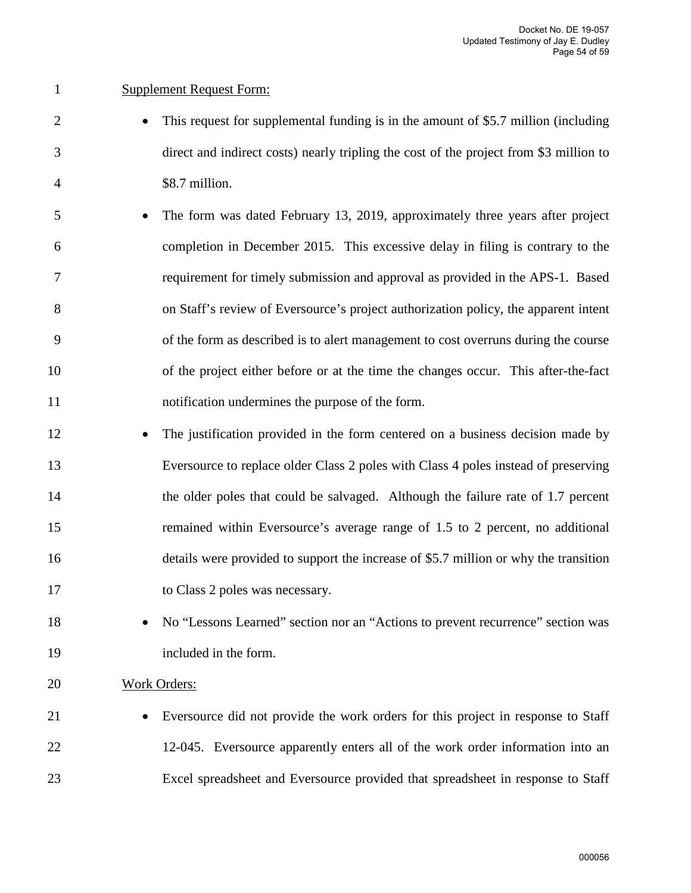### 1 Supplement Request Form:

- 2 This request for supplemental funding is in the amount of \$5.7 million (including 3 direct and indirect costs) nearly tripling the cost of the project from \$3 million to 4 \$8.7 million.
- 5 The form was dated February 13, 2019, approximately three years after project 6 completion in December 2015. This excessive delay in filing is contrary to the 7 requirement for timely submission and approval as provided in the APS-1. Based 8 on Staff's review of Eversource's project authorization policy, the apparent intent 9 of the form as described is to alert management to cost overruns during the course 10 of the project either before or at the time the changes occur. This after-the-fact 11 notification undermines the purpose of the form.
- 12 The justification provided in the form centered on a business decision made by 13 Eversource to replace older Class 2 poles with Class 4 poles instead of preserving 14 the older poles that could be salvaged. Although the failure rate of 1.7 percent 15 remained within Eversource's average range of 1.5 to 2 percent, no additional 16 details were provided to support the increase of \$5.7 million or why the transition 17 to Class 2 poles was necessary.
- 18 No "Lessons Learned" section nor an "Actions to prevent recurrence" section was 19 included in the form.

#### 20 Work Orders:

21 • Eversource did not provide the work orders for this project in response to Staff 22 12-045. Eversource apparently enters all of the work order information into an 23 Excel spreadsheet and Eversource provided that spreadsheet in response to Staff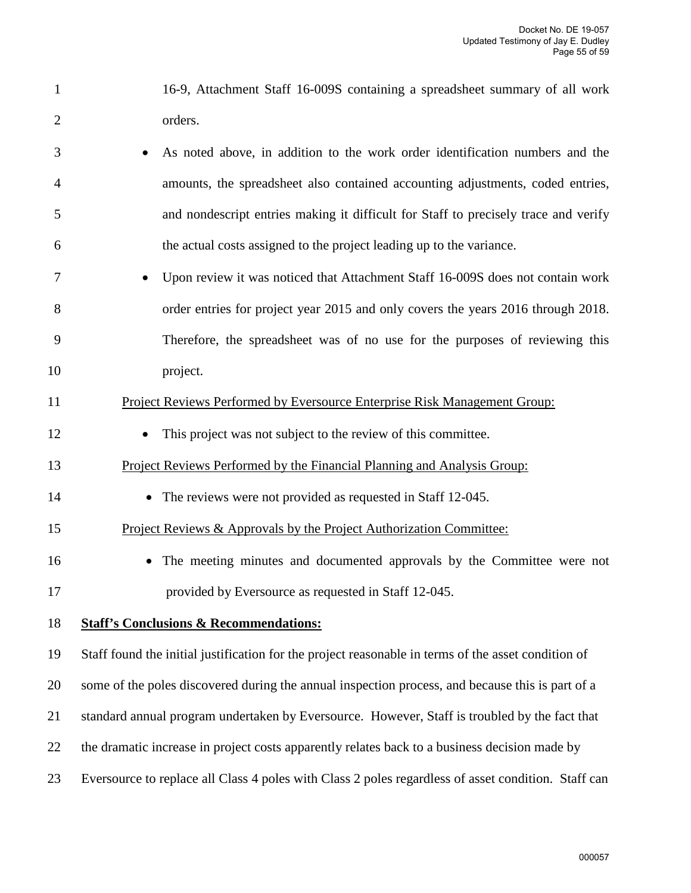- 1 16-9, Attachment Staff 16-009S containing a spreadsheet summary of all work 2 orders.
- 3 As noted above, in addition to the work order identification numbers and the 4 amounts, the spreadsheet also contained accounting adjustments, coded entries, 5 and nondescript entries making it difficult for Staff to precisely trace and verify 6 the actual costs assigned to the project leading up to the variance.
- 7 Upon review it was noticed that Attachment Staff 16-009S does not contain work 8 order entries for project year 2015 and only covers the years 2016 through 2018. 9 Therefore, the spreadsheet was of no use for the purposes of reviewing this 10 project.

#### 11 Project Reviews Performed by Eversource Enterprise Risk Management Group:

- 12 This project was not subject to the review of this committee.
- 13 Project Reviews Performed by the Financial Planning and Analysis Group:
- 14 The reviews were not provided as requested in Staff 12-045.
- 15 Project Reviews & Approvals by the Project Authorization Committee:
- 16 The meeting minutes and documented approvals by the Committee were not 17 provided by Eversource as requested in Staff 12-045.

#### 18 **Staff's Conclusions & Recommendations:**

19 Staff found the initial justification for the project reasonable in terms of the asset condition of

20 some of the poles discovered during the annual inspection process, and because this is part of a

- 21 standard annual program undertaken by Eversource. However, Staff is troubled by the fact that
- 22 the dramatic increase in project costs apparently relates back to a business decision made by
- 23 Eversource to replace all Class 4 poles with Class 2 poles regardless of asset condition. Staff can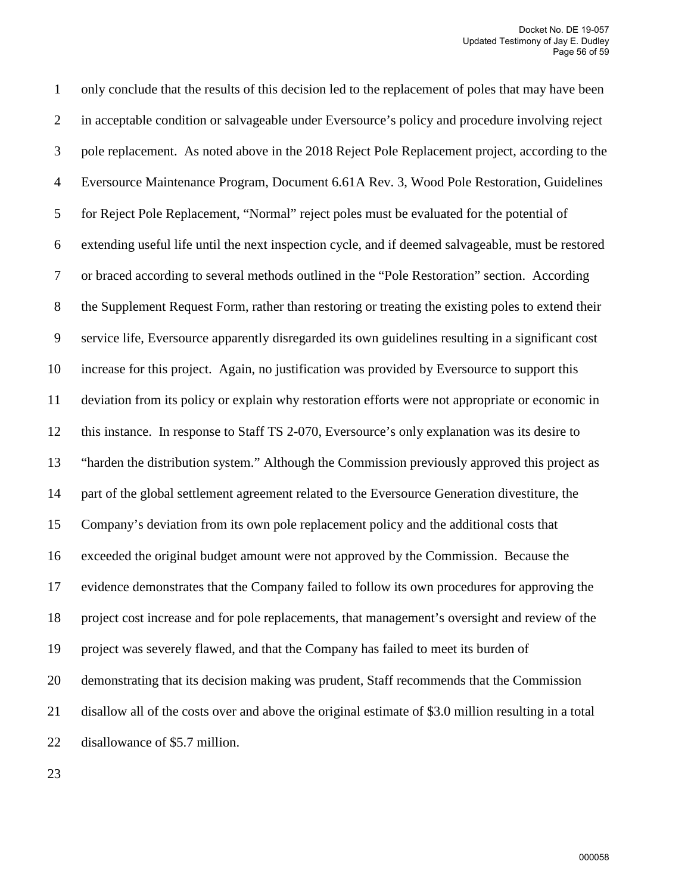1 only conclude that the results of this decision led to the replacement of poles that may have been 2 in acceptable condition or salvageable under Eversource's policy and procedure involving reject 3 pole replacement. As noted above in the 2018 Reject Pole Replacement project, according to the 4 Eversource Maintenance Program, Document 6.61A Rev. 3, Wood Pole Restoration, Guidelines 5 for Reject Pole Replacement, "Normal" reject poles must be evaluated for the potential of 6 extending useful life until the next inspection cycle, and if deemed salvageable, must be restored 7 or braced according to several methods outlined in the "Pole Restoration" section. According 8 the Supplement Request Form, rather than restoring or treating the existing poles to extend their 9 service life, Eversource apparently disregarded its own guidelines resulting in a significant cost 10 increase for this project. Again, no justification was provided by Eversource to support this 11 deviation from its policy or explain why restoration efforts were not appropriate or economic in 12 this instance. In response to Staff TS 2-070, Eversource's only explanation was its desire to 13 "harden the distribution system." Although the Commission previously approved this project as 14 part of the global settlement agreement related to the Eversource Generation divestiture, the 15 Company's deviation from its own pole replacement policy and the additional costs that 16 exceeded the original budget amount were not approved by the Commission. Because the 17 evidence demonstrates that the Company failed to follow its own procedures for approving the 18 project cost increase and for pole replacements, that management's oversight and review of the 19 project was severely flawed, and that the Company has failed to meet its burden of 20 demonstrating that its decision making was prudent, Staff recommends that the Commission 21 disallow all of the costs over and above the original estimate of \$3.0 million resulting in a total 22 disallowance of \$5.7 million.

23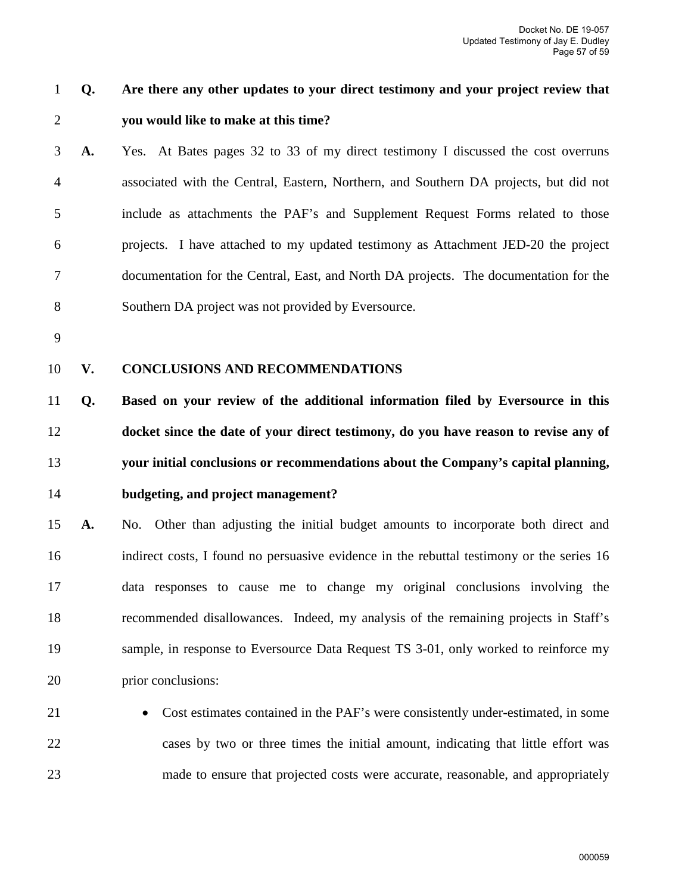# 1 **Q. Are there any other updates to your direct testimony and your project review that**  2 **you would like to make at this time?**

3 **A.** Yes. At Bates pages 32 to 33 of my direct testimony I discussed the cost overruns 4 associated with the Central, Eastern, Northern, and Southern DA projects, but did not 5 include as attachments the PAF's and Supplement Request Forms related to those 6 projects. I have attached to my updated testimony as Attachment JED-20 the project 7 documentation for the Central, East, and North DA projects. The documentation for the 8 Southern DA project was not provided by Eversource.

9

#### 10 **V. CONCLUSIONS AND RECOMMENDATIONS**

**Q. Based on your review of the additional information filed by Eversource in this docket since the date of your direct testimony, do you have reason to revise any of your initial conclusions or recommendations about the Company's capital planning, budgeting, and project management?** 

15 **A.** No. Other than adjusting the initial budget amounts to incorporate both direct and 16 indirect costs, I found no persuasive evidence in the rebuttal testimony or the series 16 17 data responses to cause me to change my original conclusions involving the 18 recommended disallowances. Indeed, my analysis of the remaining projects in Staff's 19 sample, in response to Eversource Data Request TS 3-01, only worked to reinforce my 20 prior conclusions:

21 • Cost estimates contained in the PAF's were consistently under-estimated, in some 22 cases by two or three times the initial amount, indicating that little effort was 23 made to ensure that projected costs were accurate, reasonable, and appropriately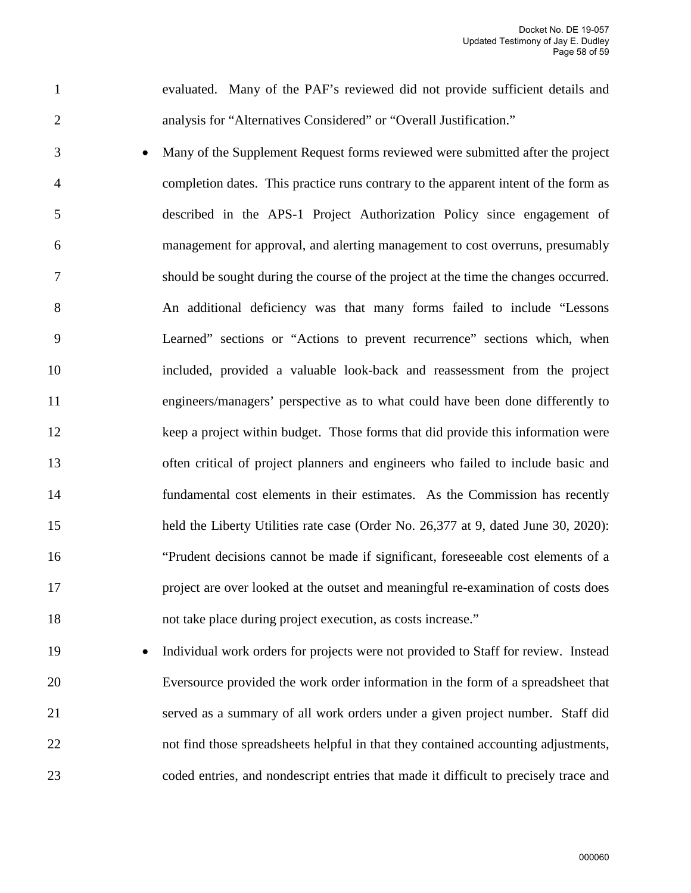1 evaluated. Many of the PAF's reviewed did not provide sufficient details and 2 analysis for "Alternatives Considered" or "Overall Justification."

3 • Many of the Supplement Request forms reviewed were submitted after the project 4 completion dates. This practice runs contrary to the apparent intent of the form as 5 described in the APS-1 Project Authorization Policy since engagement of 6 management for approval, and alerting management to cost overruns, presumably 7 should be sought during the course of the project at the time the changes occurred. 8 An additional deficiency was that many forms failed to include "Lessons 9 Learned" sections or "Actions to prevent recurrence" sections which, when 10 included, provided a valuable look-back and reassessment from the project 11 engineers/managers' perspective as to what could have been done differently to 12 keep a project within budget. Those forms that did provide this information were 13 often critical of project planners and engineers who failed to include basic and 14 fundamental cost elements in their estimates. As the Commission has recently 15 held the Liberty Utilities rate case (Order No. 26,377 at 9, dated June 30, 2020): 16 "Prudent decisions cannot be made if significant, foreseeable cost elements of a 17 project are over looked at the outset and meaningful re-examination of costs does 18 not take place during project execution, as costs increase."

19 • Individual work orders for projects were not provided to Staff for review. Instead 20 Eversource provided the work order information in the form of a spreadsheet that 21 served as a summary of all work orders under a given project number. Staff did 22 not find those spreadsheets helpful in that they contained accounting adjustments, 23 coded entries, and nondescript entries that made it difficult to precisely trace and